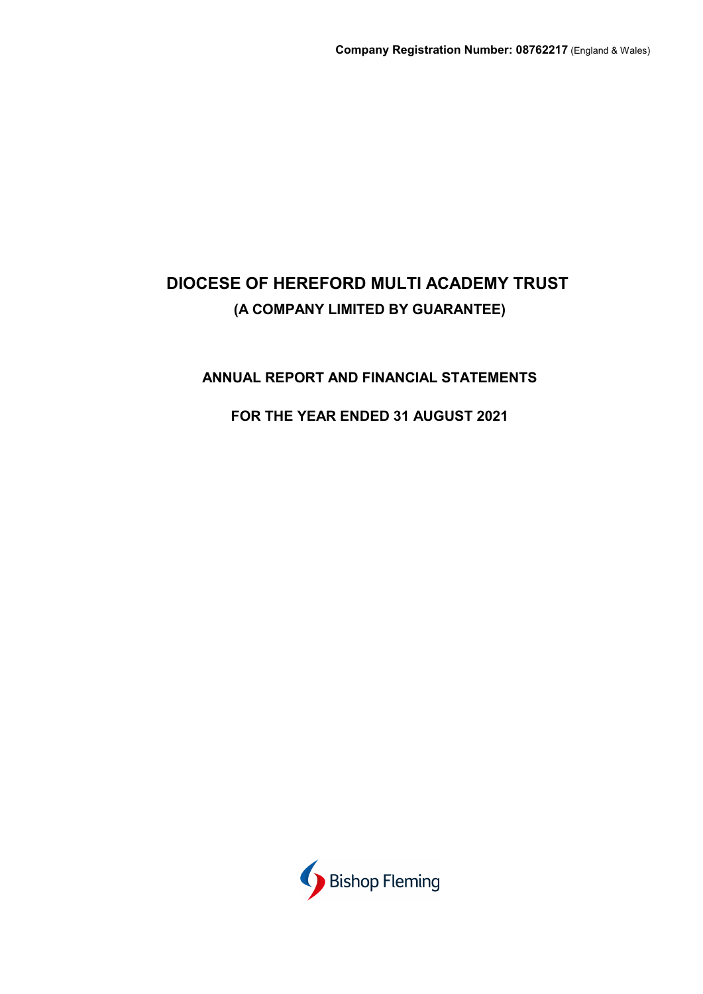## **ANNUAL REPORT AND FINANCIAL STATEMENTS**

## **FOR THE YEAR ENDED 31 AUGUST 2021**

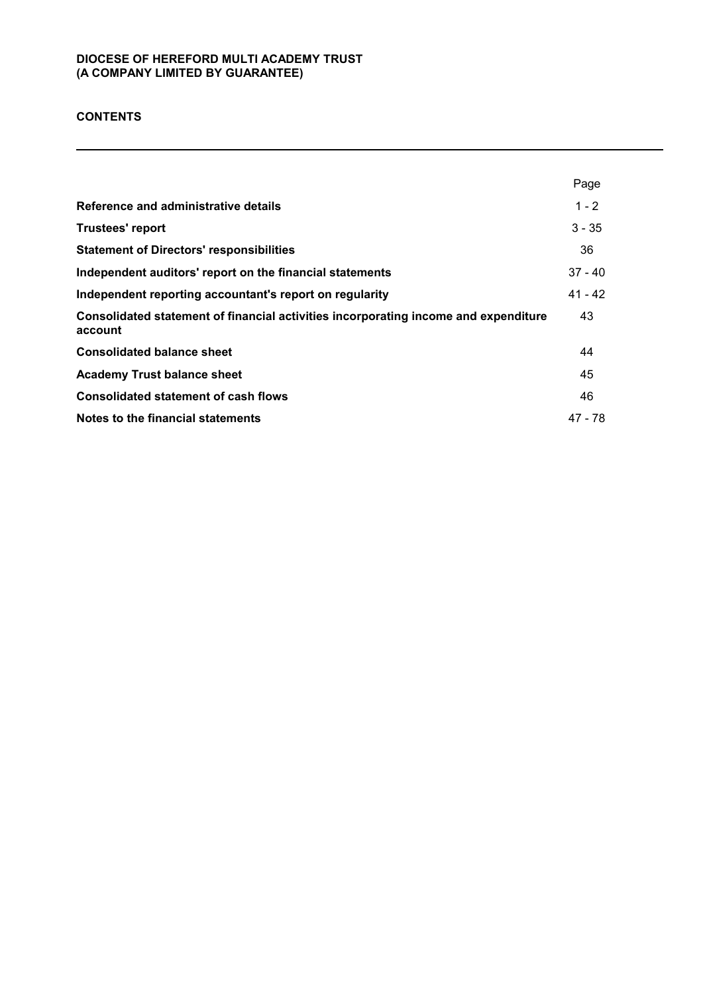## **CONTENTS**

|                                                                                                | Page      |
|------------------------------------------------------------------------------------------------|-----------|
| Reference and administrative details                                                           | $1 - 2$   |
| <b>Trustees' report</b>                                                                        | $3 - 35$  |
| <b>Statement of Directors' responsibilities</b>                                                | 36        |
| Independent auditors' report on the financial statements                                       | $37 - 40$ |
| Independent reporting accountant's report on regularity                                        | $41 - 42$ |
| Consolidated statement of financial activities incorporating income and expenditure<br>account | 43        |
| <b>Consolidated balance sheet</b>                                                              | 44        |
| <b>Academy Trust balance sheet</b>                                                             | 45        |
| <b>Consolidated statement of cash flows</b>                                                    | 46        |
| Notes to the financial statements                                                              | 47 - 78   |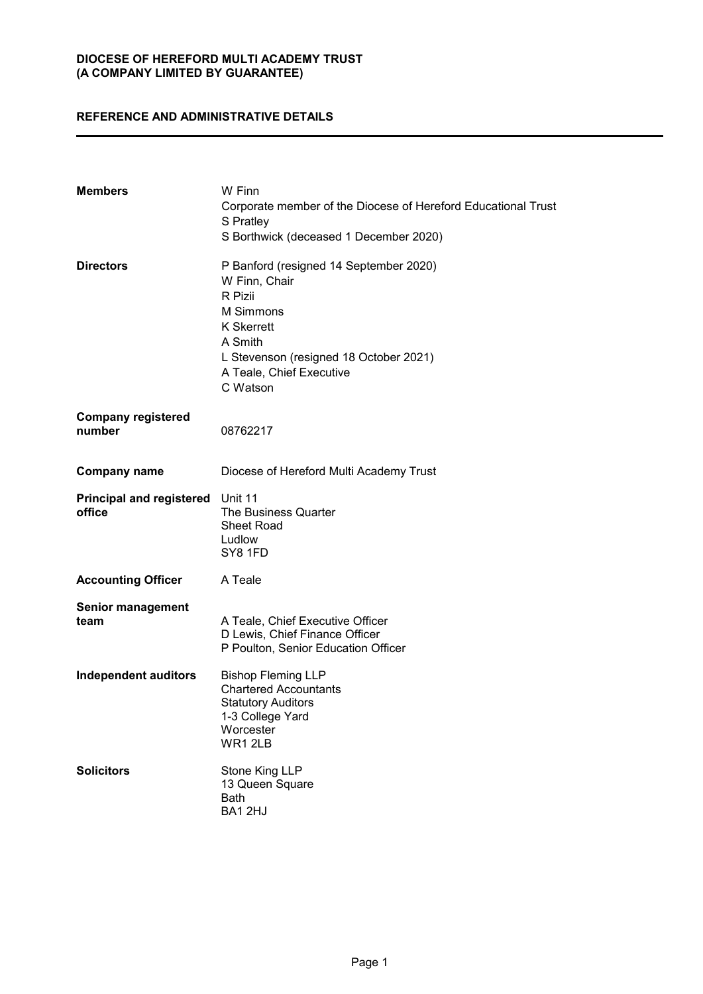## **REFERENCE AND ADMINISTRATIVE DETAILS**

| <b>Members</b>                                    | W Finn<br>Corporate member of the Diocese of Hereford Educational Trust<br>S Pratley<br>S Borthwick (deceased 1 December 2020)                                                                    |
|---------------------------------------------------|---------------------------------------------------------------------------------------------------------------------------------------------------------------------------------------------------|
| <b>Directors</b>                                  | P Banford (resigned 14 September 2020)<br>W Finn, Chair<br>R Pizii<br>M Simmons<br><b>K</b> Skerrett<br>A Smith<br>L Stevenson (resigned 18 October 2021)<br>A Teale, Chief Executive<br>C Watson |
| <b>Company registered</b><br>number               | 08762217                                                                                                                                                                                          |
| <b>Company name</b>                               | Diocese of Hereford Multi Academy Trust                                                                                                                                                           |
| <b>Principal and registered</b> Unit 11<br>office | The Business Quarter<br><b>Sheet Road</b><br>Ludlow<br>SY8 1FD                                                                                                                                    |
| <b>Accounting Officer</b>                         | A Teale                                                                                                                                                                                           |
| <b>Senior management</b><br>team                  | A Teale, Chief Executive Officer<br>D Lewis, Chief Finance Officer<br>P Poulton, Senior Education Officer                                                                                         |
| <b>Independent auditors</b>                       | <b>Bishop Fleming LLP</b><br><b>Chartered Accountants</b><br><b>Statutory Auditors</b><br>1-3 College Yard<br>Worcester<br>WR12LB                                                                 |
| <b>Solicitors</b>                                 | Stone King LLP<br>13 Queen Square<br>Bath<br>BA12HJ                                                                                                                                               |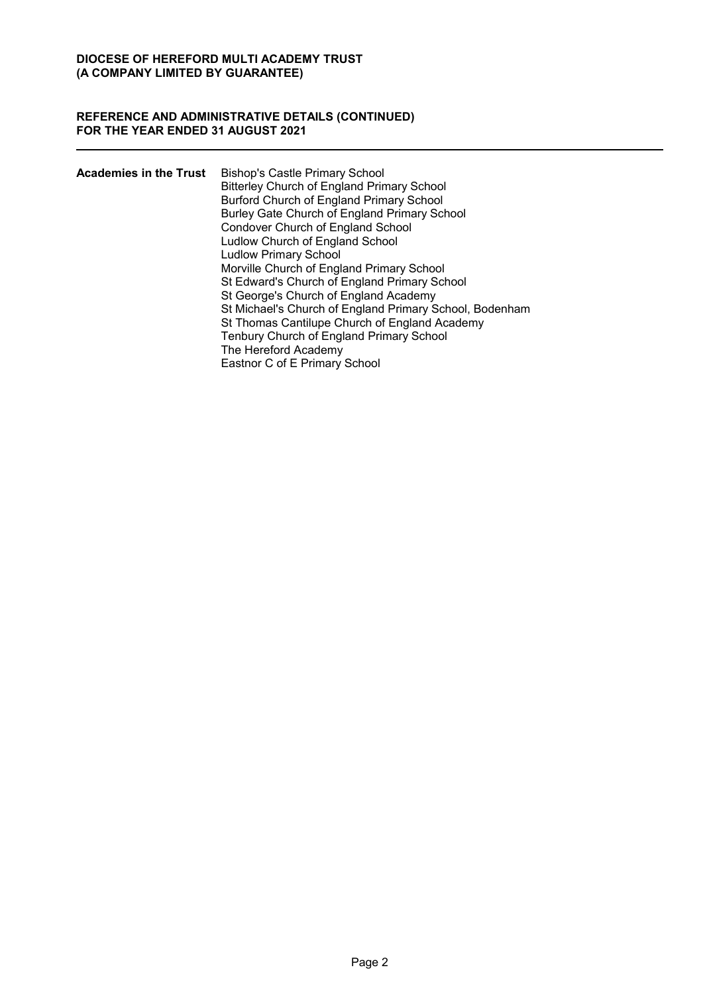#### **REFERENCE AND ADMINISTRATIVE DETAILS (CONTINUED) FOR THE YEAR ENDED 31 AUGUST 2021**

| <b>Academies in the Trust</b> | <b>Bishop's Castle Primary School</b>                   |
|-------------------------------|---------------------------------------------------------|
|                               | <b>Bitterley Church of England Primary School</b>       |
|                               | Burford Church of England Primary School                |
|                               | Burley Gate Church of England Primary School            |
|                               | Condover Church of England School                       |
|                               | Ludlow Church of England School                         |
|                               | <b>Ludlow Primary School</b>                            |
|                               | Morville Church of England Primary School               |
|                               | St Edward's Church of England Primary School            |
|                               | St George's Church of England Academy                   |
|                               | St Michael's Church of England Primary School, Bodenham |
|                               | St Thomas Cantilupe Church of England Academy           |
|                               | Tenbury Church of England Primary School                |
|                               | The Hereford Academy                                    |
|                               | Eastnor C of E Primary School                           |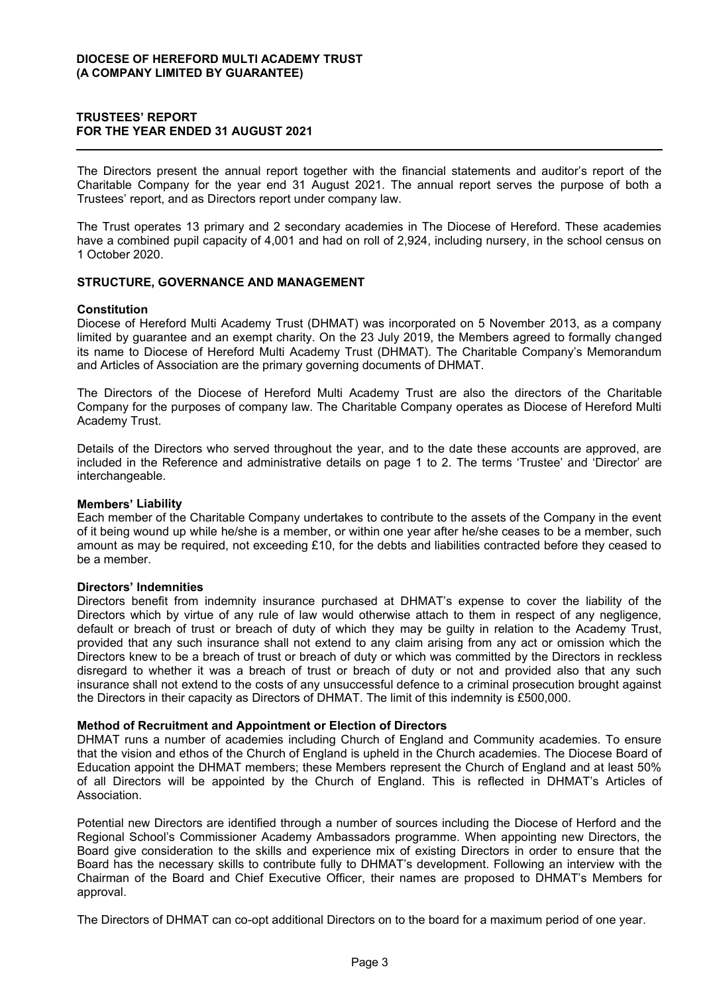## **TRUSTEES' REPORT FOR THE YEAR ENDED 31 AUGUST 2021**

The Directors present the annual report together with the financial statements and auditor's report of the Charitable Company for the year end 31 August 2021. The annual report serves the purpose of both a Trustees' report, and as Directors report under company law.

The Trust operates 13 primary and 2 secondary academies in The Diocese of Hereford. These academies have a combined pupil capacity of 4,001 and had on roll of 2,924, including nursery, in the school census on 1 October 2020.

## **STRUCTURE, GOVERNANCE AND MANAGEMENT**

#### **Constitution**

Diocese of Hereford Multi Academy Trust (DHMAT) was incorporated on 5 November 2013, as a company limited by guarantee and an exempt charity. On the 23 July 2019, the Members agreed to formally changed its name to Diocese of Hereford Multi Academy Trust (DHMAT). The Charitable Company's Memorandum and Articles of Association are the primary governing documents of DHMAT.

The Directors of the Diocese of Hereford Multi Academy Trust are also the directors of the Charitable Company for the purposes of company law. The Charitable Company operates as Diocese of Hereford Multi Academy Trust.

Details of the Directors who served throughout the year, and to the date these accounts are approved, are included in the Reference and administrative details on page 1 to 2. The terms 'Trustee' and 'Director' are interchangeable.

#### **Members' Liability**

Each member of the Charitable Company undertakes to contribute to the assets of the Company in the event of it being wound up while he/she is a member, or within one year after he/she ceases to be a member, such amount as may be required, not exceeding £10, for the debts and liabilities contracted before they ceased to be a member.

#### Directors' Indemnities

Directors benefit from indemnity insurance purchased at DHMAT's expense to cover the liability of the Directors which by virtue of any rule of law would otherwise attach to them in respect of any negligence, default or breach of trust or breach of duty of which they may be guilty in relation to the Academy Trust, provided that any such insurance shall not extend to any claim arising from any act or omission which the Directors knew to be a breach of trust or breach of duty or which was committed by the Directors in reckless disregard to whether it was a breach of trust or breach of duty or not and provided also that any such insurance shall not extend to the costs of any unsuccessful defence to a criminal prosecution brought against the Directors in their capacity as Directors of DHMAT. The limit of this indemnity is £500,000.

#### **Method of Recruitment and Appointment or Election of Directors**

DHMAT runs a number of academies including Church of England and Community academies. To ensure that the vision and ethos of the Church of England is upheld in the Church academies. The Diocese Board of Education appoint the DHMAT members; these Members represent the Church of England and at least 50% of all Directors will be appointed by the Church of England. This is reflected in DHMAT's Articles of Association.

Potential new Directors are identified through a number of sources including the Diocese of Herford and the Regional School's Commissioner Academy Ambassadors programme. When appointing new Directors, the Board give consideration to the skills and experience mix of existing Directors in order to ensure that the Board has the necessary skills to contribute fully to DHMAT's development. Following an interview with the Chairman of the Board and Chief Executive Officer, their names are proposed to DHMAT's Members for approval.

The Directors of DHMAT can co-opt additional Directors on to the board for a maximum period of one year.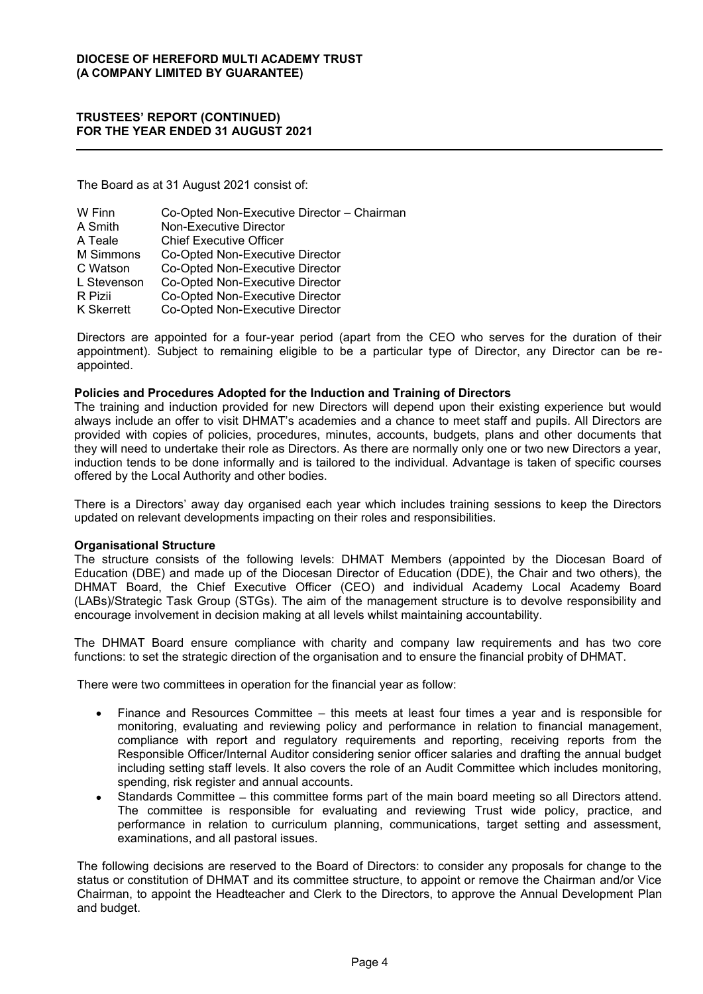The Board as at 31 August 2021 consist of:

| W Finn      | Co-Opted Non-Executive Director - Chairman |
|-------------|--------------------------------------------|
| A Smith     | Non-Executive Director                     |
| A Teale     | <b>Chief Executive Officer</b>             |
| M Simmons   | Co-Opted Non-Executive Director            |
| C Watson    | Co-Opted Non-Executive Director            |
| L Stevenson | Co-Opted Non-Executive Director            |
| R Pizii     | Co-Opted Non-Executive Director            |
| K Skerrett  | Co-Opted Non-Executive Director            |

Directors are appointed for a four-year period (apart from the CEO who serves for the duration of their appointment). Subject to remaining eligible to be a particular type of Director, any Director can be reappointed.

#### **Policies and Procedures Adopted for the Induction and Training of Directors**

The training and induction provided for new Directors will depend upon their existing experience but would always include an offer to visit DHMAT's academies and a chance to meet staff and pupils. All Directors are provided with copies of policies, procedures, minutes, accounts, budgets, plans and other documents that they will need to undertake their role as Directors. As there are normally only one or two new Directors a year, induction tends to be done informally and is tailored to the individual. Advantage is taken of specific courses offered by the Local Authority and other bodies.

There is a Directors' away day organised each year which includes training sessions to keep the Directors updated on relevant developments impacting on their roles and responsibilities.

#### **Organisational Structure**

The structure consists of the following levels: DHMAT Members (appointed by the Diocesan Board of Education (DBE) and made up of the Diocesan Director of Education (DDE), the Chair and two others), the DHMAT Board, the Chief Executive Officer (CEO) and individual Academy Local Academy Board (LABs)/Strategic Task Group (STGs). The aim of the management structure is to devolve responsibility and encourage involvement in decision making at all levels whilst maintaining accountability.

The DHMAT Board ensure compliance with charity and company law requirements and has two core functions: to set the strategic direction of the organisation and to ensure the financial probity of DHMAT.

There were two committees in operation for the financial year as follow:

- Finance and Resources Committee this meets at least four times a year and is responsible for monitoring, evaluating and reviewing policy and performance in relation to financial management, compliance with report and regulatory requirements and reporting, receiving reports from the Responsible Officer/Internal Auditor considering senior officer salaries and drafting the annual budget including setting staff levels. It also covers the role of an Audit Committee which includes monitoring, spending, risk register and annual accounts.
- Standards Committee this committee forms part of the main board meeting so all Directors attend. The committee is responsible for evaluating and reviewing Trust wide policy, practice, and performance in relation to curriculum planning, communications, target setting and assessment, examinations, and all pastoral issues.

The following decisions are reserved to the Board of Directors: to consider any proposals for change to the status or constitution of DHMAT and its committee structure, to appoint or remove the Chairman and/or Vice Chairman, to appoint the Headteacher and Clerk to the Directors, to approve the Annual Development Plan and budget.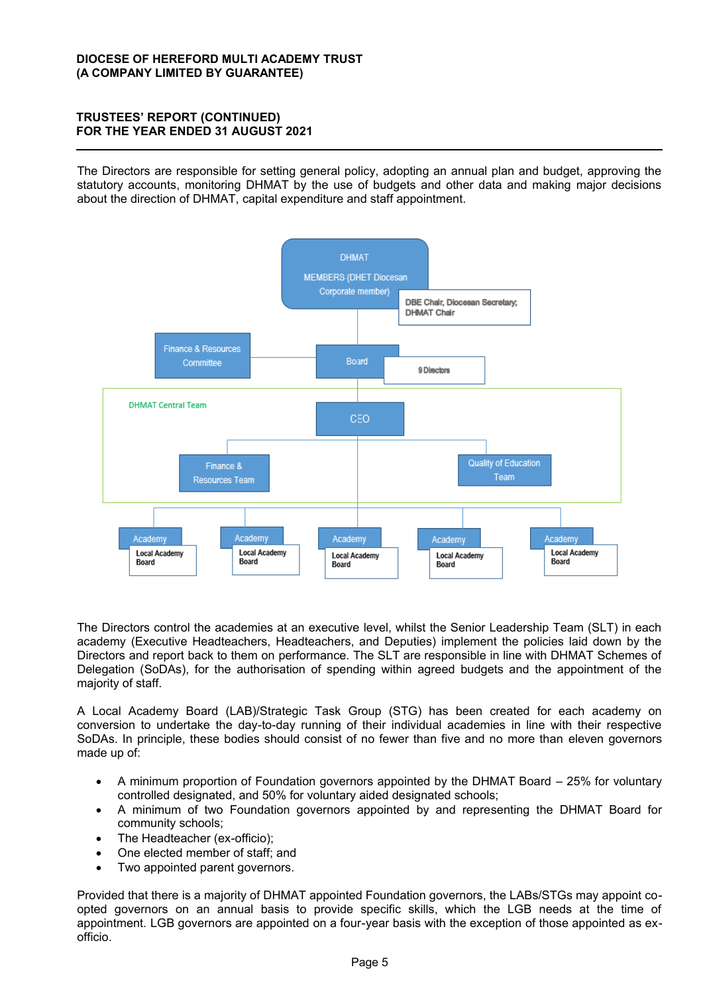The Directors are responsible for setting general policy, adopting an annual plan and budget, approving the statutory accounts, monitoring DHMAT by the use of budgets and other data and making major decisions about the direction of DHMAT, capital expenditure and staff appointment.



The Directors control the academies at an executive level, whilst the Senior Leadership Team (SLT) in each academy (Executive Headteachers, Headteachers, and Deputies) implement the policies laid down by the Directors and report back to them on performance. The SLT are responsible in line with DHMAT Schemes of Delegation (SoDAs), for the authorisation of spending within agreed budgets and the appointment of the majority of staff.

A Local Academy Board (LAB)/Strategic Task Group (STG) has been created for each academy on conversion to undertake the day-to-day running of their individual academies in line with their respective SoDAs. In principle, these bodies should consist of no fewer than five and no more than eleven governors made up of:

- A minimum proportion of Foundation governors appointed by the DHMAT Board  $-$  25% for voluntary controlled designated, and 50% for voluntary aided designated schools;
- A minimum of two Foundation governors appointed by and representing the DHMAT Board for community schools;
- The Headteacher (ex-officio);
- One elected member of staff; and
- Two appointed parent governors.

Provided that there is a majority of DHMAT appointed Foundation governors, the LABs/STGs may appoint coopted governors on an annual basis to provide specific skills, which the LGB needs at the time of appointment. LGB governors are appointed on a four-year basis with the exception of those appointed as exofficio.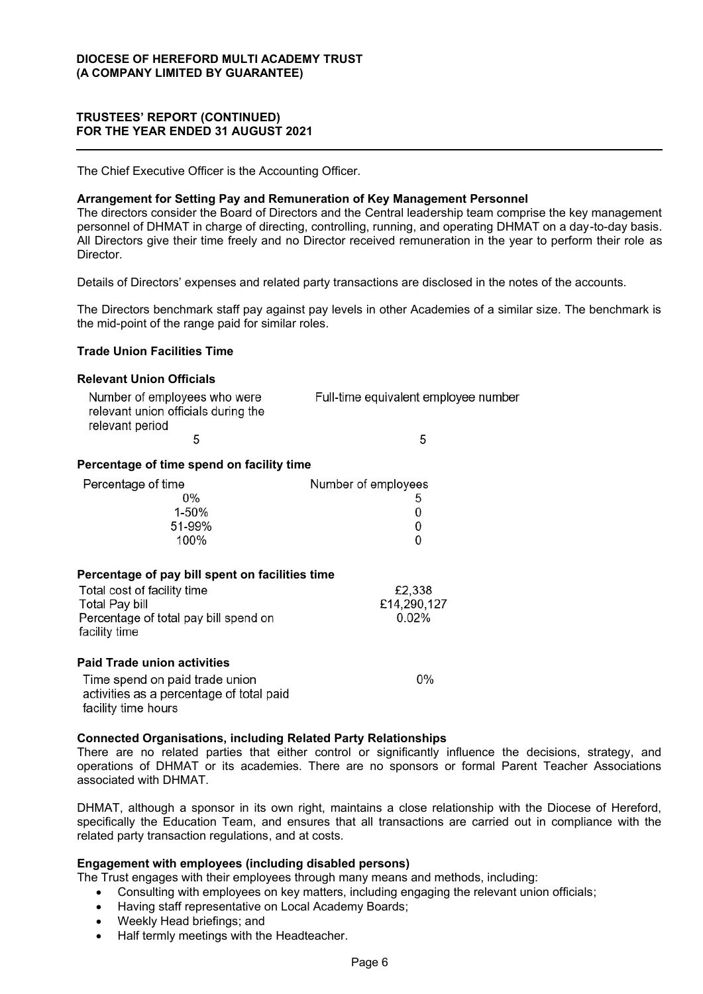The Chief Executive Officer is the Accounting Officer.

#### **Arrangement for Setting Pay and Remuneration of Key Management Personnel**

The directors consider the Board of Directors and the Central leadership team comprise the key management personnel of DHMAT in charge of directing, controlling, running, and operating DHMAT on a day-to-day basis. All Directors give their time freely and no Director received remuneration in the year to perform their role as Director.

Details of Directors' expenses and related party transactions are disclosed in the notes of the accounts.

The Directors benchmark staff pay against pay levels in other Academies of a similar size. The benchmark is the mid-point of the range paid for similar roles.

## **Trade Union Facilities Time**

#### **Relevant Union Officials**

| Number of employees who were        | Full-time equivalent employee number |
|-------------------------------------|--------------------------------------|
| relevant union officials during the |                                      |
| relevant period                     |                                      |
|                                     |                                      |

## **Percentage of time spend on facility time**

| Percentage of time | Number of employees |
|--------------------|---------------------|
| 0%                 | 5                   |
| 1-50%              | 0                   |
| 51-99%             | 0                   |
| 100%               | 0                   |

#### **Percentage of pay bill spent on facilities time**

| Total cost of facility time           | £2.338      |
|---------------------------------------|-------------|
| Total Pay bill                        | £14,290,127 |
| Percentage of total pay bill spend on | 0.02%       |
| facility time                         |             |

#### **Paid Trade union activities**

Time spend on paid trade union activities as a percentage of total paid facility time hours

## **Connected Organisations, including Related Party Relationships**

There are no related parties that either control or significantly influence the decisions, strategy, and operations of DHMAT or its academies. There are no sponsors or formal Parent Teacher Associations associated with DHMAT.

 $0%$ 

DHMAT, although a sponsor in its own right, maintains a close relationship with the Diocese of Hereford, specifically the Education Team, and ensures that all transactions are carried out in compliance with the related party transaction regulations, and at costs.

## **Engagement with employees (including disabled persons)**

The Trust engages with their employees through many means and methods, including:

- Consulting with employees on key matters, including engaging the relevant union officials;
- Having staff representative on Local Academy Boards;
- Weekly Head briefings; and
- Half termly meetings with the Headteacher.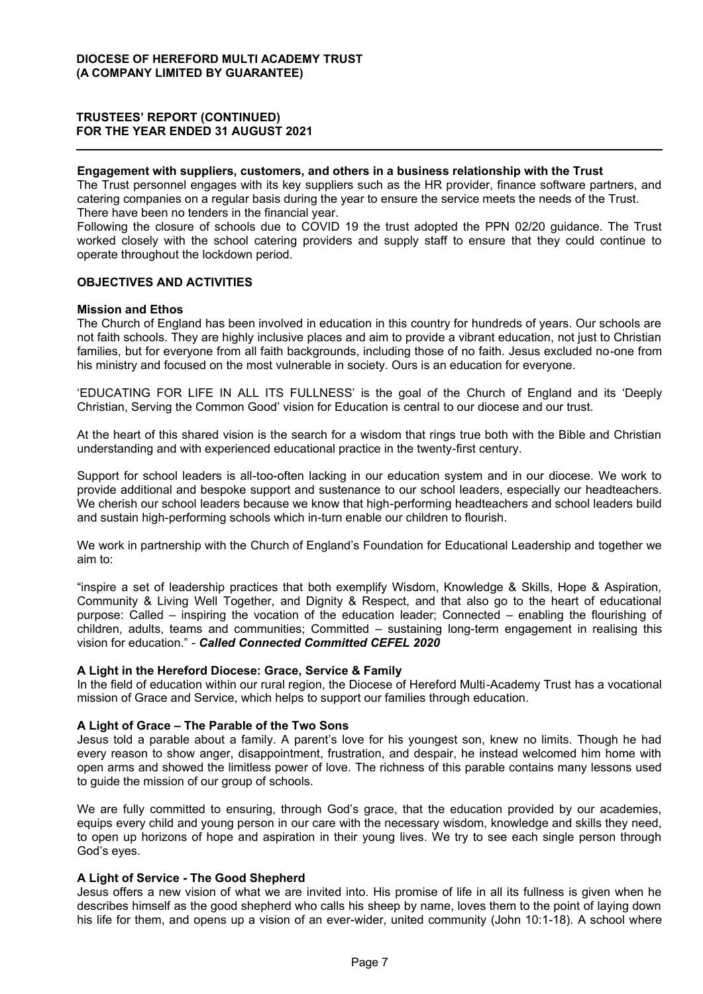#### **Engagement with suppliers, customers, and others in a business relationship with the Trust**

The Trust personnel engages with its key suppliers such as the HR provider, finance software partners, and catering companies on a regular basis during the year to ensure the service meets the needs of the Trust. There have been no tenders in the financial year.

Following the closure of schools due to COVID 19 the trust adopted the PPN 02/20 guidance. The Trust worked closely with the school catering providers and supply staff to ensure that they could continue to operate throughout the lockdown period.

## **OBJECTIVES AND ACTIVITIES**

#### **Mission and Ethos**

The Church of England has been involved in education in this country for hundreds of years. Our schools are not faith schools. They are highly inclusive places and aim to provide a vibrant education, not just to Christian families, but for everyone from all faith backgrounds, including those of no faith. Jesus excluded no-one from his ministry and focused on the most vulnerable in society. Ours is an education for everyone.

'EDUCATING FOR LIFE IN ALL ITS FULLNESS' is the goal of the Church of England and its 'Deeply Christian, Serving the Common Good' vision for Education is central to our diocese and our trust.

At the heart of this shared vision is the search for a wisdom that rings true both with the Bible and Christian understanding and with experienced educational practice in the twenty-first century.

Support for school leaders is all-too-often lacking in our education system and in our diocese. We work to provide additional and bespoke support and sustenance to our school leaders, especially our headteachers. We cherish our school leaders because we know that high-performing headteachers and school leaders build and sustain high-performing schools which in-turn enable our children to flourish.

We work in partnership with the Church of England's Foundation for Educational Leadership and together we aim to:

"inspire a set of leadership practices that both exemplify Wisdom, Knowledge & Skills, Hope & Aspiration, Community & Living Well Together, and Dignity & Respect, and that also go to the heart of educational purpose: Called – inspiring the vocation of the education leader; Connected – enabling the flourishing of children, adults, teams and communities; Committed – sustaining long-term engagement in realising this vision for education." - Called Connected Committed CEFEL 2020

## **A Light in the Hereford Diocese: Grace, Service & Family**

In the field of education within our rural region, the Diocese of Hereford Multi-Academy Trust has a vocational mission of Grace and Service, which helps to support our families through education.

#### **A Light of Grace ± The Parable of the Two Sons**

Jesus told a parable about a family. A parent's love for his youngest son, knew no limits. Though he had every reason to show anger, disappointment, frustration, and despair, he instead welcomed him home with open arms and showed the limitless power of love. The richness of this parable contains many lessons used to guide the mission of our group of schools.

We are fully committed to ensuring, through God's grace, that the education provided by our academies, equips every child and young person in our care with the necessary wisdom, knowledge and skills they need, to open up horizons of hope and aspiration in their young lives. We try to see each single person through God's eyes.

## **A Light of Service - The Good Shepherd**

Jesus offers a new vision of what we are invited into. His promise of life in all its fullness is given when he describes himself as the good shepherd who calls his sheep by name, loves them to the point of laying down his life for them, and opens up a vision of an ever-wider, united community (John 10:1-18). A school where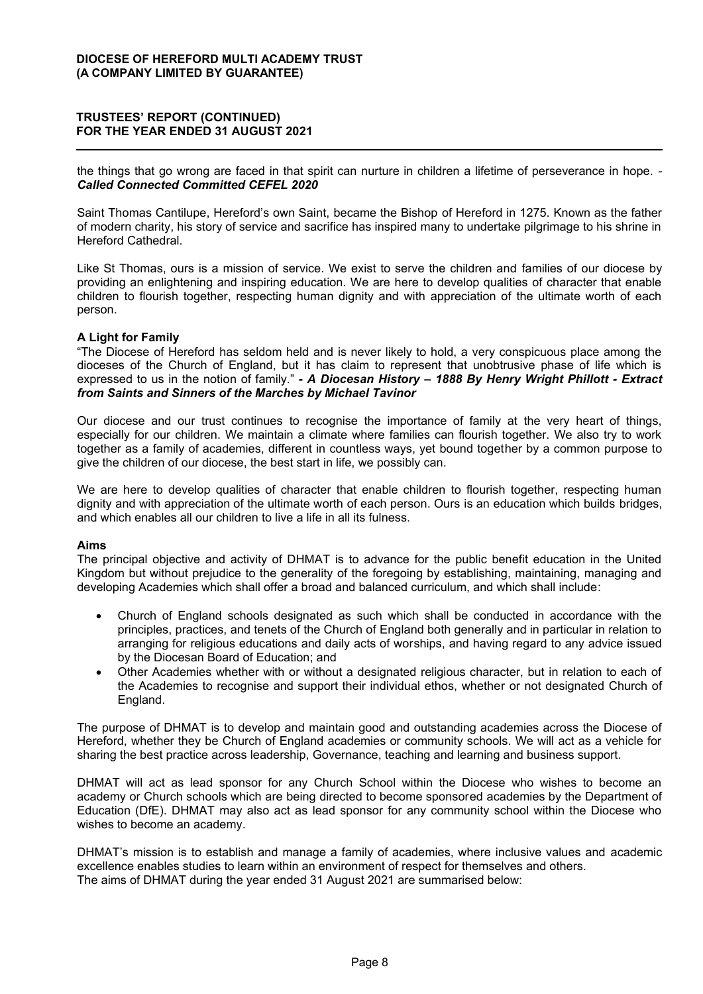the things that go wrong are faced in that spirit can nurture in children a lifetime of perseverance in hope. - *Called Connected Committed CEFEL 2020*

Saint Thomas Cantilupe, Hereford's own Saint, became the Bishop of Hereford in 1275. Known as the father of modern charity, his story of service and sacrifice has inspired many to undertake pilgrimage to his shrine in Hereford Cathedral.

Like St Thomas, ours is a mission of service. We exist to serve the children and families of our diocese by providing an enlightening and inspiring education. We are here to develop qualities of character that enable children to flourish together, respecting human dignity and with appreciation of the ultimate worth of each person.

## **A Light for Family**

"The Diocese of Hereford has seldom held and is never likely to hold, a very conspicuous place among the dioceses of the Church of England, but it has claim to represent that unobtrusive phase of life which is expressed to us in the notion of family." - A Diocesan History - 1888 By Henry Wright Phillott - Extract *from Saints and Sinners of the Marches by Michael Tavinor*

Our diocese and our trust continues to recognise the importance of family at the very heart of things, especially for our children. We maintain a climate where families can flourish together. We also try to work together as a family of academies, different in countless ways, yet bound together by a common purpose to give the children of our diocese, the best start in life, we possibly can.

We are here to develop qualities of character that enable children to flourish together, respecting human dignity and with appreciation of the ultimate worth of each person. Ours is an education which builds bridges, and which enables all our children to live a life in all its fulness.

## **Aims**

The principal objective and activity of DHMAT is to advance for the public benefit education in the United Kingdom but without prejudice to the generality of the foregoing by establishing, maintaining, managing and developing Academies which shall offer a broad and balanced curriculum, and which shall include:

- Church of England schools designated as such which shall be conducted in accordance with the principles, practices, and tenets of the Church of England both generally and in particular in relation to arranging for religious educations and daily acts of worships, and having regard to any advice issued by the Diocesan Board of Education; and
- Other Academies whether with or without a designated religious character, but in relation to each of the Academies to recognise and support their individual ethos, whether or not designated Church of England.

The purpose of DHMAT is to develop and maintain good and outstanding academies across the Diocese of Hereford, whether they be Church of England academies or community schools. We will act as a vehicle for sharing the best practice across leadership, Governance, teaching and learning and business support.

DHMAT will act as lead sponsor for any Church School within the Diocese who wishes to become an academy or Church schools which are being directed to become sponsored academies by the Department of Education (DfE). DHMAT may also act as lead sponsor for any community school within the Diocese who wishes to become an academy.

DHMAT's mission is to establish and manage a family of academies, where inclusive values and academic excellence enables studies to learn within an environment of respect for themselves and others. The aims of DHMAT during the year ended 31 August 2021 are summarised below: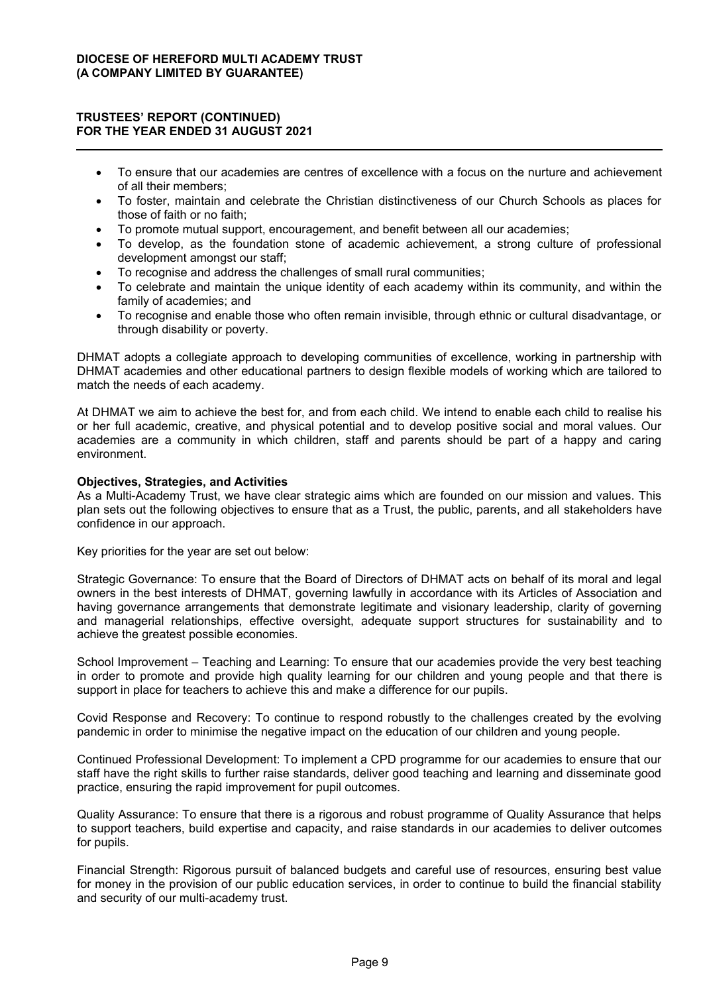- To ensure that our academies are centres of excellence with a focus on the nurture and achievement of all their members;
- To foster, maintain and celebrate the Christian distinctiveness of our Church Schools as places for those of faith or no faith;
- To promote mutual support, encouragement, and benefit between all our academies;
- To develop, as the foundation stone of academic achievement, a strong culture of professional development amongst our staff;
- To recognise and address the challenges of small rural communities;
- To celebrate and maintain the unique identity of each academy within its community, and within the family of academies; and
- To recognise and enable those who often remain invisible, through ethnic or cultural disadvantage, or through disability or poverty.

DHMAT adopts a collegiate approach to developing communities of excellence, working in partnership with DHMAT academies and other educational partners to design flexible models of working which are tailored to match the needs of each academy.

At DHMAT we aim to achieve the best for, and from each child. We intend to enable each child to realise his or her full academic, creative, and physical potential and to develop positive social and moral values. Our academies are a community in which children, staff and parents should be part of a happy and caring environment.

## **Objectives, Strategies, and Activities**

As a Multi-Academy Trust, we have clear strategic aims which are founded on our mission and values. This plan sets out the following objectives to ensure that as a Trust, the public, parents, and all stakeholders have confidence in our approach.

Key priorities for the year are set out below:

Strategic Governance: To ensure that the Board of Directors of DHMAT acts on behalf of its moral and legal owners in the best interests of DHMAT, governing lawfully in accordance with its Articles of Association and having governance arrangements that demonstrate legitimate and visionary leadership, clarity of governing and managerial relationships, effective oversight, adequate support structures for sustainability and to achieve the greatest possible economies.

School Improvement – Teaching and Learning: To ensure that our academies provide the very best teaching in order to promote and provide high quality learning for our children and young people and that there is support in place for teachers to achieve this and make a difference for our pupils.

Covid Response and Recovery: To continue to respond robustly to the challenges created by the evolving pandemic in order to minimise the negative impact on the education of our children and young people.

Continued Professional Development: To implement a CPD programme for our academies to ensure that our staff have the right skills to further raise standards, deliver good teaching and learning and disseminate good practice, ensuring the rapid improvement for pupil outcomes.

Quality Assurance: To ensure that there is a rigorous and robust programme of Quality Assurance that helps to support teachers, build expertise and capacity, and raise standards in our academies to deliver outcomes for pupils.

Financial Strength: Rigorous pursuit of balanced budgets and careful use of resources, ensuring best value for money in the provision of our public education services, in order to continue to build the financial stability and security of our multi-academy trust.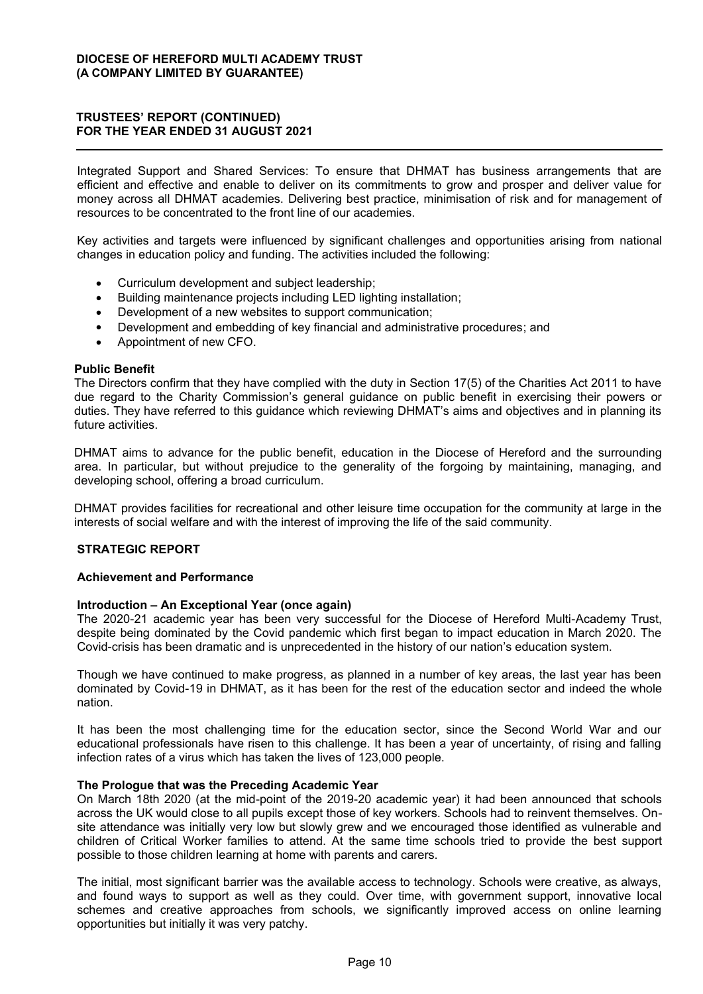Integrated Support and Shared Services: To ensure that DHMAT has business arrangements that are efficient and effective and enable to deliver on its commitments to grow and prosper and deliver value for money across all DHMAT academies. Delivering best practice, minimisation of risk and for management of resources to be concentrated to the front line of our academies.

Key activities and targets were influenced by significant challenges and opportunities arising from national changes in education policy and funding. The activities included the following:

- Curriculum development and subject leadership;
- Building maintenance projects including LED lighting installation;
- Development of a new websites to support communication;
- Development and embedding of key financial and administrative procedures; and
- Appointment of new CFO.

#### **Public Benefit**

The Directors confirm that they have complied with the duty in Section 17(5) of the Charities Act 2011 to have due regard to the Charity Commission's general quidance on public benefit in exercising their powers or duties. They have referred to this quidance which reviewing DHMAT's aims and objectives and in planning its future activities

DHMAT aims to advance for the public benefit, education in the Diocese of Hereford and the surrounding area. In particular, but without prejudice to the generality of the forgoing by maintaining, managing, and developing school, offering a broad curriculum.

DHMAT provides facilities for recreational and other leisure time occupation for the community at large in the interests of social welfare and with the interest of improving the life of the said community.

## **STRATEGIC REPORT**

#### **Achievement and Performance**

#### **Introduction ± An Exceptional Year (once again)**

The 2020-21 academic year has been very successful for the Diocese of Hereford Multi-Academy Trust, despite being dominated by the Covid pandemic which first began to impact education in March 2020. The Covid-crisis has been dramatic and is unprecedented in the history of our nation's education system.

Though we have continued to make progress, as planned in a number of key areas, the last year has been dominated by Covid-19 in DHMAT, as it has been for the rest of the education sector and indeed the whole nation.

It has been the most challenging time for the education sector, since the Second World War and our educational professionals have risen to this challenge. It has been a year of uncertainty, of rising and falling infection rates of a virus which has taken the lives of 123,000 people.

#### **The Prologue that was the Preceding Academic Year**

On March 18th 2020 (at the mid-point of the 2019-20 academic year) it had been announced that schools across the UK would close to all pupils except those of key workers. Schools had to reinvent themselves. Onsite attendance was initially very low but slowly grew and we encouraged those identified as vulnerable and children of Critical Worker families to attend. At the same time schools tried to provide the best support possible to those children learning at home with parents and carers.

The initial, most significant barrier was the available access to technology. Schools were creative, as always, and found ways to support as well as they could. Over time, with government support, innovative local schemes and creative approaches from schools, we significantly improved access on online learning opportunities but initially it was very patchy.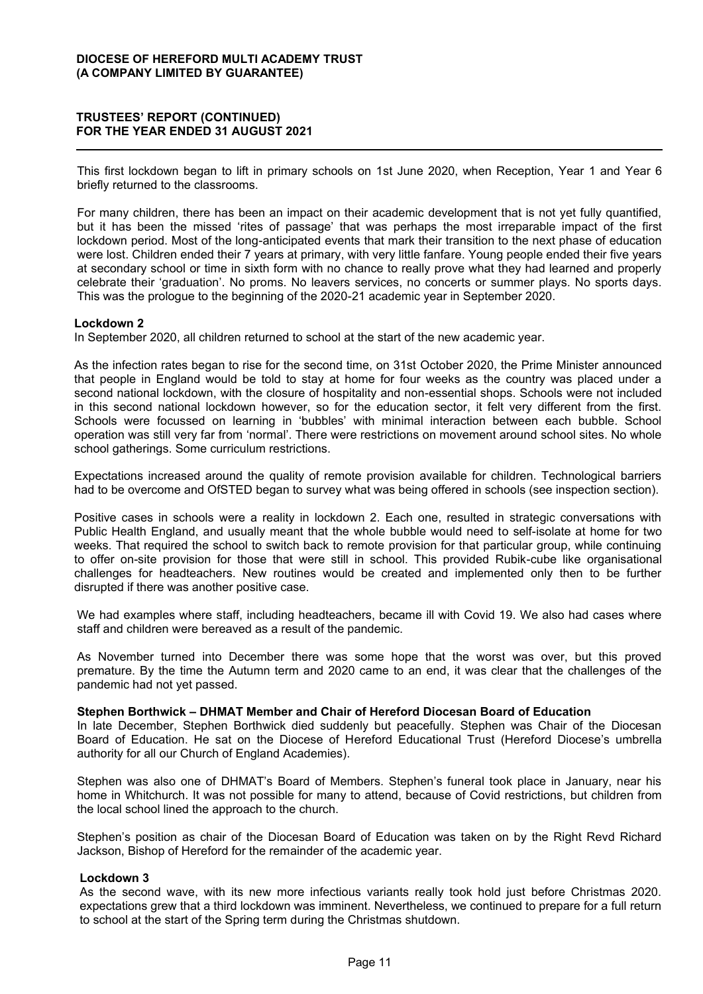## **75867((6¶5(3257 (CONTINUED) FOR THE YEAR ENDED 31 AUGUST 2021**

This first lockdown began to lift in primary schools on 1st June 2020, when Reception, Year 1 and Year 6 briefly returned to the classrooms.

For many children, there has been an impact on their academic development that is not yet fully quantified, but it has been the missed 'rites of passage' that was perhaps the most irreparable impact of the first lockdown period. Most of the long-anticipated events that mark their transition to the next phase of education were lost. Children ended their 7 years at primary, with very little fanfare. Young people ended their five years at secondary school or time in sixth form with no chance to really prove what they had learned and properly celebrate their 'graduation'. No proms. No leavers services, no concerts or summer plays. No sports days. This was the prologue to the beginning of the 2020-21 academic year in September 2020.

## **Lockdown 2**

In September 2020, all children returned to school at the start of the new academic year.

As the infection rates began to rise for the second time, on 31st October 2020, the Prime Minister announced that people in England would be told to stay at home for four weeks as the country was placed under a second national lockdown, with the closure of hospitality and non-essential shops. Schools were not included in this second national lockdown however, so for the education sector, it felt very different from the first. Schools were focussed on learning in 'bubbles' with minimal interaction between each bubble. School operation was still very far from 'normal'. There were restrictions on movement around school sites. No whole school gatherings. Some curriculum restrictions.

Expectations increased around the quality of remote provision available for children. Technological barriers had to be overcome and OfSTED began to survey what was being offered in schools (see inspection section).

Positive cases in schools were a reality in lockdown 2. Each one, resulted in strategic conversations with Public Health England, and usually meant that the whole bubble would need to self-isolate at home for two weeks. That required the school to switch back to remote provision for that particular group, while continuing to offer on-site provision for those that were still in school. This provided Rubik-cube like organisational challenges for headteachers. New routines would be created and implemented only then to be further disrupted if there was another positive case.

We had examples where staff, including headteachers, became ill with Covid 19. We also had cases where staff and children were bereaved as a result of the pandemic.

As November turned into December there was some hope that the worst was over, but this proved premature. By the time the Autumn term and 2020 came to an end, it was clear that the challenges of the pandemic had not yet passed.

#### **Stephen Borthwick ± DHMAT Member and Chair of Hereford Diocesan Board of Education**

In late December, Stephen Borthwick died suddenly but peacefully. Stephen was Chair of the Diocesan Board of Education. He sat on the Diocese of Hereford Educational Trust (Hereford Diocese's umbrella authority for all our Church of England Academies).

Stephen was also one of DHMAT's Board of Members. Stephen's funeral took place in January, near his home in Whitchurch. It was not possible for many to attend, because of Covid restrictions, but children from the local school lined the approach to the church.

Stephen's position as chair of the Diocesan Board of Education was taken on by the Right Revd Richard Jackson, Bishop of Hereford for the remainder of the academic year.

#### **Lockdown 3**

As the second wave, with its new more infectious variants really took hold just before Christmas 2020. expectations grew that a third lockdown was imminent. Nevertheless, we continued to prepare for a full return to school at the start of the Spring term during the Christmas shutdown.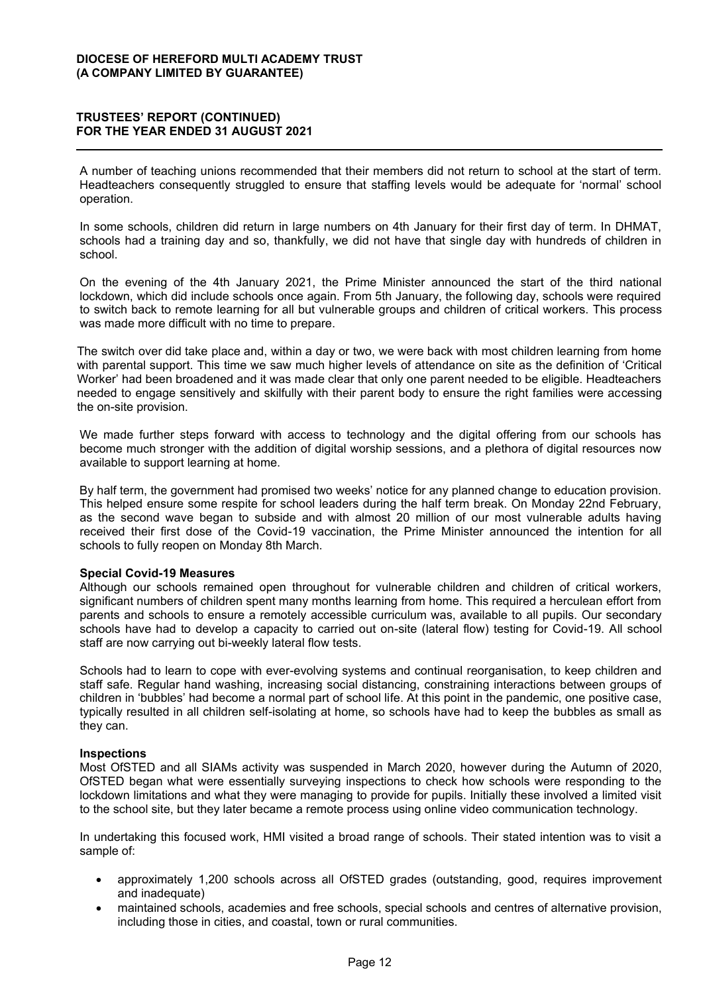A number of teaching unions recommended that their members did not return to school at the start of term. Headteachers consequently struggled to ensure that staffing levels would be adequate for 'normal' school operation.

In some schools, children did return in large numbers on 4th January for their first day of term. In DHMAT, schools had a training day and so, thankfully, we did not have that single day with hundreds of children in school.

On the evening of the 4th January 2021, the Prime Minister announced the start of the third national lockdown, which did include schools once again. From 5th January, the following day, schools were required to switch back to remote learning for all but vulnerable groups and children of critical workers. This process was made more difficult with no time to prepare.

The switch over did take place and, within a day or two, we were back with most children learning from home with parental support. This time we saw much higher levels of attendance on site as the definition of 'Critical Worker' had been broadened and it was made clear that only one parent needed to be eligible. Headteachers needed to engage sensitively and skilfully with their parent body to ensure the right families were accessing the on-site provision.

We made further steps forward with access to technology and the digital offering from our schools has become much stronger with the addition of digital worship sessions, and a plethora of digital resources now available to support learning at home.

By half term, the government had promised two weeks' notice for any planned change to education provision. This helped ensure some respite for school leaders during the half term break. On Monday 22nd February, as the second wave began to subside and with almost 20 million of our most vulnerable adults having received their first dose of the Covid-19 vaccination, the Prime Minister announced the intention for all schools to fully reopen on Monday 8th March.

#### **Special Covid-19 Measures**

Although our schools remained open throughout for vulnerable children and children of critical workers, significant numbers of children spent many months learning from home. This required a herculean effort from parents and schools to ensure a remotely accessible curriculum was, available to all pupils. Our secondary schools have had to develop a capacity to carried out on-site (lateral flow) testing for Covid-19. All school staff are now carrying out bi-weekly lateral flow tests.

Schools had to learn to cope with ever-evolving systems and continual reorganisation, to keep children and staff safe. Regular hand washing, increasing social distancing, constraining interactions between groups of children in 'bubbles' had become a normal part of school life. At this point in the pandemic, one positive case, typically resulted in all children self-isolating at home, so schools have had to keep the bubbles as small as they can.

#### **Inspections**

Most OfSTED and all SIAMs activity was suspended in March 2020, however during the Autumn of 2020, OfSTED began what were essentially surveying inspections to check how schools were responding to the lockdown limitations and what they were managing to provide for pupils. Initially these involved a limited visit to the school site, but they later became a remote process using online video communication technology.

In undertaking this focused work, HMI visited a broad range of schools. Their stated intention was to visit a sample of:

- approximately 1,200 schools across all OfSTED grades (outstanding, good, requires improvement and inadequate)
- maintained schools, academies and free schools, special schools and centres of alternative provision, including those in cities, and coastal, town or rural communities.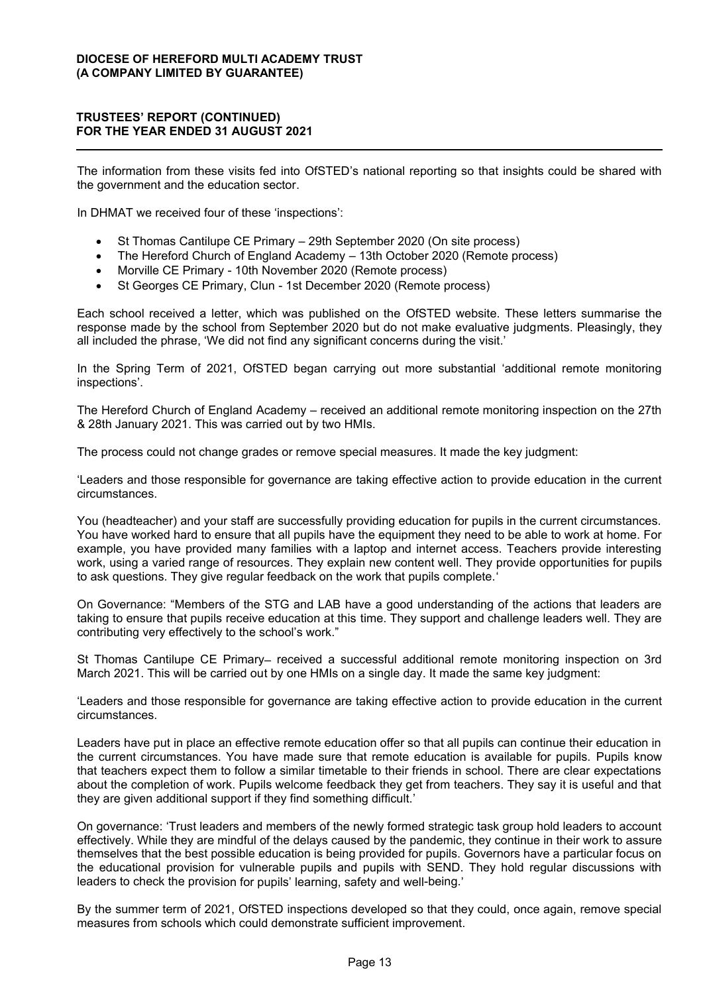The information from these visits fed into OfSTED's national reporting so that insights could be shared with the government and the education sector.

In DHMAT we received four of these 'inspections':

- St Thomas Cantilupe CE Primary 29th September 2020 (On site process)
- The Hereford Church of England Academy 13th October 2020 (Remote process)
- Morville CE Primary 10th November 2020 (Remote process)
- St Georges CE Primary, Clun 1st December 2020 (Remote process)

Each school received a letter, which was published on the OfSTED website. These letters summarise the response made by the school from September 2020 but do not make evaluative judgments. Pleasingly, they all included the phrase, 'We did not find any significant concerns during the visit.'

In the Spring Term of 2021, OfSTED began carrying out more substantial 'additional remote monitoring inspections'.

The Hereford Church of England Academy – received an additional remote monitoring inspection on the 27th & 28th January 2021. This was carried out by two HMIs.

The process could not change grades or remove special measures. It made the key judgment:

Leaders and those responsible for governance are taking effective action to provide education in the current circumstances.

You (headteacher) and your staff are successfully providing education for pupils in the current circumstances. You have worked hard to ensure that all pupils have the equipment they need to be able to work at home. For example, you have provided many families with a laptop and internet access. Teachers provide interesting work, using a varied range of resources. They explain new content well. They provide opportunities for pupils to ask questions. They give regular feedback on the work that pupils complete.

On Governance: "Members of the STG and LAB have a good understanding of the actions that leaders are taking to ensure that pupils receive education at this time. They support and challenge leaders well. They are contributing very effectively to the school's work."

St Thomas Cantilupe CE Primary– received a successful additional remote monitoring inspection on 3rd March 2021. This will be carried out by one HMIs on a single day. It made the same key judgment:

Leaders and those responsible for governance are taking effective action to provide education in the current circumstances.

Leaders have put in place an effective remote education offer so that all pupils can continue their education in the current circumstances. You have made sure that remote education is available for pupils. Pupils know that teachers expect them to follow a similar timetable to their friends in school. There are clear expectations about the completion of work. Pupils welcome feedback they get from teachers. They say it is useful and that they are given additional support if they find something difficult.'

On governance: 'Trust leaders and members of the newly formed strategic task group hold leaders to account effectively. While they are mindful of the delays caused by the pandemic, they continue in their work to assure themselves that the best possible education is being provided for pupils. Governors have a particular focus on the educational provision for vulnerable pupils and pupils with SEND. They hold regular discussions with leaders to check the provision for pupils' learning, safety and well-being.'

By the summer term of 2021, OfSTED inspections developed so that they could, once again, remove special measures from schools which could demonstrate sufficient improvement.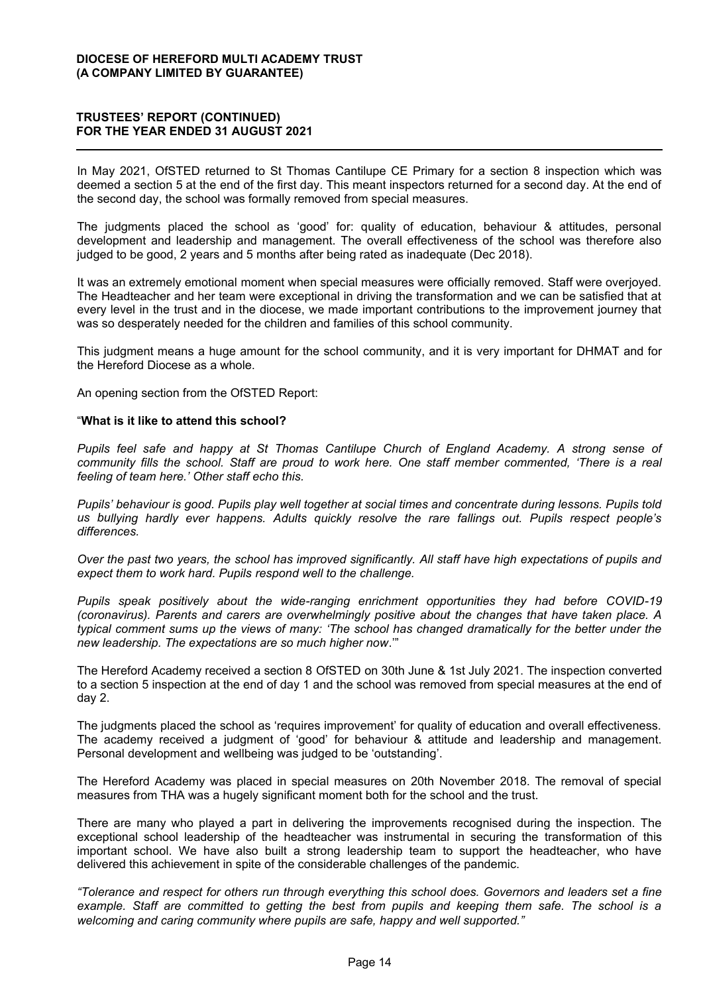In May 2021, OfSTED returned to St Thomas Cantilupe CE Primary for a section 8 inspection which was deemed a section 5 at the end of the first day. This meant inspectors returned for a second day. At the end of the second day, the school was formally removed from special measures.

The judgments placed the school as 'good' for: quality of education, behaviour & attitudes, personal development and leadership and management. The overall effectiveness of the school was therefore also judged to be good, 2 years and 5 months after being rated as inadequate (Dec 2018).

It was an extremely emotional moment when special measures were officially removed. Staff were overjoyed. The Headteacher and her team were exceptional in driving the transformation and we can be satisfied that at every level in the trust and in the diocese, we made important contributions to the improvement journey that was so desperately needed for the children and families of this school community.

This judgment means a huge amount for the school community, and it is very important for DHMAT and for the Hereford Diocese as a whole.

An opening section from the OfSTED Report:

#### ³**What is it like to attend this school?**

*Pupils feel safe and happy at St Thomas Cantilupe Church of England Academy. A strong sense of*  community fills the school. Staff are proud to work here. One staff member commented, 'There is a real *feeling of team here.' Other staff echo this.* 

Pupils' behaviour is good. Pupils play well together at social times and concentrate during lessons. Pupils told *us bullying hardly ever happens. Adults quickly resolve the rare fallings out. Pupils respect people's differences.* 

*Over the past two years, the school has improved significantly. All staff have high expectations of pupils and expect them to work hard. Pupils respond well to the challenge.* 

*Pupils speak positively about the wide-ranging enrichment opportunities they had before COVID-19 (coronavirus). Parents and carers are overwhelmingly positive about the changes that have taken place. A typical comment sums up the views of many: 'The school has changed dramatically for the better under the new leadership. The expectations are so much higher now.*"

The Hereford Academy received a section 8 OfSTED on 30th June & 1st July 2021. The inspection converted to a section 5 inspection at the end of day 1 and the school was removed from special measures at the end of day 2.

The judgments placed the school as 'requires improvement' for quality of education and overall effectiveness. The academy received a judgment of 'good' for behaviour & attitude and leadership and management. Personal development and wellbeing was judged to be 'outstanding'.

The Hereford Academy was placed in special measures on 20th November 2018. The removal of special measures from THA was a hugely significant moment both for the school and the trust.

There are many who played a part in delivering the improvements recognised during the inspection. The exceptional school leadership of the headteacher was instrumental in securing the transformation of this important school. We have also built a strong leadership team to support the headteacher, who have delivered this achievement in spite of the considerable challenges of the pandemic.

*³7ROHUDQFHDQGUHVSHFWIRURWKHUVUXQWKURXJKHYHrything this school does. Governors and leaders set a fine example. Staff are committed to getting the best from pupils and keeping them safe. The school is a Welcoming and caring community where pupils are safe, happy and well supported."*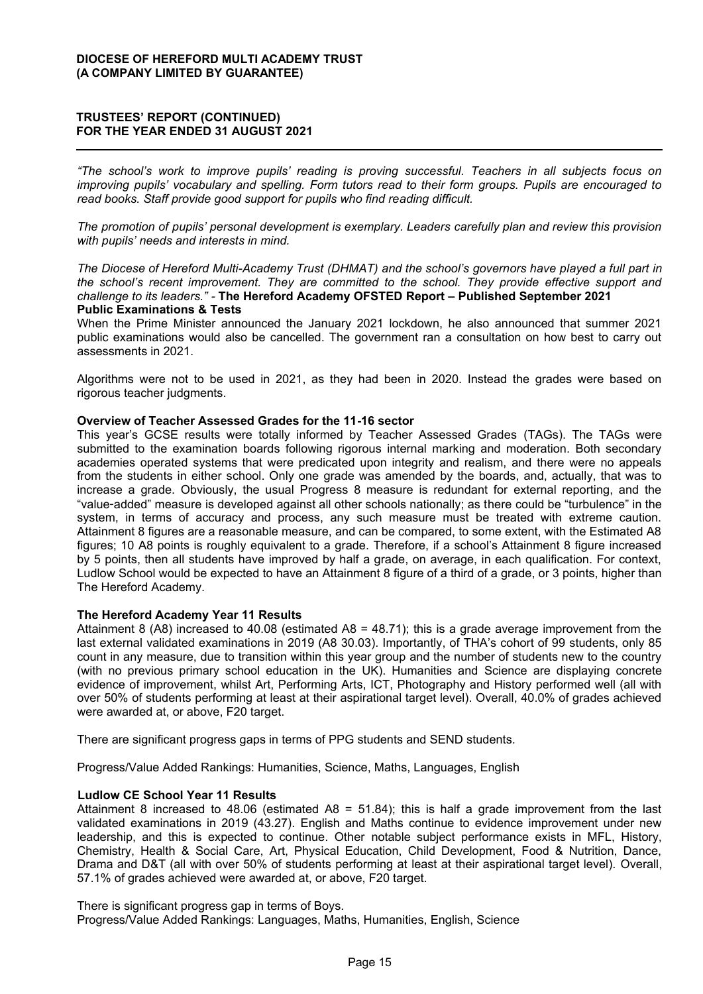*³7KH VFKRRO¶V ZRUN WR LPSURYH SXSLOV¶ UHDGLQJ LV SURYLQJ VXFFHVVIXO 7HDFKHUV LQ DOO VXEMHFWV IRFXV RQ Improving pupils' vocabulary and spelling. Form tutors read to their form groups. Pupils are encouraged to read books. Staff provide good support for pupils who find reading difficult.* 

The promotion of pupils' personal development is exemplary. Leaders carefully plan and review this provision *with pupils' needs and interests in mind.* 

*The Diocese of Hereford Multi-Academy Trust (DHMAT) and the school's governors have played a full part in Ihe school's recent improvement. They are committed to the school. They provide effective support and FKDOOHQJHWRLWVOHDGHUV´ -* **The Hereford Academy OFSTED Report ± Published September 2021 Public Examinations & Tests** 

When the Prime Minister announced the January 2021 lockdown, he also announced that summer 2021 public examinations would also be cancelled. The government ran a consultation on how best to carry out assessments in 2021.

Algorithms were not to be used in 2021, as they had been in 2020. Instead the grades were based on rigorous teacher judgments.

## **Overview of Teacher Assessed Grades for the 11-16 sector**

This year's GCSE results were totally informed by Teacher Assessed Grades (TAGs). The TAGs were submitted to the examination boards following rigorous internal marking and moderation. Both secondary academies operated systems that were predicated upon integrity and realism, and there were no appeals from the students in either school. Only one grade was amended by the boards, and, actually, that was to increase a grade. Obviously, the usual Progress 8 measure is redundant for external reporting, and the "value-added" measure is developed against all other schools nationally: as there could be "turbulence" in the system, in terms of accuracy and process, any such measure must be treated with extreme caution. Attainment 8 figures are a reasonable measure, and can be compared, to some extent, with the Estimated A8 figures; 10 A8 points is roughly equivalent to a grade. Therefore, if a school's Attainment 8 figure increased by 5 points, then all students have improved by half a grade, on average, in each qualification. For context, Ludlow School would be expected to have an Attainment 8 figure of a third of a grade, or 3 points, higher than The Hereford Academy.

#### **The Hereford Academy Year 11 Results**

Attainment 8 (A8) increased to 40.08 (estimated A8 = 48.71); this is a grade average improvement from the last external validated examinations in 2019 (A8 30.03). Importantly, of THA's cohort of 99 students, only 85 count in any measure, due to transition within this year group and the number of students new to the country (with no previous primary school education in the UK). Humanities and Science are displaying concrete evidence of improvement, whilst Art, Performing Arts, ICT, Photography and History performed well (all with over 50% of students performing at least at their aspirational target level). Overall, 40.0% of grades achieved were awarded at, or above, F20 target.

There are significant progress gaps in terms of PPG students and SEND students.

Progress/Value Added Rankings: Humanities, Science, Maths, Languages, English

## **Ludlow CE School Year 11 Results**

Attainment 8 increased to 48.06 (estimated A8 = 51.84); this is half a grade improvement from the last validated examinations in 2019 (43.27). English and Maths continue to evidence improvement under new leadership, and this is expected to continue. Other notable subject performance exists in MFL, History, Chemistry, Health & Social Care, Art, Physical Education, Child Development, Food & Nutrition, Dance, Drama and D&T (all with over 50% of students performing at least at their aspirational target level). Overall, 57.1% of grades achieved were awarded at, or above, F20 target.

There is significant progress gap in terms of Boys. Progress/Value Added Rankings: Languages, Maths, Humanities, English, Science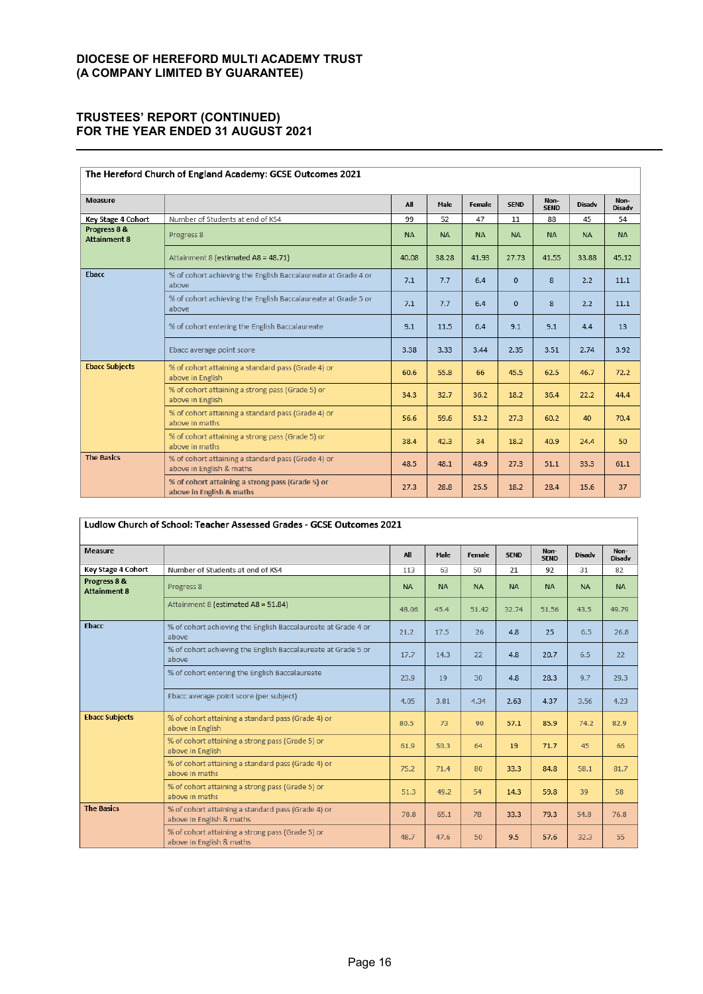## **75867((6¶5(3257 (CONTINUED) FOR THE YEAR ENDED 31 AUGUST 2021**

| The Hereford Church of England Academy: GCSE Outcomes 2021 |                                                                                |           |           |           |              |                     |               |                       |
|------------------------------------------------------------|--------------------------------------------------------------------------------|-----------|-----------|-----------|--------------|---------------------|---------------|-----------------------|
| <b>Measure</b>                                             |                                                                                | All       | Male      | Female    | <b>SEND</b>  | Non-<br><b>SEND</b> | <b>Disadv</b> | Non-<br><b>Disadv</b> |
| Key Stage 4 Cohort                                         | Number of Students at end of KS4                                               | 99        | 52        | 47        | 11           | 88                  | 45            | 54                    |
| Progress 8 &<br><b>Attainment 8</b>                        | Progress 8                                                                     | <b>NA</b> | <b>NA</b> | <b>NA</b> | <b>NA</b>    | <b>NA</b>           | <b>NA</b>     | <b>NA</b>             |
|                                                            | Attainment 8 (estimated A8 = 48.71)                                            | 40.08     | 38.28     | 41.93     | 27.73        | 41.55               | 33.88         | 45.12                 |
| Ebacc                                                      | % of cohort achieving the English Baccalaureate at Grade 4 or<br>above         | 7.1       | 7.7       | 6.4       | $\mathbf{0}$ | 8                   | 2.2           | 11.1                  |
|                                                            | % of cohort achieving the English Baccalaureate at Grade 5 or<br>above         | 7.1       | 7.7       | 6.4       | $\Omega$     | 8                   | 2.2           | 11.1                  |
|                                                            | % of cohort entering the English Baccalaureate                                 | 9.1       | 11.5      | 6.4       | 9.1          | 9.1                 | 4.4           | 13                    |
|                                                            | Ebacc average point score                                                      | 3.38      | 3.33      | 3.44      | 2.35         | 3.51                | 2.74          | 3.92                  |
| <b>Ebacc Subjects</b>                                      | % of cohort attaining a standard pass (Grade 4) or<br>above in English         | 60.6      | 55.8      | 66        | 45.5         | 62.5                | 46.7          | 72.2                  |
|                                                            | % of cohort attaining a strong pass (Grade 5) or<br>above in English           | 34.3      | 32.7      | 36.2      | 18.2         | 36.4                | 22.2          | 44.4                  |
|                                                            | % of cohort attaining a standard pass (Grade 4) or<br>above in maths           | 56.6      | 59.6      | 53.2      | 27.3         | 60.2                | 40            | 70.4                  |
|                                                            | % of cohort attaining a strong pass (Grade 5) or<br>above in maths             | 38.4      | 42.3      | 34        | 18.2         | 40.9                | 24.4          | 50                    |
| <b>The Basics</b>                                          | % of cohort attaining a standard pass (Grade 4) or<br>above in English & maths | 48.5      | 48.1      | 48.9      | 27.3         | 51.1                | 33.3          | 61.1                  |
|                                                            | % of cohort attaining a strong pass (Grade 5) or<br>above in English & maths   | 27.3      | 28.8      | 25.5      | 18.2         | 28.4                | 15.6          | 37                    |

| Ludlow Church of School: Teacher Assessed Grades - GCSE Outcomes 2021 |                                                                                |           |           |           |             |                     |               |                       |
|-----------------------------------------------------------------------|--------------------------------------------------------------------------------|-----------|-----------|-----------|-------------|---------------------|---------------|-----------------------|
| <b>Measure</b>                                                        |                                                                                | All       | Male      | Female    | <b>SEND</b> | Non-<br><b>SEND</b> | <b>Disadv</b> | Non-<br><b>Disadv</b> |
| <b>Key Stage 4 Cohort</b>                                             | Number of Students at end of KS4                                               | 113       | 63        | 50        | 21          | 92                  | 31            | 82                    |
| Progress 8 &<br><b>Attainment 8</b>                                   | Progress 8                                                                     | <b>NA</b> | <b>NA</b> | <b>NA</b> | <b>NA</b>   | <b>NA</b>           | <b>NA</b>     | <b>NA</b>             |
|                                                                       | Attainment 8 (estimated A8 = 51.84)                                            | 48.06     | 45.4      | 51.42     | 32.74       | 51.56               | 43.5          | 49.79                 |
| Ebacc                                                                 | % of cohort achieving the English Baccalaureate at Grade 4 or<br>above         | 21.2      | 17.5      | 26        | 4.8         | 25                  | 6.5           | 26.8                  |
|                                                                       | % of cohort achieving the English Baccalaureate at Grade 5 or<br>above         | 17.7      | 14.3      | 22        | 4.8         | 20.7                | 6.5           | 22                    |
|                                                                       | % of cohort entering the English Baccalaureate                                 | 23.9      | 19        | 30        | 4.8         | 28.3                | 9.7           | 29.3                  |
|                                                                       | Ebacc average point score (per subject)                                        | 4.05      | 3.81      | 4.34      | 2.63        | 4.37                | 3.56          | 4.23                  |
| <b>Ebacc Subjects</b>                                                 | % of cohort attaining a standard pass (Grade 4) or<br>above in English         | 80.5      | 73        | 90        | 57.1        | 85.9                | 74.2          | 82.9                  |
|                                                                       | % of cohort attaining a strong pass (Grade 5) or<br>above in English           | 61.9      | 50.3      | 64        | 19          | 71.7                | 45            | 66                    |
|                                                                       | % of cohort attaining a standard pass (Grade 4) or<br>above in maths           | 75.2      | 71.4      | 80        | 33.3        | 84.8                | 58.1          | 81.7                  |
|                                                                       | % of cohort attaining a strong pass (Grade 5) or<br>above in maths             | 51.3      | 49.2      | 54        | 14.3        | 59.8                | 39            | 58                    |
| <b>The Basics</b>                                                     | % of cohort attaining a standard pass (Grade 4) or<br>above in English & maths | 70.8      | 65.1      | 78        | 33.3        | 79.3                | 54.8          | 76.8                  |
|                                                                       | % of cohort attaining a strong pass (Grade 5) or<br>above in English & maths   | 48.7      | 47.6      | 50        | 9.5         | 57.6                | 32.3          | 55                    |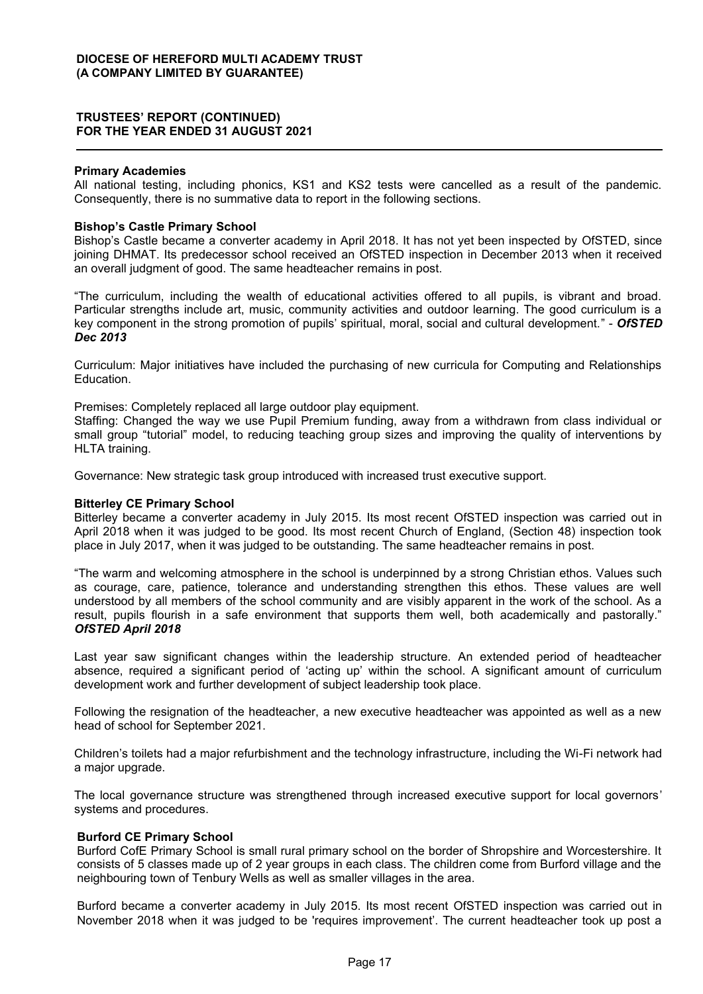#### **Primary Academies**

All national testing, including phonics, KS1 and KS2 tests were cancelled as a result of the pandemic. Consequently, there is no summative data to report in the following sections.

#### **Bishop's Castle Primary School**

Bishop's Castle became a converter academy in April 2018. It has not yet been inspected by OfSTED, since joining DHMAT. Its predecessor school received an OfSTED inspection in December 2013 when it received an overall judgment of good. The same headteacher remains in post.

³The curriculum, including the wealth of educational activities offered to all pupils, is vibrant and broad. Particular strengths include art, music, community activities and outdoor learning. The good curriculum is a key component in the strong promotion of pupils' spiritual, moral, social and cultural development." - **OfSTED** *Dec 2013*

Curriculum: Major initiatives have included the purchasing of new curricula for Computing and Relationships Education.

Premises: Completely replaced all large outdoor play equipment.

Staffing: Changed the way we use Pupil Premium funding, away from a withdrawn from class individual or small group "tutorial" model, to reducing teaching group sizes and improving the quality of interventions by HLTA training.

Governance: New strategic task group introduced with increased trust executive support.

#### **Bitterley CE Primary School**

Bitterley became a converter academy in July 2015. Its most recent OfSTED inspection was carried out in April 2018 when it was judged to be good. Its most recent Church of England, (Section 48) inspection took place in July 2017, when it was judged to be outstanding. The same headteacher remains in post.

"The warm and welcoming atmosphere in the school is underpinned by a strong Christian ethos. Values such as courage, care, patience, tolerance and understanding strengthen this ethos. These values are well understood by all members of the school community and are visibly apparent in the work of the school. As a result, pupils flourish in a safe environment that supports them well, both academically and pastorally." *OfSTED April 2018*

Last year saw significant changes within the leadership structure. An extended period of headteacher absence, required a significant period of 'acting up' within the school. A significant amount of curriculum development work and further development of subject leadership took place.

Following the resignation of the headteacher, a new executive headteacher was appointed as well as a new head of school for September 2021.

Children's toilets had a major refurbishment and the technology infrastructure, including the Wi-Fi network had a major upgrade.

The local governance structure was strengthened through increased executive support for local governors' systems and procedures.

#### **Burford CE Primary School**

Burford CofE Primary School is small rural primary school on the border of Shropshire and Worcestershire. It consists of 5 classes made up of 2 year groups in each class. The children come from Burford village and the neighbouring town of Tenbury Wells as well as smaller villages in the area.

Burford became a converter academy in July 2015. Its most recent OfSTED inspection was carried out in November 2018 when it was judged to be 'requires improvement'. The current headteacher took up post a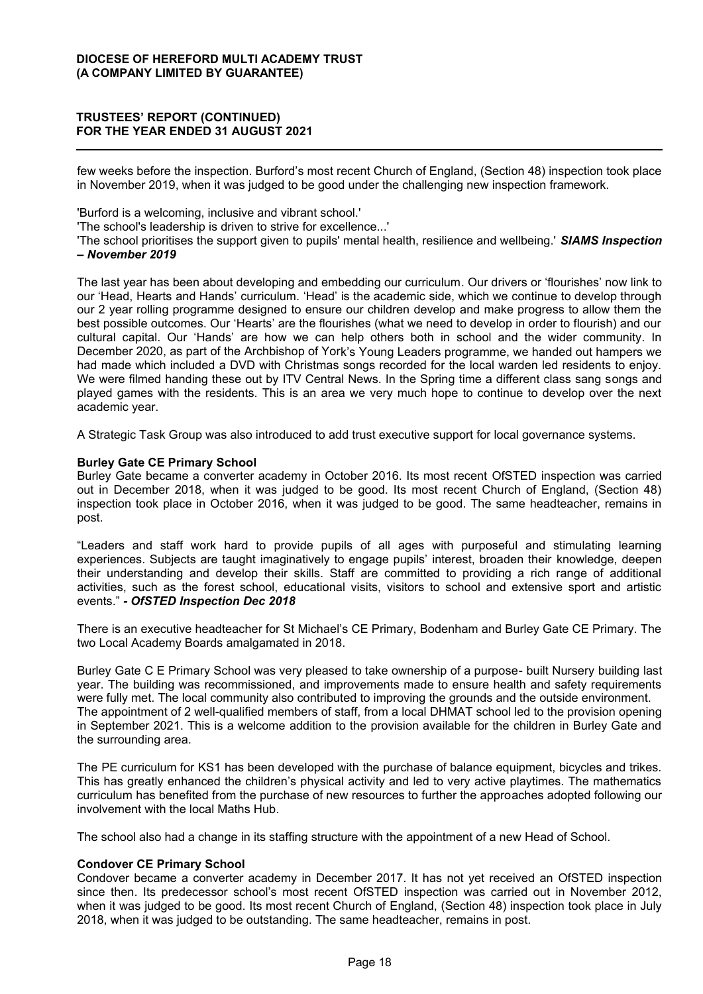few weeks before the inspection. Burford's most recent Church of England, (Section 48) inspection took place in November 2019, when it was judged to be good under the challenging new inspection framework.

'Burford is a welcoming, inclusive and vibrant school.'

'The school's leadership is driven to strive for excellence...'

'The school prioritises the support given to pupils' mental health, resilience and wellbeing.' *SIAMS Inspection ± November 2019*

The last year has been about developing and embedding our curriculum. Our drivers or 'flourishes' now link to our 'Head, Hearts and Hands' curriculum. 'Head' is the academic side, which we continue to develop through our 2 year rolling programme designed to ensure our children develop and make progress to allow them the best possible outcomes. Our 'Hearts' are the flourishes (what we need to develop in order to flourish) and our cultural capital. Our 'Hands' are how we can help others both in school and the wider community. In December 2020, as part of the Archbishop of York's Young Leaders programme, we handed out hampers we had made which included a DVD with Christmas songs recorded for the local warden led residents to enjoy. We were filmed handing these out by ITV Central News. In the Spring time a different class sang songs and played games with the residents. This is an area we very much hope to continue to develop over the next academic year.

A Strategic Task Group was also introduced to add trust executive support for local governance systems.

#### **Burley Gate CE Primary School**

Burley Gate became a converter academy in October 2016. Its most recent OfSTED inspection was carried out in December 2018, when it was judged to be good. Its most recent Church of England, (Section 48) inspection took place in October 2016, when it was judged to be good. The same headteacher, remains in post.

"Leaders and staff work hard to provide pupils of all ages with purposeful and stimulating learning experiences. Subjects are taught imaginatively to engage pupils' interest, broaden their knowledge, deepen their understanding and develop their skills. Staff are committed to providing a rich range of additional activities, such as the forest school, educational visits, visitors to school and extensive sport and artistic events." - OfSTED Inspection Dec 2018

There is an executive headteacher for St Michael's CE Primary, Bodenham and Burley Gate CE Primary. The two Local Academy Boards amalgamated in 2018.

Burley Gate C E Primary School was very pleased to take ownership of a purpose- built Nursery building last year. The building was recommissioned, and improvements made to ensure health and safety requirements were fully met. The local community also contributed to improving the grounds and the outside environment. The appointment of 2 well-qualified members of staff, from a local DHMAT school led to the provision opening in September 2021. This is a welcome addition to the provision available for the children in Burley Gate and the surrounding area.

The PE curriculum for KS1 has been developed with the purchase of balance equipment, bicycles and trikes. This has greatly enhanced the children's physical activity and led to very active playtimes. The mathematics curriculum has benefited from the purchase of new resources to further the approaches adopted following our involvement with the local Maths Hub.

The school also had a change in its staffing structure with the appointment of a new Head of School.

#### **Condover CE Primary School**

Condover became a converter academy in December 2017. It has not yet received an OfSTED inspection since then. Its predecessor school's most recent OfSTED inspection was carried out in November 2012, when it was judged to be good. Its most recent Church of England, (Section 48) inspection took place in July 2018, when it was judged to be outstanding. The same headteacher, remains in post.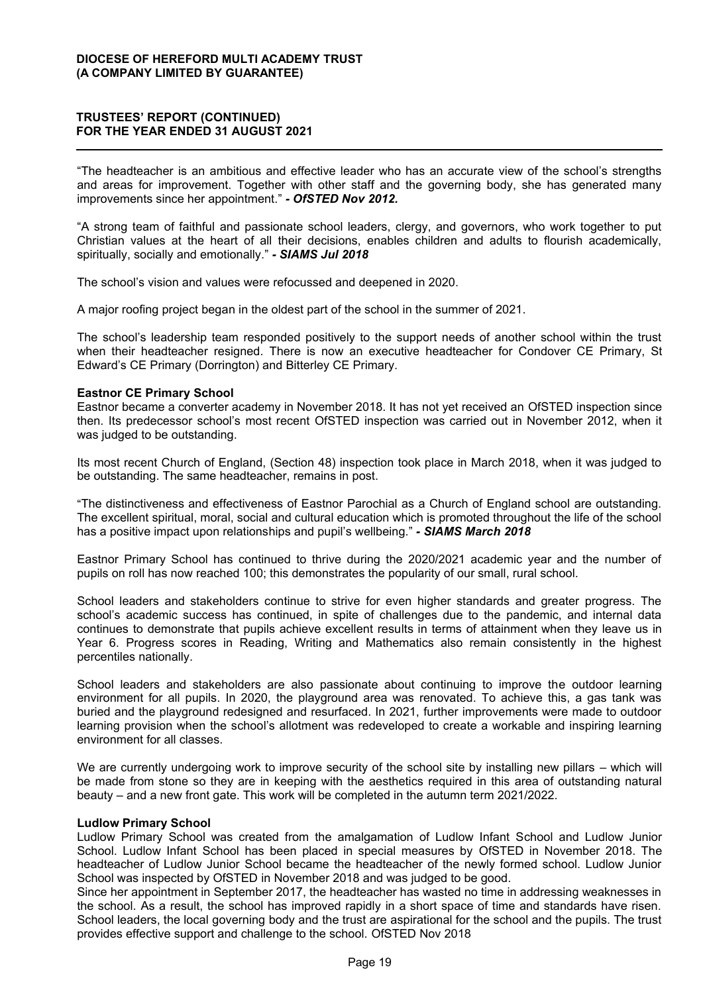"The headteacher is an ambitious and effective leader who has an accurate view of the school's strengths and areas for improvement. Together with other staff and the governing body, she has generated many improvements since her appointment.´*- OfSTED Nov 2012.*

³A strong team of faithful and passionate school leaders, clergy, and governors, who work together to put Christian values at the heart of all their decisions, enables children and adults to flourish academically, spiritually, socially and emotionally.´*- SIAMS Jul 2018*

The school's vision and values were refocussed and deepened in 2020.

A major roofing project began in the oldest part of the school in the summer of 2021.

The school's leadership team responded positively to the support needs of another school within the trust when their headteacher resigned. There is now an executive headteacher for Condover CE Primary, St Edward's CE Primary (Dorrington) and Bitterley CE Primary.

#### **Eastnor CE Primary School**

Eastnor became a converter academy in November 2018. It has not yet received an OfSTED inspection since then. Its predecessor school's most recent OfSTED inspection was carried out in November 2012, when it was judged to be outstanding.

Its most recent Church of England, (Section 48) inspection took place in March 2018, when it was judged to be outstanding. The same headteacher, remains in post.

³The distinctiveness and effectiveness of Eastnor Parochial as a Church of England school are outstanding. The excellent spiritual, moral, social and cultural education which is promoted throughout the life of the school has a positive impact upon relationships and pupil's wellbeing." - **SIAMS March 2018** 

Eastnor Primary School has continued to thrive during the 2020/2021 academic year and the number of pupils on roll has now reached 100; this demonstrates the popularity of our small, rural school.

School leaders and stakeholders continue to strive for even higher standards and greater progress. The school's academic success has continued, in spite of challenges due to the pandemic, and internal data continues to demonstrate that pupils achieve excellent results in terms of attainment when they leave us in Year 6. Progress scores in Reading, Writing and Mathematics also remain consistently in the highest percentiles nationally.

School leaders and stakeholders are also passionate about continuing to improve the outdoor learning environment for all pupils. In 2020, the playground area was renovated. To achieve this, a gas tank was buried and the playground redesigned and resurfaced. In 2021, further improvements were made to outdoor learning provision when the school's allotment was redeveloped to create a workable and inspiring learning environment for all classes.

We are currently undergoing work to improve security of the school site by installing new pillars – which will be made from stone so they are in keeping with the aesthetics required in this area of outstanding natural beauty – and a new front gate. This work will be completed in the autumn term 2021/2022.

#### **Ludlow Primary School**

Ludlow Primary School was created from the amalgamation of Ludlow Infant School and Ludlow Junior School. Ludlow Infant School has been placed in special measures by OfSTED in November 2018. The headteacher of Ludlow Junior School became the headteacher of the newly formed school. Ludlow Junior School was inspected by OfSTED in November 2018 and was judged to be good.

Since her appointment in September 2017, the headteacher has wasted no time in addressing weaknesses in the school. As a result, the school has improved rapidly in a short space of time and standards have risen. School leaders, the local governing body and the trust are aspirational for the school and the pupils. The trust provides effective support and challenge to the school. OfSTED Nov 2018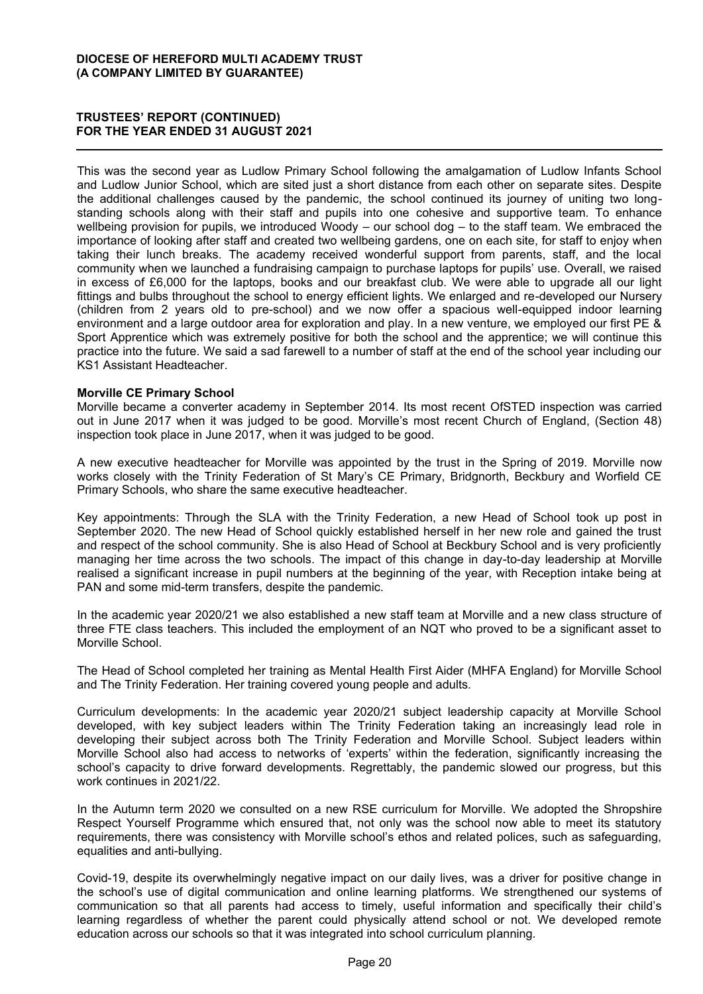## **75867((6¶5(3257 (CONTINUED) FOR THE YEAR ENDED 31 AUGUST 2021**

This was the second year as Ludlow Primary School following the amalgamation of Ludlow Infants School and Ludlow Junior School, which are sited just a short distance from each other on separate sites. Despite the additional challenges caused by the pandemic, the school continued its journey of uniting two longstanding schools along with their staff and pupils into one cohesive and supportive team. To enhance wellbeing provision for pupils, we introduced Woody  $-$  our school dog  $-$  to the staff team. We embraced the importance of looking after staff and created two wellbeing gardens, one on each site, for staff to enjoy when taking their lunch breaks. The academy received wonderful support from parents, staff, and the local community when we launched a fundraising campaign to purchase laptops for pupils' use. Overall, we raised in excess of £6,000 for the laptops, books and our breakfast club. We were able to upgrade all our light fittings and bulbs throughout the school to energy efficient lights. We enlarged and re-developed our Nursery (children from 2 years old to pre-school) and we now offer a spacious well-equipped indoor learning environment and a large outdoor area for exploration and play. In a new venture, we employed our first PE & Sport Apprentice which was extremely positive for both the school and the apprentice; we will continue this practice into the future. We said a sad farewell to a number of staff at the end of the school year including our KS1 Assistant Headteacher.

#### **Morville CE Primary School**

Morville became a converter academy in September 2014. Its most recent OfSTED inspection was carried out in June 2017 when it was judged to be good. Morville's most recent Church of England. (Section 48) inspection took place in June 2017, when it was judged to be good.

A new executive headteacher for Morville was appointed by the trust in the Spring of 2019. Morville now works closely with the Trinity Federation of St Mary's CE Primary, Bridgnorth, Beckbury and Worfield CE Primary Schools, who share the same executive headteacher.

Key appointments: Through the SLA with the Trinity Federation, a new Head of School took up post in September 2020. The new Head of School quickly established herself in her new role and gained the trust and respect of the school community. She is also Head of School at Beckbury School and is very proficiently managing her time across the two schools. The impact of this change in day-to-day leadership at Morville realised a significant increase in pupil numbers at the beginning of the year, with Reception intake being at PAN and some mid-term transfers, despite the pandemic.

In the academic year 2020/21 we also established a new staff team at Morville and a new class structure of three FTE class teachers. This included the employment of an NQT who proved to be a significant asset to Morville School.

The Head of School completed her training as Mental Health First Aider (MHFA England) for Morville School and The Trinity Federation. Her training covered young people and adults.

Curriculum developments: In the academic year 2020/21 subject leadership capacity at Morville School developed, with key subject leaders within The Trinity Federation taking an increasingly lead role in developing their subject across both The Trinity Federation and Morville School. Subject leaders within Morville School also had access to networks of 'experts' within the federation, significantly increasing the school's capacity to drive forward developments. Regrettably, the pandemic slowed our progress, but this work continues in 2021/22.

In the Autumn term 2020 we consulted on a new RSE curriculum for Morville. We adopted the Shropshire Respect Yourself Programme which ensured that, not only was the school now able to meet its statutory requirements, there was consistency with Morville school's ethos and related polices, such as safequarding, equalities and anti-bullying.

Covid-19, despite its overwhelmingly negative impact on our daily lives, was a driver for positive change in the school's use of digital communication and online learning platforms. We strengthened our systems of communication so that all parents had access to timely, useful information and specifically their child's learning regardless of whether the parent could physically attend school or not. We developed remote education across our schools so that it was integrated into school curriculum planning.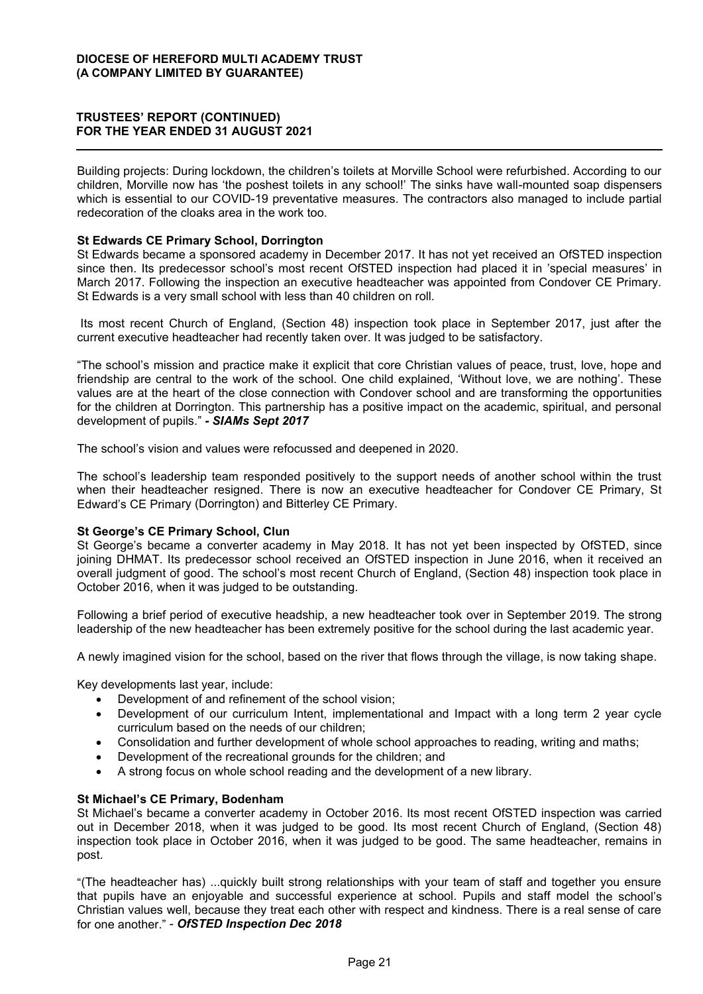Building projects: During lockdown, the children's toilets at Morville School were refurbished. According to our children, Morville now has 'the poshest toilets in any school!' The sinks have wall-mounted soap dispensers which is essential to our COVID-19 preventative measures. The contractors also managed to include partial redecoration of the cloaks area in the work too.

## **St Edwards CE Primary School, Dorrington**

St Edwards became a sponsored academy in December 2017. It has not yet received an OfSTED inspection since then. Its predecessor school's most recent OfSTED inspection had placed it in 'special measures' in March 2017. Following the inspection an executive headteacher was appointed from Condover CE Primary. St Edwards is a very small school with less than 40 children on roll.

Its most recent Church of England, (Section 48) inspection took place in September 2017, just after the current executive headteacher had recently taken over. It was judged to be satisfactory.

"The school's mission and practice make it explicit that core Christian values of peace, trust, love, hope and friendship are central to the work of the school. One child explained, 'Without love, we are nothing'. These values are at the heart of the close connection with Condover school and are transforming the opportunities for the children at Dorrington. This partnership has a positive impact on the academic, spiritual, and personal development of pupils.´*- SIAMs Sept 2017*

The school's vision and values were refocussed and deepened in 2020.

The school's leadership team responded positively to the support needs of another school within the trust when their headteacher resigned. There is now an executive headteacher for Condover CE Primary, St Edward's CE Primary (Dorrington) and Bitterley CE Primary.

## **St George's CE Primary School, Clun**

St George's became a converter academy in May 2018. It has not yet been inspected by OfSTED, since joining DHMAT. Its predecessor school received an OfSTED inspection in June 2016, when it received an overall judgment of good. The school's most recent Church of England, (Section 48) inspection took place in October 2016, when it was judged to be outstanding.

Following a brief period of executive headship, a new headteacher took over in September 2019. The strong leadership of the new headteacher has been extremely positive for the school during the last academic year.

A newly imagined vision for the school, based on the river that flows through the village, is now taking shape.

Key developments last year, include:

- Development of and refinement of the school vision;
- Development of our curriculum Intent, implementational and Impact with a long term 2 year cycle curriculum based on the needs of our children;
- Consolidation and further development of whole school approaches to reading, writing and maths;
- Development of the recreational grounds for the children; and
- x A strong focus on whole school reading and the development of a new library.

#### **St Michael's CE Primary, Bodenham**

St Michael's became a converter academy in October 2016. Its most recent OfSTED inspection was carried out in December 2018, when it was judged to be good. Its most recent Church of England, (Section 48) inspection took place in October 2016, when it was judged to be good. The same headteacher, remains in post.

³(The headteacher has) ...quickly built strong relationships with your team of staff and together you ensure that pupils have an enjoyable and successful experience at school. Pupils and staff model the school's Christian values well, because they treat each other with respect and kindness. There is a real sense of care for one another." - OfSTED Inspection Dec 2018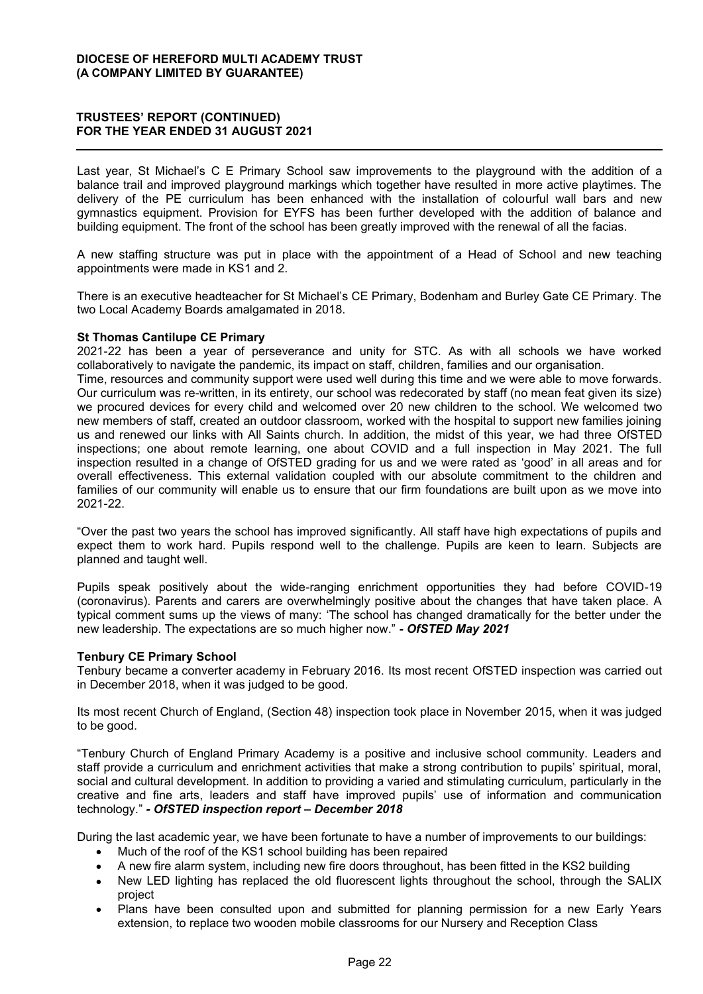Last year, St Michael's C E Primary School saw improvements to the playground with the addition of a balance trail and improved playground markings which together have resulted in more active playtimes. The delivery of the PE curriculum has been enhanced with the installation of colourful wall bars and new gymnastics equipment. Provision for EYFS has been further developed with the addition of balance and building equipment. The front of the school has been greatly improved with the renewal of all the facias.

A new staffing structure was put in place with the appointment of a Head of School and new teaching appointments were made in KS1 and 2.

There is an executive headteacher for St Michael's CE Primary, Bodenham and Burley Gate CE Primary. The two Local Academy Boards amalgamated in 2018.

## **St Thomas Cantilupe CE Primary**

2021-22 has been a year of perseverance and unity for STC. As with all schools we have worked collaboratively to navigate the pandemic, its impact on staff, children, families and our organisation.

Time, resources and community support were used well during this time and we were able to move forwards. Our curriculum was re-written, in its entirety, our school was redecorated by staff (no mean feat given its size) we procured devices for every child and welcomed over 20 new children to the school. We welcomed two new members of staff, created an outdoor classroom, worked with the hospital to support new families joining us and renewed our links with All Saints church. In addition, the midst of this year, we had three OfSTED inspections; one about remote learning, one about COVID and a full inspection in May 2021. The full inspection resulted in a change of OfSTED grading for us and we were rated as 'good' in all areas and for overall effectiveness. This external validation coupled with our absolute commitment to the children and families of our community will enable us to ensure that our firm foundations are built upon as we move into 2021-22.

"Over the past two years the school has improved significantly. All staff have high expectations of pupils and expect them to work hard. Pupils respond well to the challenge. Pupils are keen to learn. Subjects are planned and taught well.

Pupils speak positively about the wide-ranging enrichment opportunities they had before COVID-19 (coronavirus). Parents and carers are overwhelmingly positive about the changes that have taken place. A typical comment sums up the views of many: 'The school has changed dramatically for the better under the hew leadership. The expectations are so much higher now." - OfSTED May 2021

#### **Tenbury CE Primary School**

Tenbury became a converter academy in February 2016. Its most recent OfSTED inspection was carried out in December 2018, when it was judged to be good.

Its most recent Church of England, (Section 48) inspection took place in November 2015, when it was judged to be good.

³Tenbury Church of England Primary Academy is a positive and inclusive school community. Leaders and staff provide a curriculum and enrichment activities that make a strong contribution to pupils' spiritual, moral, social and cultural development. In addition to providing a varied and stimulating curriculum, particularly in the creative and fine arts, leaders and staff have improved pupils' use of information and communication technology.´*- OfSTED inspection report ± December 2018*

During the last academic year, we have been fortunate to have a number of improvements to our buildings:

- Much of the roof of the KS1 school building has been repaired
- x A new fire alarm system, including new fire doors throughout, has been fitted in the KS2 building
- New LED lighting has replaced the old fluorescent lights throughout the school, through the SALIX project
- Plans have been consulted upon and submitted for planning permission for a new Early Years extension, to replace two wooden mobile classrooms for our Nursery and Reception Class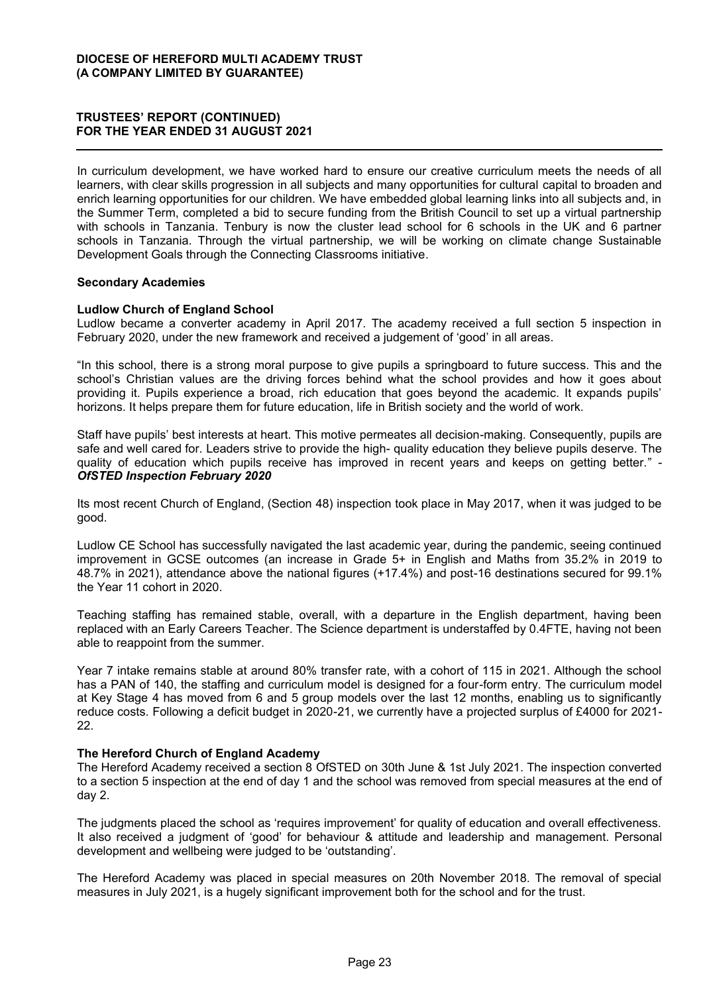In curriculum development, we have worked hard to ensure our creative curriculum meets the needs of all learners, with clear skills progression in all subjects and many opportunities for cultural capital to broaden and enrich learning opportunities for our children. We have embedded global learning links into all subjects and, in the Summer Term, completed a bid to secure funding from the British Council to set up a virtual partnership with schools in Tanzania. Tenbury is now the cluster lead school for 6 schools in the UK and 6 partner schools in Tanzania. Through the virtual partnership, we will be working on climate change Sustainable Development Goals through the Connecting Classrooms initiative.

## **Secondary Academies**

## **Ludlow Church of England School**

Ludlow became a converter academy in April 2017. The academy received a full section 5 inspection in February 2020, under the new framework and received a judgement of 'good' in all areas.

"In this school, there is a strong moral purpose to give pupils a springboard to future success. This and the school's Christian values are the driving forces behind what the school provides and how it goes about providing it. Pupils experience a broad, rich education that goes beyond the academic. It expands pupils' horizons. It helps prepare them for future education, life in British society and the world of work.

Staff have pupils' best interests at heart. This motive permeates all decision-making. Consequently, pupils are safe and well cared for. Leaders strive to provide the high- quality education they believe pupils deserve. The quality of education which pupils receive has improved in recent years and keeps on getting better." -*OfSTED Inspection February 2020*

Its most recent Church of England, (Section 48) inspection took place in May 2017, when it was judged to be good.

Ludlow CE School has successfully navigated the last academic year, during the pandemic, seeing continued improvement in GCSE outcomes (an increase in Grade 5+ in English and Maths from 35.2% in 2019 to 48.7% in 2021), attendance above the national figures (+17.4%) and post-16 destinations secured for 99.1% the Year 11 cohort in 2020.

Teaching staffing has remained stable, overall, with a departure in the English department, having been replaced with an Early Careers Teacher. The Science department is understaffed by 0.4FTE, having not been able to reappoint from the summer.

Year 7 intake remains stable at around 80% transfer rate, with a cohort of 115 in 2021. Although the school has a PAN of 140, the staffing and curriculum model is designed for a four-form entry. The curriculum model at Key Stage 4 has moved from 6 and 5 group models over the last 12 months, enabling us to significantly reduce costs. Following a deficit budget in 2020-21, we currently have a projected surplus of £4000 for 2021- 22.

#### **The Hereford Church of England Academy**

The Hereford Academy received a section 8 OfSTED on 30th June & 1st July 2021. The inspection converted to a section 5 inspection at the end of day 1 and the school was removed from special measures at the end of day 2.

The judgments placed the school as 'requires improvement' for quality of education and overall effectiveness. It also received a judgment of 'good' for behaviour & attitude and leadership and management. Personal development and wellbeing were judged to be 'outstanding'.

The Hereford Academy was placed in special measures on 20th November 2018. The removal of special measures in July 2021, is a hugely significant improvement both for the school and for the trust.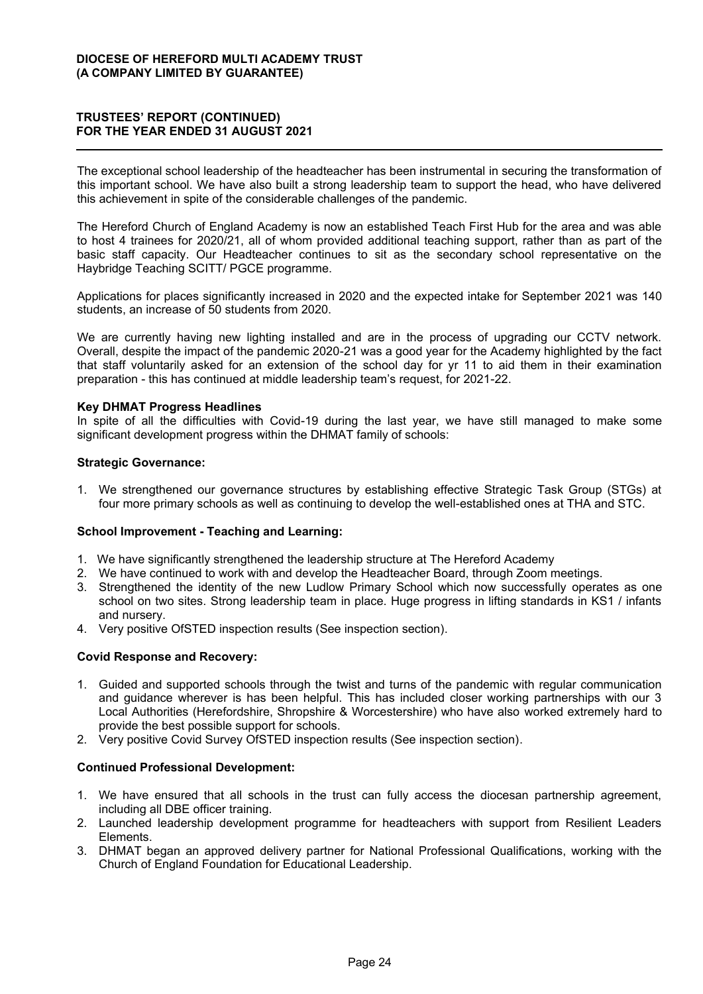The exceptional school leadership of the headteacher has been instrumental in securing the transformation of this important school. We have also built a strong leadership team to support the head, who have delivered this achievement in spite of the considerable challenges of the pandemic.

The Hereford Church of England Academy is now an established Teach First Hub for the area and was able to host 4 trainees for 2020/21, all of whom provided additional teaching support, rather than as part of the basic staff capacity. Our Headteacher continues to sit as the secondary school representative on the Haybridge Teaching SCITT/ PGCE programme.

Applications for places significantly increased in 2020 and the expected intake for September 2021 was 140 students, an increase of 50 students from 2020.

We are currently having new lighting installed and are in the process of upgrading our CCTV network. Overall, despite the impact of the pandemic 2020-21 was a good year for the Academy highlighted by the fact that staff voluntarily asked for an extension of the school day for yr 11 to aid them in their examination preparation - this has continued at middle leadership team's request, for 2021-22.

## **Key DHMAT Progress Headlines**

In spite of all the difficulties with Covid-19 during the last year, we have still managed to make some significant development progress within the DHMAT family of schools:

#### **Strategic Governance:**

1. We strengthened our governance structures by establishing effective Strategic Task Group (STGs) at four more primary schools as well as continuing to develop the well-established ones at THA and STC.

## **School Improvement - Teaching and Learning:**

- 1. We have significantly strengthened the leadership structure at The Hereford Academy
- 2. We have continued to work with and develop the Headteacher Board, through Zoom meetings.
- 3. Strengthened the identity of the new Ludlow Primary School which now successfully operates as one school on two sites. Strong leadership team in place. Huge progress in lifting standards in KS1 / infants and nursery.
- 4. Very positive OfSTED inspection results (See inspection section).

## **Covid Response and Recovery:**

- 1. Guided and supported schools through the twist and turns of the pandemic with regular communication and guidance wherever is has been helpful. This has included closer working partnerships with our 3 Local Authorities (Herefordshire, Shropshire & Worcestershire) who have also worked extremely hard to provide the best possible support for schools.
- 2. Very positive Covid Survey OfSTED inspection results (See inspection section).

#### **Continued Professional Development:**

- 1. We have ensured that all schools in the trust can fully access the diocesan partnership agreement, including all DBE officer training.
- 2. Launched leadership development programme for headteachers with support from Resilient Leaders Elements.
- 3. DHMAT began an approved delivery partner for National Professional Qualifications, working with the Church of England Foundation for Educational Leadership.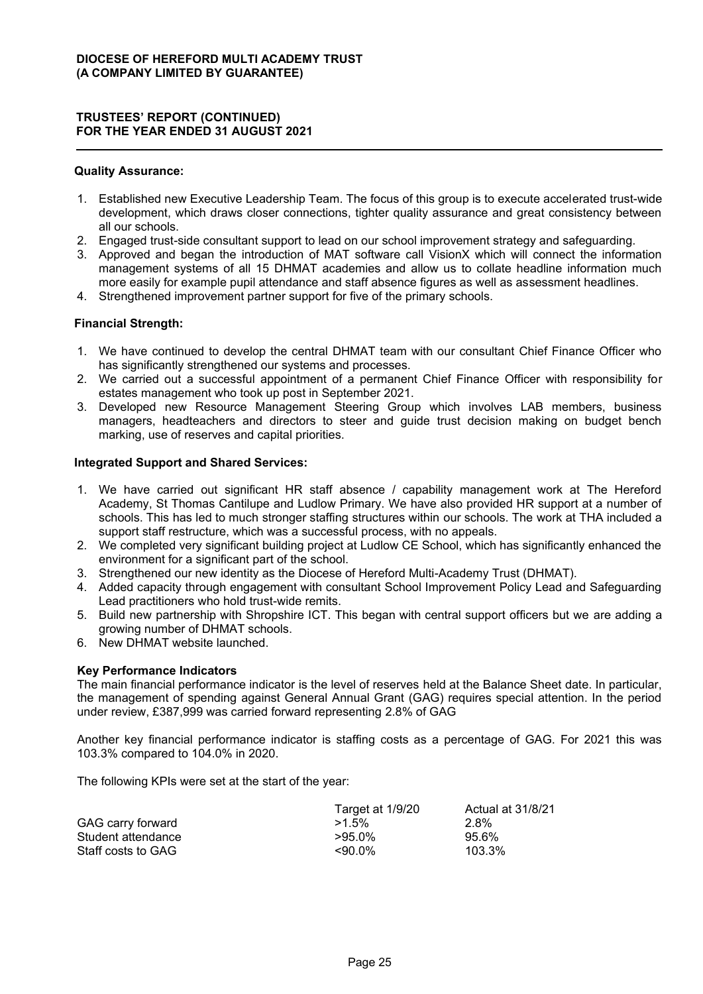#### **Quality Assurance:**

- 1. Established new Executive Leadership Team. The focus of this group is to execute accelerated trust-wide development, which draws closer connections, tighter quality assurance and great consistency between all our schools.
- 2. Engaged trust-side consultant support to lead on our school improvement strategy and safeguarding.
- 3. Approved and began the introduction of MAT software call VisionX which will connect the information management systems of all 15 DHMAT academies and allow us to collate headline information much more easily for example pupil attendance and staff absence figures as well as assessment headlines.
- 4. Strengthened improvement partner support for five of the primary schools.

## **Financial Strength:**

- 1. We have continued to develop the central DHMAT team with our consultant Chief Finance Officer who has significantly strengthened our systems and processes.
- 2. We carried out a successful appointment of a permanent Chief Finance Officer with responsibility for estates management who took up post in September 2021.
- 3. Developed new Resource Management Steering Group which involves LAB members, business managers, headteachers and directors to steer and guide trust decision making on budget bench marking, use of reserves and capital priorities.

## **Integrated Support and Shared Services:**

- 1. We have carried out significant HR staff absence / capability management work at The Hereford Academy, St Thomas Cantilupe and Ludlow Primary. We have also provided HR support at a number of schools. This has led to much stronger staffing structures within our schools. The work at THA included a support staff restructure, which was a successful process, with no appeals.
- 2. We completed very significant building project at Ludlow CE School, which has significantly enhanced the environment for a significant part of the school.
- 3. Strengthened our new identity as the Diocese of Hereford Multi-Academy Trust (DHMAT).
- 4. Added capacity through engagement with consultant School Improvement Policy Lead and Safeguarding Lead practitioners who hold trust-wide remits.
- 5. Build new partnership with Shropshire ICT. This began with central support officers but we are adding a growing number of DHMAT schools.
- 6. New DHMAT website launched.

#### **Key Performance Indicators**

The main financial performance indicator is the level of reserves held at the Balance Sheet date. In particular, the management of spending against General Annual Grant (GAG) requires special attention. In the period under review, £387,999 was carried forward representing 2.8% of GAG

Another key financial performance indicator is staffing costs as a percentage of GAG. For 2021 this was 103.3% compared to 104.0% in 2020.

The following KPIs were set at the start of the year:

|                    | Target at 1/9/20 | Actual at 31/8/21 |
|--------------------|------------------|-------------------|
| GAG carry forward  | $>1.5\%$         | 2.8%              |
| Student attendance | $>95.0\%$        | 95.6%             |
| Staff costs to GAG | <90.0%           | 103.3%            |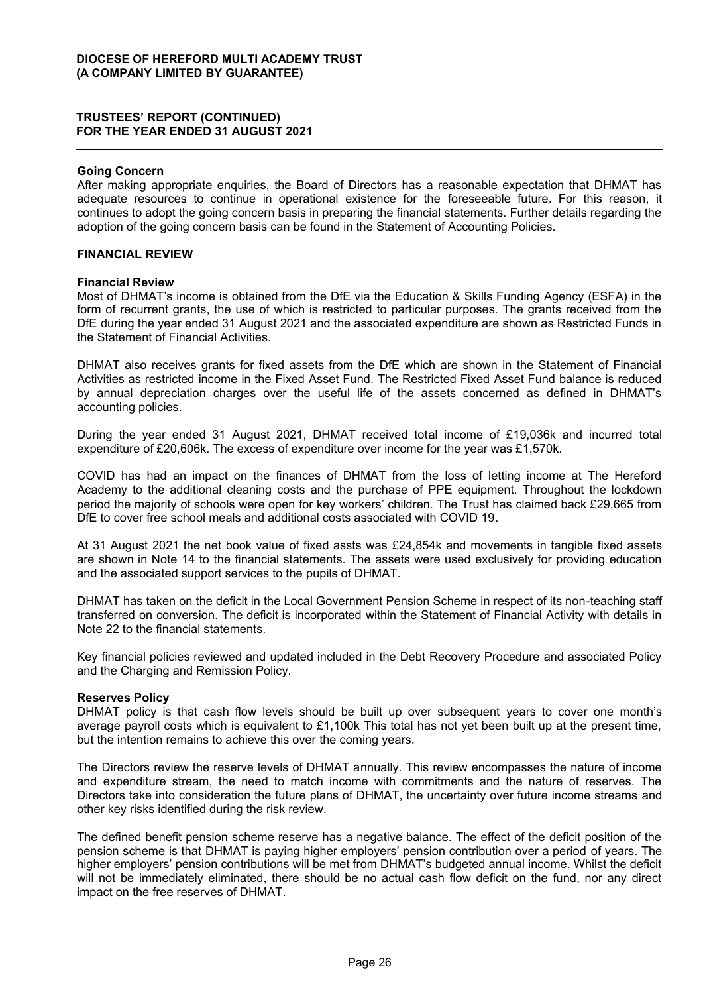#### **Going Concern**

After making appropriate enquiries, the Board of Directors has a reasonable expectation that DHMAT has adequate resources to continue in operational existence for the foreseeable future. For this reason, it continues to adopt the going concern basis in preparing the financial statements. Further details regarding the adoption of the going concern basis can be found in the Statement of Accounting Policies.

## **FINANCIAL REVIEW**

#### **Financial Review**

Most of DHMAT's income is obtained from the DfE via the Education & Skills Funding Agency (ESFA) in the form of recurrent grants, the use of which is restricted to particular purposes. The grants received from the DfE during the year ended 31 August 2021 and the associated expenditure are shown as Restricted Funds in the Statement of Financial Activities.

DHMAT also receives grants for fixed assets from the DfE which are shown in the Statement of Financial Activities as restricted income in the Fixed Asset Fund. The Restricted Fixed Asset Fund balance is reduced by annual depreciation charges over the useful life of the assets concerned as defined in DHMAT's accounting policies.

During the year ended 31 August 2021, DHMAT received total income of £19,036k and incurred total expenditure of £20,606k. The excess of expenditure over income for the year was £1,570k.

COVID has had an impact on the finances of DHMAT from the loss of letting income at The Hereford Academy to the additional cleaning costs and the purchase of PPE equipment. Throughout the lockdown period the maiority of schools were open for key workers' children. The Trust has claimed back £29,665 from DfE to cover free school meals and additional costs associated with COVID 19.

At 31 August 2021 the net book value of fixed assts was £24,854k and movements in tangible fixed assets are shown in Note 14 to the financial statements. The assets were used exclusively for providing education and the associated support services to the pupils of DHMAT.

DHMAT has taken on the deficit in the Local Government Pension Scheme in respect of its non-teaching staff transferred on conversion. The deficit is incorporated within the Statement of Financial Activity with details in Note 22 to the financial statements.

Key financial policies reviewed and updated included in the Debt Recovery Procedure and associated Policy and the Charging and Remission Policy.

#### **Reserves Policy**

DHMAT policy is that cash flow levels should be built up over subsequent years to cover one month's average payroll costs which is equivalent to £1,100k This total has not yet been built up at the present time, but the intention remains to achieve this over the coming years.

The Directors review the reserve levels of DHMAT annually. This review encompasses the nature of income and expenditure stream, the need to match income with commitments and the nature of reserves. The Directors take into consideration the future plans of DHMAT, the uncertainty over future income streams and other key risks identified during the risk review.

The defined benefit pension scheme reserve has a negative balance. The effect of the deficit position of the pension scheme is that DHMAT is paying higher employers' pension contribution over a period of years. The higher emplovers' pension contributions will be met from DHMAT's budgeted annual income. Whilst the deficit will not be immediately eliminated, there should be no actual cash flow deficit on the fund, nor any direct impact on the free reserves of DHMAT.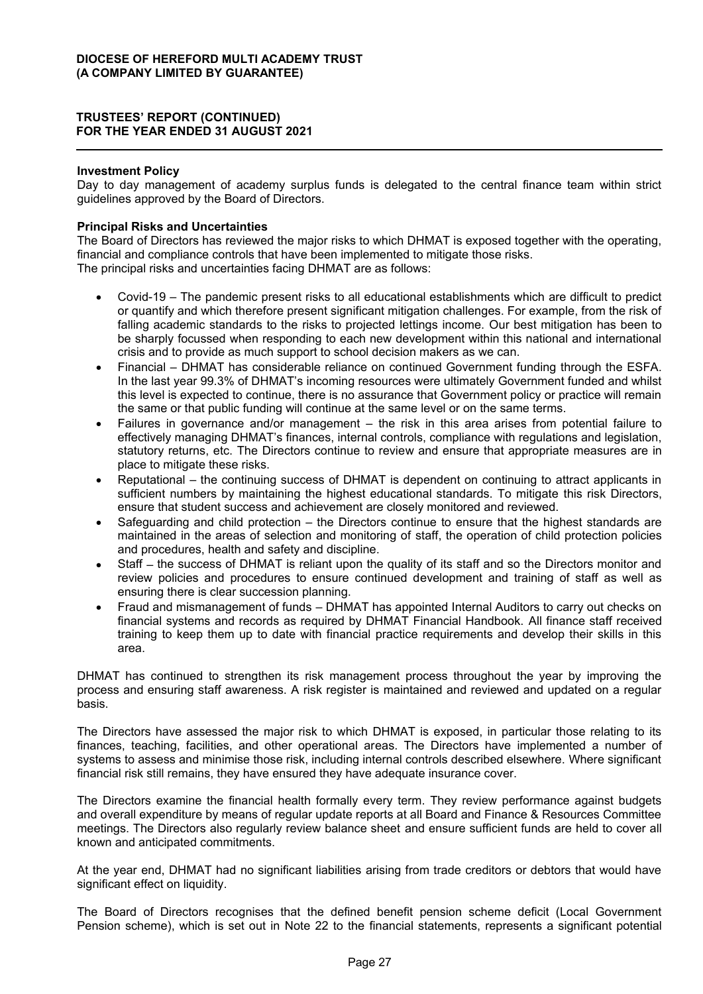## **Investment Policy**

Day to day management of academy surplus funds is delegated to the central finance team within strict guidelines approved by the Board of Directors.

## **Principal Risks and Uncertainties**

The Board of Directors has reviewed the major risks to which DHMAT is exposed together with the operating, financial and compliance controls that have been implemented to mitigate those risks. The principal risks and uncertainties facing DHMAT are as follows:

- Covid-19 The pandemic present risks to all educational establishments which are difficult to predict or quantify and which therefore present significant mitigation challenges. For example, from the risk of falling academic standards to the risks to projected lettings income. Our best mitigation has been to be sharply focussed when responding to each new development within this national and international crisis and to provide as much support to school decision makers as we can.
- Financial DHMAT has considerable reliance on continued Government funding through the ESFA. In the last year 99.3% of DHMAT's incoming resources were ultimately Government funded and whilst this level is expected to continue, there is no assurance that Government policy or practice will remain the same or that public funding will continue at the same level or on the same terms.
- Failures in governance and/or management  $-$  the risk in this area arises from potential failure to effectively managing DHMAT's finances, internal controls, compliance with regulations and legislation. statutory returns, etc. The Directors continue to review and ensure that appropriate measures are in place to mitigate these risks.
- Reputational the continuing success of DHMAT is dependent on continuing to attract applicants in sufficient numbers by maintaining the highest educational standards. To mitigate this risk Directors, ensure that student success and achievement are closely monitored and reviewed.
- Safeguarding and child protection  $-$  the Directors continue to ensure that the highest standards are maintained in the areas of selection and monitoring of staff, the operation of child protection policies and procedures, health and safety and discipline.
- Staff the success of DHMAT is reliant upon the quality of its staff and so the Directors monitor and review policies and procedures to ensure continued development and training of staff as well as ensuring there is clear succession planning.
- Fraud and mismanagement of funds DHMAT has appointed Internal Auditors to carry out checks on financial systems and records as required by DHMAT Financial Handbook. All finance staff received training to keep them up to date with financial practice requirements and develop their skills in this area.

DHMAT has continued to strengthen its risk management process throughout the year by improving the process and ensuring staff awareness. A risk register is maintained and reviewed and updated on a regular basis.

The Directors have assessed the major risk to which DHMAT is exposed, in particular those relating to its finances, teaching, facilities, and other operational areas. The Directors have implemented a number of systems to assess and minimise those risk, including internal controls described elsewhere. Where significant financial risk still remains, they have ensured they have adequate insurance cover.

The Directors examine the financial health formally every term. They review performance against budgets and overall expenditure by means of regular update reports at all Board and Finance & Resources Committee meetings. The Directors also regularly review balance sheet and ensure sufficient funds are held to cover all known and anticipated commitments.

At the year end, DHMAT had no significant liabilities arising from trade creditors or debtors that would have significant effect on liquidity.

The Board of Directors recognises that the defined benefit pension scheme deficit (Local Government Pension scheme), which is set out in Note 22 to the financial statements, represents a significant potential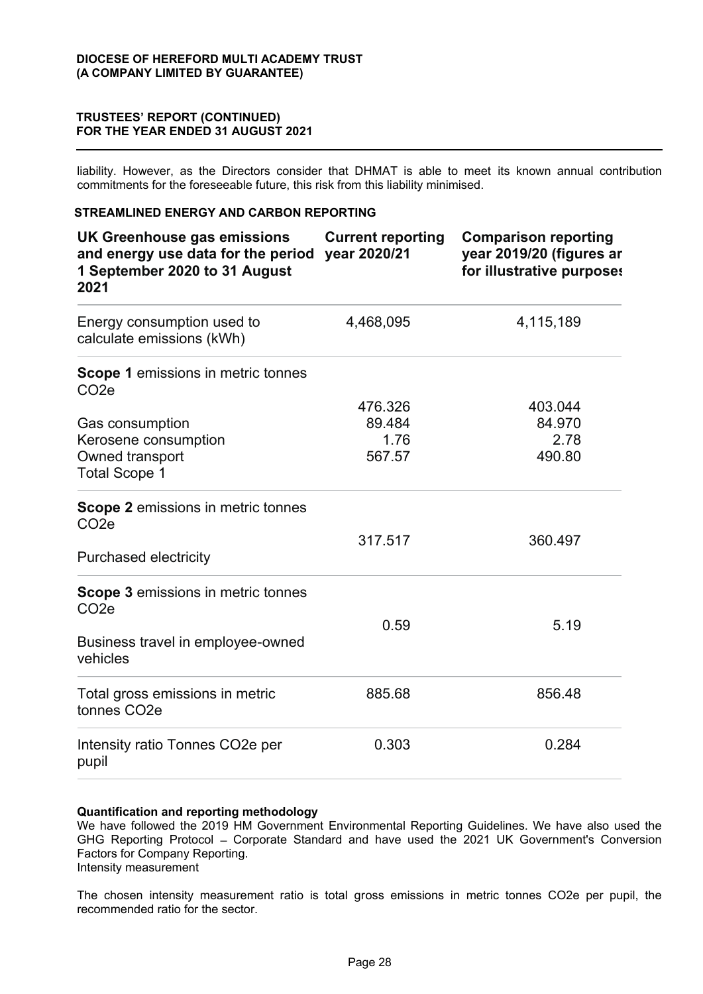liability. However, as the Directors consider that DHMAT is able to meet its known annual contribution commitments for the foreseeable future, this risk from this liability minimised.

## **STREAMLINED ENERGY AND CARBON REPORTING**

| UK Greenhouse gas emissions<br>and energy use data for the period<br>1 September 2020 to 31 August<br>2021 | <b>Current reporting</b><br>year 2020/21 | <b>Comparison reporting</b><br>year 2019/20 (figures ar<br>for illustrative purposes |
|------------------------------------------------------------------------------------------------------------|------------------------------------------|--------------------------------------------------------------------------------------|
| Energy consumption used to<br>calculate emissions (kWh)                                                    | 4,468,095                                | 4,115,189                                                                            |
| <b>Scope 1</b> emissions in metric tonnes<br>CO <sub>2</sub> e                                             |                                          |                                                                                      |
|                                                                                                            | 476.326                                  | 403.044                                                                              |
| <b>Gas consumption</b>                                                                                     | 89.484                                   | 84.970                                                                               |
| Kerosene consumption                                                                                       | 1.76                                     | 2.78                                                                                 |
| Owned transport<br><b>Total Scope 1</b>                                                                    | 567.57                                   | 490.80                                                                               |
| <b>Scope 2 emissions in metric tonnes</b><br>CO <sub>2</sub> e                                             |                                          |                                                                                      |
|                                                                                                            | 317.517                                  | 360.497                                                                              |
| <b>Purchased electricity</b>                                                                               |                                          |                                                                                      |
| <b>Scope 3 emissions in metric tonnes</b><br>CO <sub>2</sub> e                                             |                                          |                                                                                      |
| Business travel in employee-owned                                                                          | 0.59                                     | 5.19                                                                                 |
| vehicles                                                                                                   |                                          |                                                                                      |
| Total gross emissions in metric<br>tonnes CO <sub>2</sub> e                                                | 885.68                                   | 856.48                                                                               |
| Intensity ratio Tonnes CO2e per<br>pupil                                                                   | 0.303                                    | 0.284                                                                                |

#### **Quantification and reporting methodology**

We have followed the 2019 HM Government Environmental Reporting Guidelines. We have also used the GHG Reporting Protocol - Corporate Standard and have used the 2021 UK Government's Conversion Factors for Company Reporting. Intensity measurement

The chosen intensity measurement ratio is total gross emissions in metric tonnes CO2e per pupil, the recommended ratio for the sector.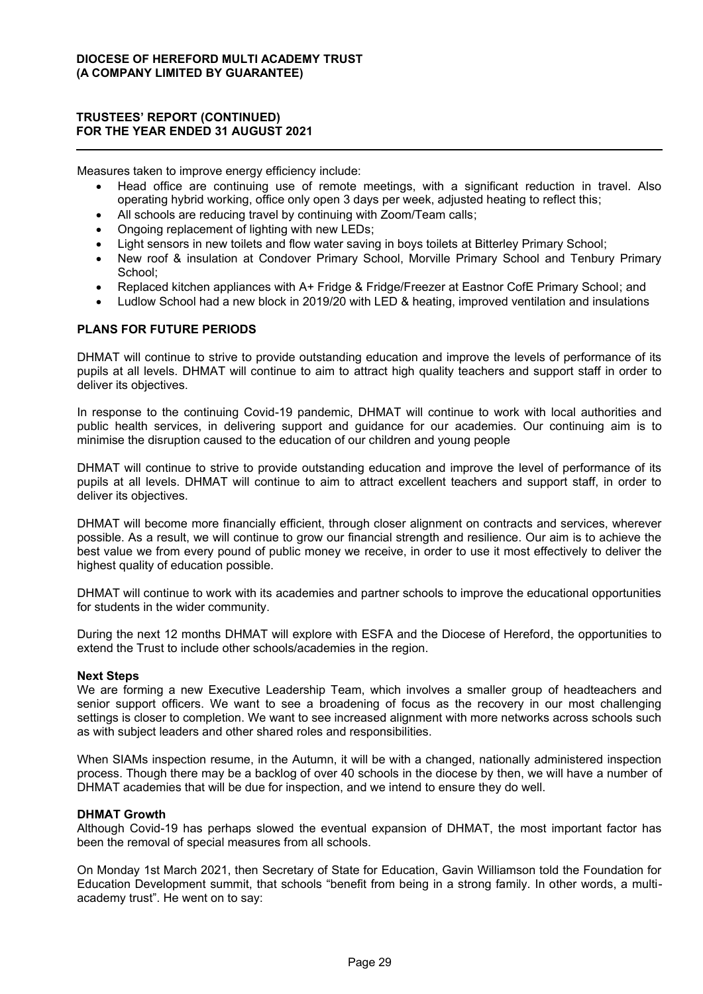Measures taken to improve energy efficiency include:

- Head office are continuing use of remote meetings, with a significant reduction in travel. Also operating hybrid working, office only open 3 days per week, adjusted heating to reflect this;
- All schools are reducing travel by continuing with Zoom/Team calls;
- Ongoing replacement of lighting with new LEDs;
- Light sensors in new toilets and flow water saving in boys toilets at Bitterley Primary School;
- New roof & insulation at Condover Primary School, Morville Primary School and Tenbury Primary School;
- x Replaced kitchen appliances with A+ Fridge & Fridge/Freezer at Eastnor CofE Primary School; and
- Ludlow School had a new block in 2019/20 with LED & heating, improved ventilation and insulations

## **PLANS FOR FUTURE PERIODS**

DHMAT will continue to strive to provide outstanding education and improve the levels of performance of its pupils at all levels. DHMAT will continue to aim to attract high quality teachers and support staff in order to deliver its objectives.

In response to the continuing Covid-19 pandemic, DHMAT will continue to work with local authorities and public health services, in delivering support and guidance for our academies. Our continuing aim is to minimise the disruption caused to the education of our children and young people

DHMAT will continue to strive to provide outstanding education and improve the level of performance of its pupils at all levels. DHMAT will continue to aim to attract excellent teachers and support staff, in order to deliver its objectives.

DHMAT will become more financially efficient, through closer alignment on contracts and services, wherever possible. As a result, we will continue to grow our financial strength and resilience. Our aim is to achieve the best value we from every pound of public money we receive, in order to use it most effectively to deliver the highest quality of education possible.

DHMAT will continue to work with its academies and partner schools to improve the educational opportunities for students in the wider community.

During the next 12 months DHMAT will explore with ESFA and the Diocese of Hereford, the opportunities to extend the Trust to include other schools/academies in the region.

#### **Next Steps**

We are forming a new Executive Leadership Team, which involves a smaller group of headteachers and senior support officers. We want to see a broadening of focus as the recovery in our most challenging settings is closer to completion. We want to see increased alignment with more networks across schools such as with subject leaders and other shared roles and responsibilities.

When SIAMs inspection resume, in the Autumn, it will be with a changed, nationally administered inspection process. Though there may be a backlog of over 40 schools in the diocese by then, we will have a number of DHMAT academies that will be due for inspection, and we intend to ensure they do well.

#### **DHMAT Growth**

Although Covid-19 has perhaps slowed the eventual expansion of DHMAT, the most important factor has been the removal of special measures from all schools.

On Monday 1st March 2021, then Secretary of State for Education, Gavin Williamson told the Foundation for Education Development summit, that schools "benefit from being in a strong family. In other words, a multiacademy trust". He went on to say: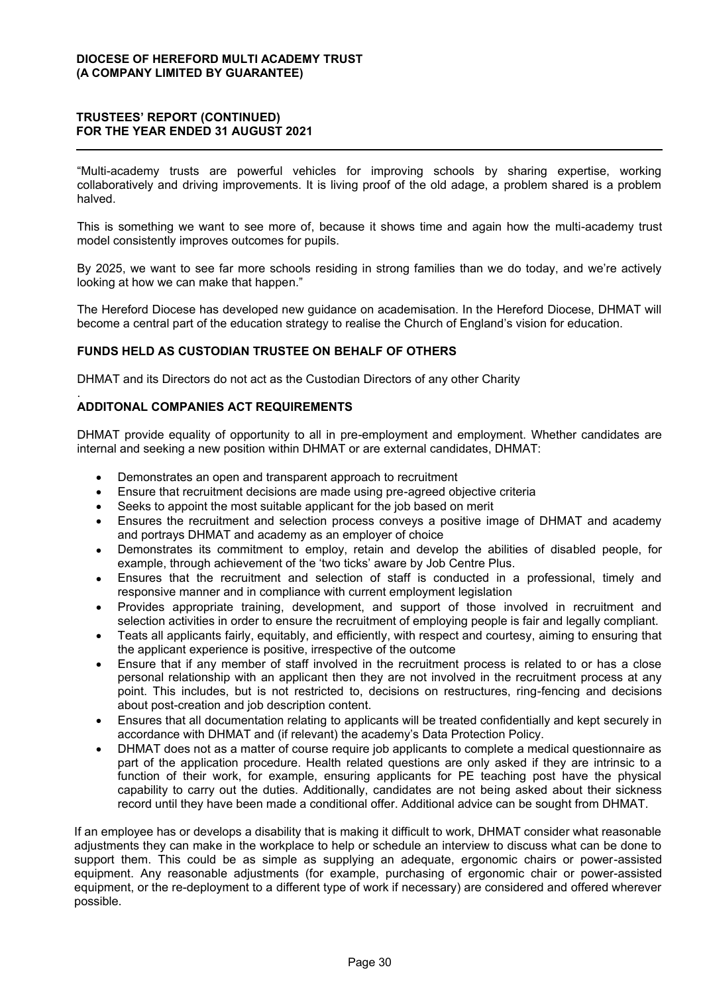"Multi-academy trusts are powerful vehicles for improving schools by sharing expertise, working collaboratively and driving improvements. It is living proof of the old adage, a problem shared is a problem halved.

This is something we want to see more of, because it shows time and again how the multi-academy trust model consistently improves outcomes for pupils.

By 2025, we want to see far more schools residing in strong families than we do today, and we're actively looking at how we can make that happen."

The Hereford Diocese has developed new guidance on academisation. In the Hereford Diocese, DHMAT will become a central part of the education strategy to realise the Church of England's vision for education.

## **FUNDS HELD AS CUSTODIAN TRUSTEE ON BEHALF OF OTHERS**

DHMAT and its Directors do not act as the Custodian Directors of any other Charity

#### . **ADDITONAL COMPANIES ACT REQUIREMENTS**

DHMAT provide equality of opportunity to all in pre-employment and employment. Whether candidates are internal and seeking a new position within DHMAT or are external candidates, DHMAT:

- Demonstrates an open and transparent approach to recruitment
- Ensure that recruitment decisions are made using pre-agreed objective criteria
- Seeks to appoint the most suitable applicant for the job based on merit
- Ensures the recruitment and selection process conveys a positive image of DHMAT and academy and portrays DHMAT and academy as an employer of choice
- Demonstrates its commitment to employ, retain and develop the abilities of disabled people, for example, through achievement of the 'two ticks' aware by Job Centre Plus.
- Ensures that the recruitment and selection of staff is conducted in a professional, timely and responsive manner and in compliance with current employment legislation
- Provides appropriate training, development, and support of those involved in recruitment and selection activities in order to ensure the recruitment of employing people is fair and legally compliant.
- Teats all applicants fairly, equitably, and efficiently, with respect and courtesy, aiming to ensuring that the applicant experience is positive, irrespective of the outcome
- Ensure that if any member of staff involved in the recruitment process is related to or has a close personal relationship with an applicant then they are not involved in the recruitment process at any point. This includes, but is not restricted to, decisions on restructures, ring-fencing and decisions about post-creation and job description content.
- Ensures that all documentation relating to applicants will be treated confidentially and kept securely in accordance with DHMAT and (if relevant) the academy's Data Protection Policy.
- DHMAT does not as a matter of course require job applicants to complete a medical questionnaire as part of the application procedure. Health related questions are only asked if they are intrinsic to a function of their work, for example, ensuring applicants for PE teaching post have the physical capability to carry out the duties. Additionally, candidates are not being asked about their sickness record until they have been made a conditional offer. Additional advice can be sought from DHMAT.

If an employee has or develops a disability that is making it difficult to work, DHMAT consider what reasonable adjustments they can make in the workplace to help or schedule an interview to discuss what can be done to support them. This could be as simple as supplying an adequate, ergonomic chairs or power-assisted equipment. Any reasonable adjustments (for example, purchasing of ergonomic chair or power-assisted equipment, or the re-deployment to a different type of work if necessary) are considered and offered wherever possible.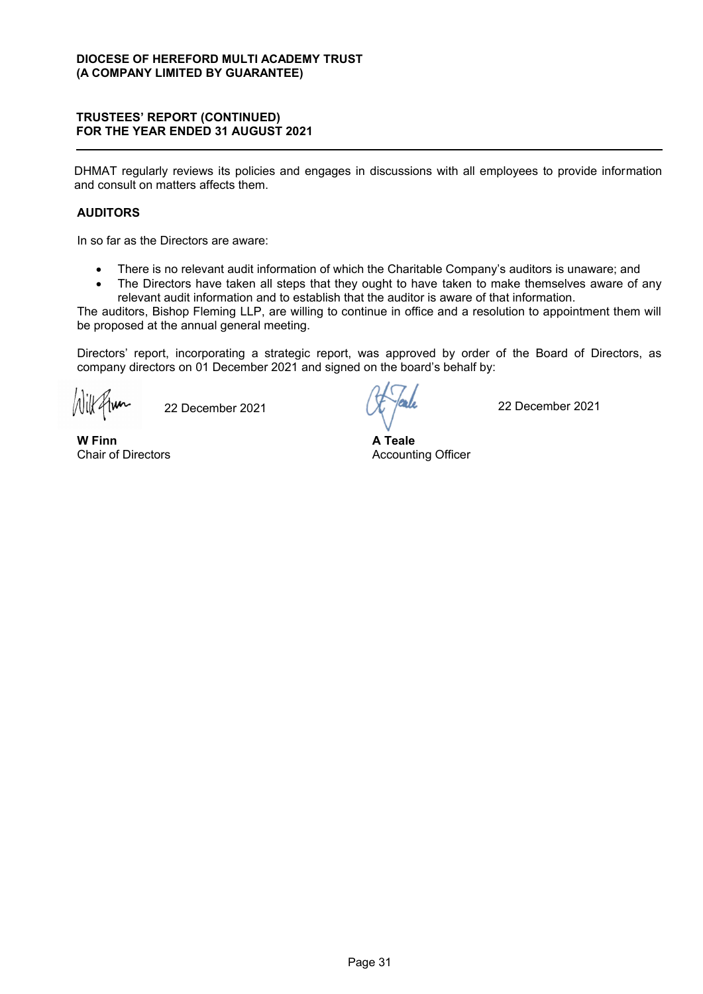DHMAT regularly reviews its policies and engages in discussions with all employees to provide information and consult on matters affects them.

## **AUDITORS**

In so far as the Directors are aware:

- There is no relevant audit information of which the Charitable Company's auditors is unaware; and
- The Directors have taken all steps that they ought to have taken to make themselves aware of any relevant audit information and to establish that the auditor is aware of that information.

The auditors, Bishop Fleming LLP, are willing to continue in office and a resolution to appointment them will be proposed at the annual general meeting.

Directors' report, incorporating a strategic report, was approved by order of the Board of Directors, as company directors on 01 December 2021 and signed on the board's behalf by:

22 December 2021  $\chi$  /  $\alpha$ 

**W Finn** Chair of Directors

**A Teale**  Accounting Officer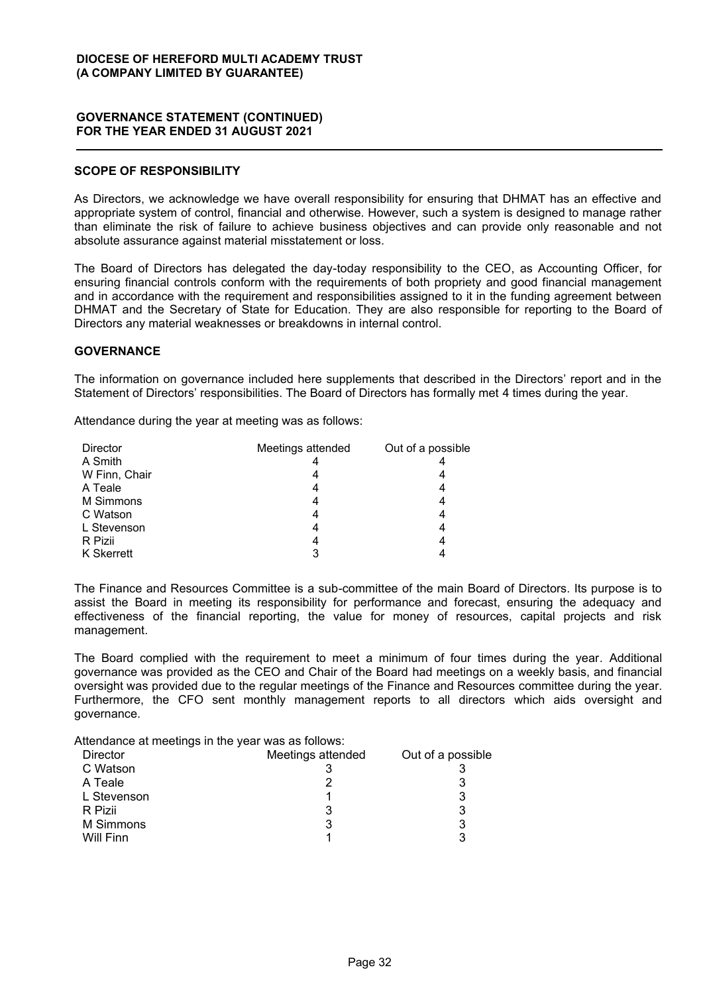## **GOVERNANCE STATEMENT (CONTINUED) FOR THE YEAR ENDED 31 AUGUST 2021**

## **SCOPE OF RESPONSIBILITY**

As Directors, we acknowledge we have overall responsibility for ensuring that DHMAT has an effective and appropriate system of control, financial and otherwise. However, such a system is designed to manage rather than eliminate the risk of failure to achieve business objectives and can provide only reasonable and not absolute assurance against material misstatement or loss.

The Board of Directors has delegated the day-today responsibility to the CEO, as Accounting Officer, for ensuring financial controls conform with the requirements of both propriety and good financial management and in accordance with the requirement and responsibilities assigned to it in the funding agreement between DHMAT and the Secretary of State for Education. They are also responsible for reporting to the Board of Directors any material weaknesses or breakdowns in internal control.

## **GOVERNANCE**

The information on governance included here supplements that described in the Directors' report and in the Statement of Directors' responsibilities. The Board of Directors has formally met 4 times during the year.

Attendance during the year at meeting was as follows:

| <b>Director</b> | Meetings attended | Out of a possible |
|-----------------|-------------------|-------------------|
| A Smith         |                   |                   |
| W Finn, Chair   |                   |                   |
| A Teale         |                   |                   |
| M Simmons       |                   |                   |
| C Watson        |                   |                   |
| L Stevenson     |                   |                   |
| R Pizii         |                   |                   |
| K Skerrett      |                   |                   |

The Finance and Resources Committee is a sub-committee of the main Board of Directors. Its purpose is to assist the Board in meeting its responsibility for performance and forecast, ensuring the adequacy and effectiveness of the financial reporting, the value for money of resources, capital projects and risk management.

The Board complied with the requirement to meet a minimum of four times during the year. Additional governance was provided as the CEO and Chair of the Board had meetings on a weekly basis, and financial oversight was provided due to the regular meetings of the Finance and Resources committee during the year. Furthermore, the CFO sent monthly management reports to all directors which aids oversight and governance.

Attendance at meetings in the year was as follows:

| <b>Director</b> | Meetings attended | Out of a possible |
|-----------------|-------------------|-------------------|
| C Watson        |                   |                   |
| A Teale         |                   |                   |
| L Stevenson     |                   | 3                 |
| R Pizii         |                   | 3                 |
| M Simmons       | 3                 | 3                 |
| Will Finn       |                   | 3                 |
|                 |                   |                   |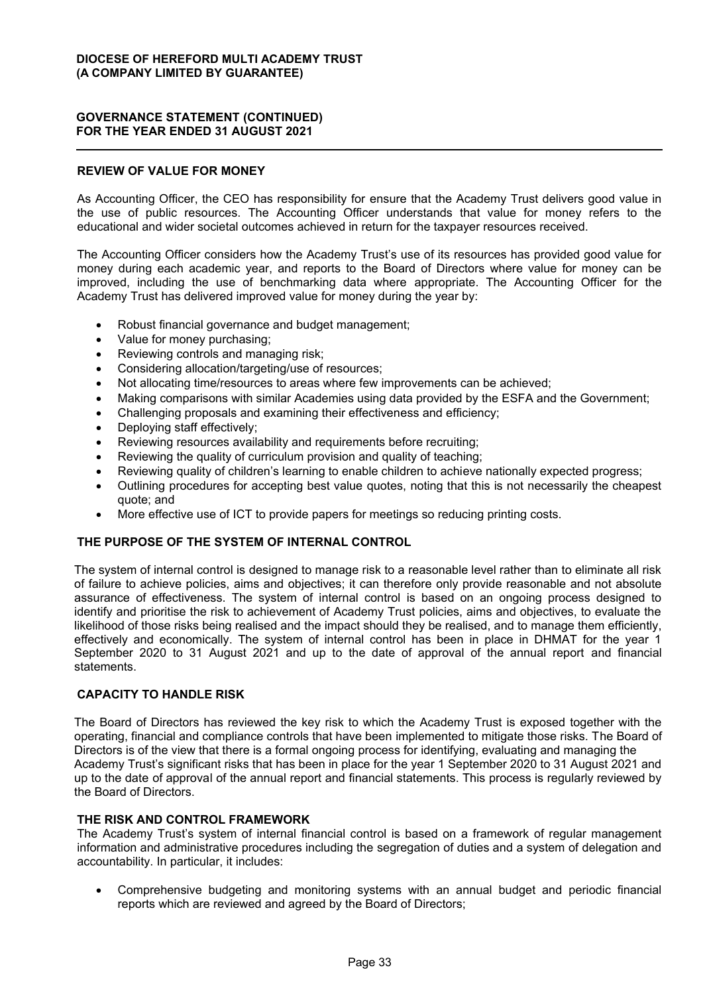## **GOVERNANCE STATEMENT (CONTINUED) FOR THE YEAR ENDED 31 AUGUST 2021**

## **REVIEW OF VALUE FOR MONEY**

As Accounting Officer, the CEO has responsibility for ensure that the Academy Trust delivers good value in the use of public resources. The Accounting Officer understands that value for money refers to the educational and wider societal outcomes achieved in return for the taxpayer resources received.

The Accounting Officer considers how the Academy Trust's use of its resources has provided good value for money during each academic year, and reports to the Board of Directors where value for money can be improved, including the use of benchmarking data where appropriate. The Accounting Officer for the Academy Trust has delivered improved value for money during the year by:

- Robust financial governance and budget management:
- Value for money purchasing;
- Reviewing controls and managing risk;
- Considering allocation/targeting/use of resources;
- Not allocating time/resources to areas where few improvements can be achieved;
- Making comparisons with similar Academies using data provided by the ESFA and the Government;
- Challenging proposals and examining their effectiveness and efficiency;
- Deploying staff effectively;
- Reviewing resources availability and requirements before recruiting;
- Reviewing the quality of curriculum provision and quality of teaching;
- Reviewing quality of children's learning to enable children to achieve nationally expected progress;
- Outlining procedures for accepting best value quotes, noting that this is not necessarily the cheapest quote; and
- More effective use of ICT to provide papers for meetings so reducing printing costs.

## **THE PURPOSE OF THE SYSTEM OF INTERNAL CONTROL**

The system of internal control is designed to manage risk to a reasonable level rather than to eliminate all risk of failure to achieve policies, aims and objectives; it can therefore only provide reasonable and not absolute assurance of effectiveness. The system of internal control is based on an ongoing process designed to identify and prioritise the risk to achievement of Academy Trust policies, aims and objectives, to evaluate the likelihood of those risks being realised and the impact should they be realised, and to manage them efficiently, effectively and economically. The system of internal control has been in place in DHMAT for the year 1 September 2020 to 31 August 2021 and up to the date of approval of the annual report and financial statements.

## **CAPACITY TO HANDLE RISK**

The Board of Directors has reviewed the key risk to which the Academy Trust is exposed together with the operating, financial and compliance controls that have been implemented to mitigate those risks. The Board of Directors is of the view that there is a formal ongoing process for identifying, evaluating and managing the Academy Trust's significant risks that has been in place for the year 1 September 2020 to 31 August 2021 and up to the date of approval of the annual report and financial statements. This process is regularly reviewed by the Board of Directors.

## **THE RISK AND CONTROL FRAMEWORK**

The Academy Trust's system of internal financial control is based on a framework of regular management information and administrative procedures including the segregation of duties and a system of delegation and accountability. In particular, it includes:

• Comprehensive budgeting and monitoring systems with an annual budget and periodic financial reports which are reviewed and agreed by the Board of Directors;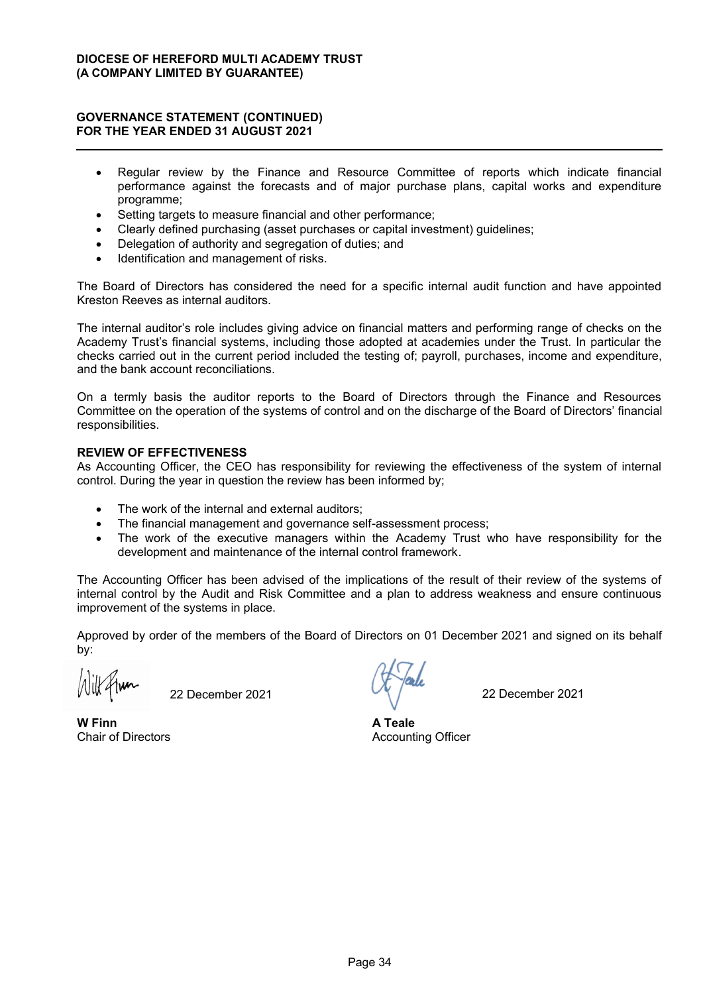## **GOVERNANCE STATEMENT (CONTINUED) FOR THE YEAR ENDED 31 AUGUST 2021**

- Regular review by the Finance and Resource Committee of reports which indicate financial performance against the forecasts and of major purchase plans, capital works and expenditure programme;
- Setting targets to measure financial and other performance;
- x Clearly defined purchasing (asset purchases or capital investment) guidelines;
- Delegation of authority and segregation of duties; and
- Identification and management of risks.

The Board of Directors has considered the need for a specific internal audit function and have appointed Kreston Reeves as internal auditors.

The internal auditor's role includes giving advice on financial matters and performing range of checks on the Academy Trust's financial systems, including those adopted at academies under the Trust. In particular the checks carried out in the current period included the testing of; payroll, purchases, income and expenditure, and the bank account reconciliations.

On a termly basis the auditor reports to the Board of Directors through the Finance and Resources Committee on the operation of the systems of control and on the discharge of the Board of Directors' financial responsibilities.

## **REVIEW OF EFFECTIVENESS**

As Accounting Officer, the CEO has responsibility for reviewing the effectiveness of the system of internal control. During the year in question the review has been informed by;

- The work of the internal and external auditors;
- The financial management and governance self-assessment process;
- The work of the executive managers within the Academy Trust who have responsibility for the development and maintenance of the internal control framework.

The Accounting Officer has been advised of the implications of the result of their review of the systems of internal control by the Audit and Risk Committee and a plan to address weakness and ensure continuous improvement of the systems in place.

Approved by order of the members of the Board of Directors on 01 December 2021 and signed on its behalf by:

22 December 2021 22 December 2021

**W Finn** Chair of Directors

**A Teale** Accounting Officer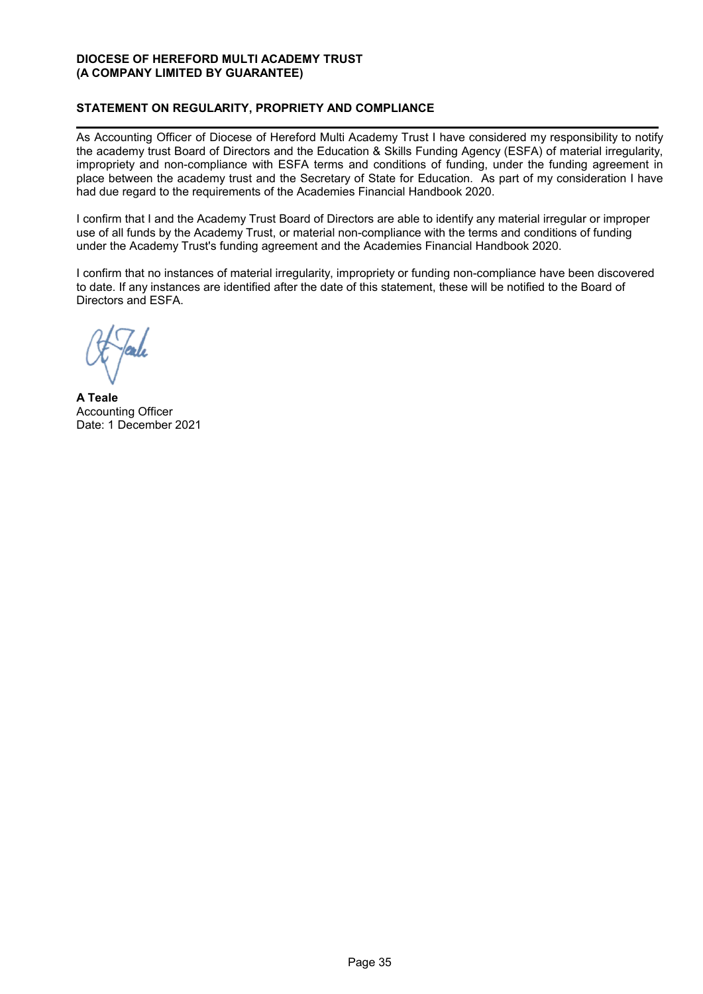# **STATEMENT ON REGULARITY, PROPRIETY AND COMPLIANCE**

As Accounting Officer of Diocese of Hereford Multi Academy Trust I have considered my responsibility to notify the academy trust Board of Directors and the Education & Skills Funding Agency (ESFA) of material irregularity, impropriety and non-compliance with ESFA terms and conditions of funding, under the funding agreement in place between the academy trust and the Secretary of State for Education. As part of my consideration I have had due regard to the requirements of the Academies Financial Handbook 2020.

I confirm that I and the Academy Trust Board of Directors are able to identify any material irregular or improper use of all funds by the Academy Trust, or material non-compliance with the terms and conditions of funding under the Academy Trust's funding agreement and the Academies Financial Handbook 2020.

I confirm that no instances of material irregularity, impropriety or funding non-compliance have been discovered to date. If any instances are identified after the date of this statement, these will be notified to the Board of Directors and ESFA.

**A Teale** Accounting Officer Date: 1 December 2021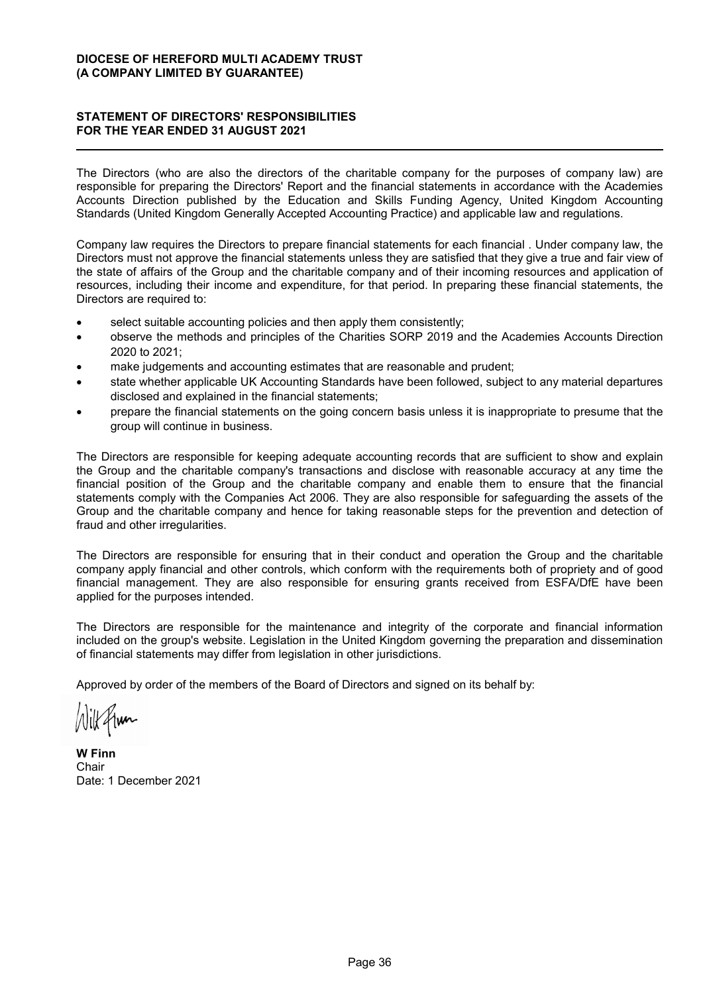# **STATEMENT OF DIRECTORS' RESPONSIBILITIES FOR THE YEAR ENDED 31 AUGUST 2021**

The Directors (who are also the directors of the charitable company for the purposes of company law) are responsible for preparing the Directors' Report and the financial statements in accordance with the Academies Accounts Direction published by the Education and Skills Funding Agency, United Kingdom Accounting Standards (United Kingdom Generally Accepted Accounting Practice) and applicable law and regulations.

Company law requires the Directors to prepare financial statements for each financial . Under company law, the Directors must not approve the financial statements unless they are satisfied that they give a true and fair view of the state of affairs of the Group and the charitable company and of their incoming resources and application of resources, including their income and expenditure, for that period. In preparing these financial statements, the Directors are required to:

- select suitable accounting policies and then apply them consistently;
- observe the methods and principles of the Charities SORP 2019 and the Academies Accounts Direction 2020 to 2021;
- make judgements and accounting estimates that are reasonable and prudent;
- state whether applicable UK Accounting Standards have been followed, subject to any material departures disclosed and explained in the financial statements;
- prepare the financial statements on the going concern basis unless it is inappropriate to presume that the group will continue in business.

The Directors are responsible for keeping adequate accounting records that are sufficient to show and explain the Group and the charitable company's transactions and disclose with reasonable accuracy at any time the financial position of the Group and the charitable company and enable them to ensure that the financial statements comply with the Companies Act 2006. They are also responsible for safeguarding the assets of the Group and the charitable company and hence for taking reasonable steps for the prevention and detection of fraud and other irregularities.

The Directors are responsible for ensuring that in their conduct and operation the Group and the charitable company apply financial and other controls, which conform with the requirements both of propriety and of good financial management. They are also responsible for ensuring grants received from ESFA/DfE have been applied for the purposes intended.

The Directors are responsible for the maintenance and integrity of the corporate and financial information included on the group's website. Legislation in the United Kingdom governing the preparation and dissemination of financial statements may differ from legislation in other jurisdictions.

Approved by order of the members of the Board of Directors and signed on its behalf by:

Wilkstram

**W Finn** Chair Date: 1 December 2021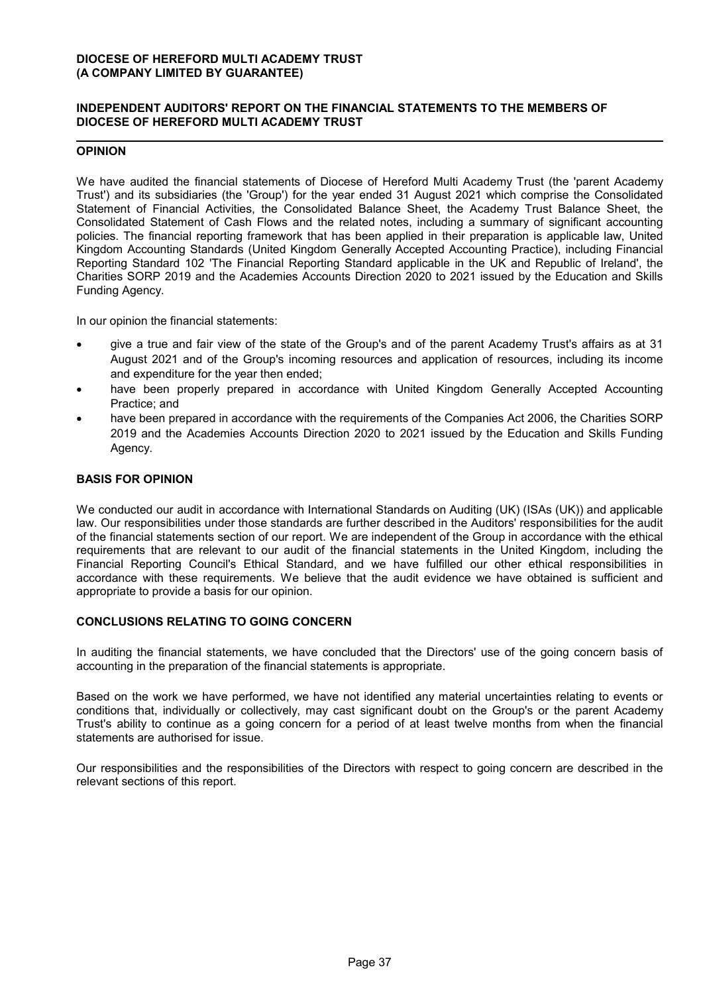# **INDEPENDENT AUDITORS' REPORT ON THE FINANCIAL STATEMENTS TO THE MEMBERS OF DIOCESE OF HEREFORD MULTI ACADEMY TRUST**

# **OPINION**

We have audited the financial statements of Diocese of Hereford Multi Academy Trust (the 'parent Academy Trust') and its subsidiaries (the 'Group') for the year ended 31 August 2021 which comprise the Consolidated Statement of Financial Activities, the Consolidated Balance Sheet, the Academy Trust Balance Sheet, the Consolidated Statement of Cash Flows and the related notes, including a summary of significant accounting policies. The financial reporting framework that has been applied in their preparation is applicable law, United Kingdom Accounting Standards (United Kingdom Generally Accepted Accounting Practice), including Financial Reporting Standard 102 'The Financial Reporting Standard applicable in the UK and Republic of Ireland', the Charities SORP 2019 and the Academies Accounts Direction 2020 to 2021 issued by the Education and Skills Funding Agency.

In our opinion the financial statements:

- give a true and fair view of the state of the Group's and of the parent Academy Trust's affairs as at 31 August 2021 and of the Group's incoming resources and application of resources, including its income and expenditure for the year then ended;
- have been properly prepared in accordance with United Kingdom Generally Accepted Accounting Practice; and
- have been prepared in accordance with the requirements of the Companies Act 2006, the Charities SORP 2019 and the Academies Accounts Direction 2020 to 2021 issued by the Education and Skills Funding Agency.

# **BASIS FOR OPINION**

We conducted our audit in accordance with International Standards on Auditing (UK) (ISAs (UK)) and applicable law. Our responsibilities under those standards are further described in the Auditors' responsibilities for the audit of the financial statements section of our report. We are independent of the Group in accordance with the ethical requirements that are relevant to our audit of the financial statements in the United Kingdom, including the Financial Reporting Council's Ethical Standard, and we have fulfilled our other ethical responsibilities in accordance with these requirements. We believe that the audit evidence we have obtained is sufficient and appropriate to provide a basis for our opinion.

# **CONCLUSIONS RELATING TO GOING CONCERN**

In auditing the financial statements, we have concluded that the Directors' use of the going concern basis of accounting in the preparation of the financial statements is appropriate.

Based on the work we have performed, we have not identified any material uncertainties relating to events or conditions that, individually or collectively, may cast significant doubt on the Group's or the parent Academy Trust's ability to continue as a going concern for a period of at least twelve months from when the financial statements are authorised for issue.

Our responsibilities and the responsibilities of the Directors with respect to going concern are described in the relevant sections of this report.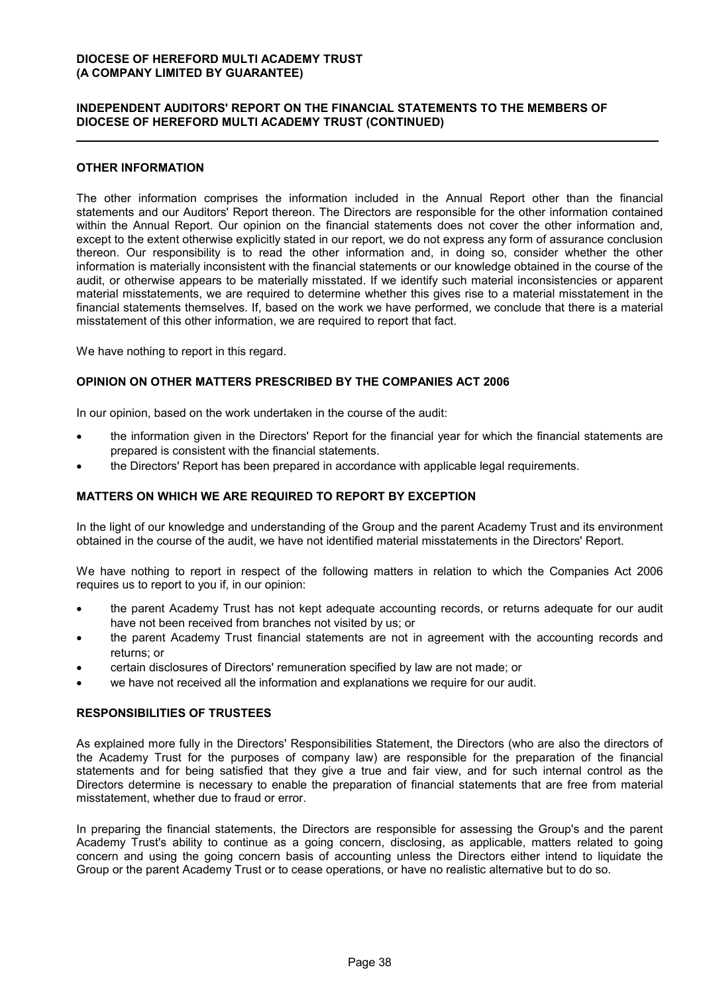# **INDEPENDENT AUDITORS' REPORT ON THE FINANCIAL STATEMENTS TO THE MEMBERS OF DIOCESE OF HEREFORD MULTI ACADEMY TRUST (CONTINUED)**

## **OTHER INFORMATION**

The other information comprises the information included in the Annual Report other than the financial statements and our Auditors' Report thereon. The Directors are responsible for the other information contained within the Annual Report. Our opinion on the financial statements does not cover the other information and, except to the extent otherwise explicitly stated in our report, we do not express any form of assurance conclusion thereon. Our responsibility is to read the other information and, in doing so, consider whether the other information is materially inconsistent with the financial statements or our knowledge obtained in the course of the audit, or otherwise appears to be materially misstated. If we identify such material inconsistencies or apparent material misstatements, we are required to determine whether this gives rise to a material misstatement in the financial statements themselves. If, based on the work we have performed, we conclude that there is a material misstatement of this other information, we are required to report that fact.

We have nothing to report in this regard.

#### **OPINION ON OTHER MATTERS PRESCRIBED BY THE COMPANIES ACT 2006**

In our opinion, based on the work undertaken in the course of the audit:

- the information given in the Directors' Report for the financial year for which the financial statements are prepared is consistent with the financial statements.
- the Directors' Report has been prepared in accordance with applicable legal requirements.

# **MATTERS ON WHICH WE ARE REQUIRED TO REPORT BY EXCEPTION**

In the light of our knowledge and understanding of the Group and the parent Academy Trust and its environment obtained in the course of the audit, we have not identified material misstatements in the Directors' Report.

We have nothing to report in respect of the following matters in relation to which the Companies Act 2006 requires us to report to you if, in our opinion:

- the parent Academy Trust has not kept adequate accounting records, or returns adequate for our audit have not been received from branches not visited by us; or
- the parent Academy Trust financial statements are not in agreement with the accounting records and returns; or
- certain disclosures of Directors' remuneration specified by law are not made; or
- we have not received all the information and explanations we require for our audit.

#### **RESPONSIBILITIES OF TRUSTEES**

As explained more fully in the Directors' Responsibilities Statement, the Directors (who are also the directors of the Academy Trust for the purposes of company law) are responsible for the preparation of the financial statements and for being satisfied that they give a true and fair view, and for such internal control as the Directors determine is necessary to enable the preparation of financial statements that are free from material misstatement, whether due to fraud or error.

In preparing the financial statements, the Directors are responsible for assessing the Group's and the parent Academy Trust's ability to continue as a going concern, disclosing, as applicable, matters related to going concern and using the going concern basis of accounting unless the Directors either intend to liquidate the Group or the parent Academy Trust or to cease operations, or have no realistic alternative but to do so.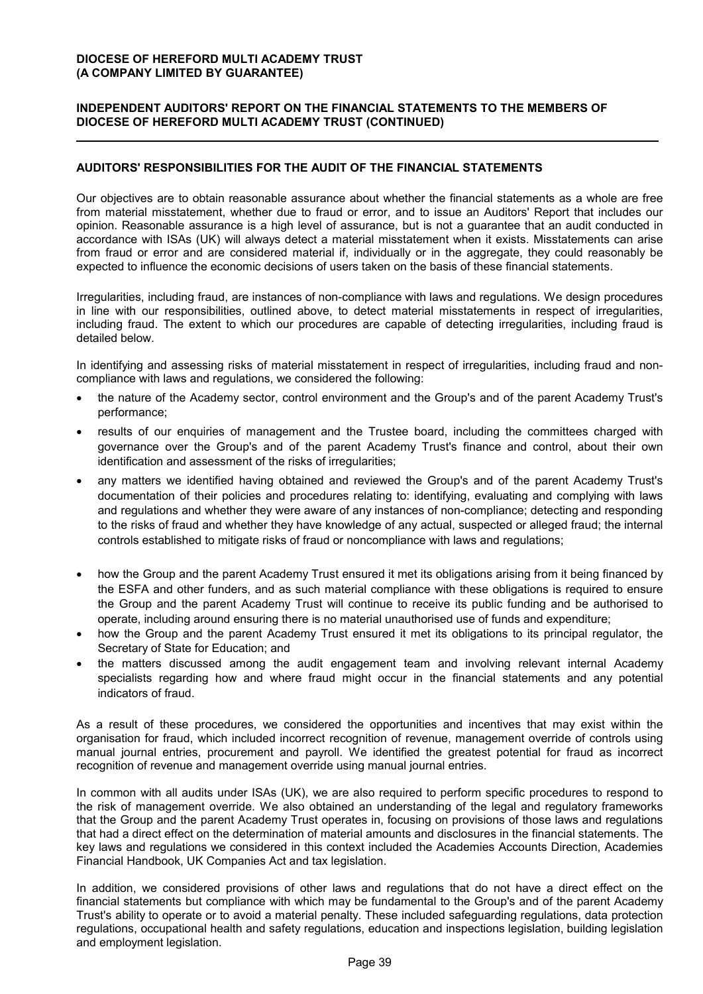# **INDEPENDENT AUDITORS' REPORT ON THE FINANCIAL STATEMENTS TO THE MEMBERS OF DIOCESE OF HEREFORD MULTI ACADEMY TRUST (CONTINUED)**

# **AUDITORS' RESPONSIBILITIES FOR THE AUDIT OF THE FINANCIAL STATEMENTS**

Our objectives are to obtain reasonable assurance about whether the financial statements as a whole are free from material misstatement, whether due to fraud or error, and to issue an Auditors' Report that includes our opinion. Reasonable assurance is a high level of assurance, but is not a guarantee that an audit conducted in accordance with ISAs (UK) will always detect a material misstatement when it exists. Misstatements can arise from fraud or error and are considered material if, individually or in the aggregate, they could reasonably be expected to influence the economic decisions of users taken on the basis of these financial statements.

Irregularities, including fraud, are instances of non-compliance with laws and regulations. We design procedures in line with our responsibilities, outlined above, to detect material misstatements in respect of irregularities, including fraud. The extent to which our procedures are capable of detecting irregularities, including fraud is detailed below.

In identifying and assessing risks of material misstatement in respect of irregularities, including fraud and noncompliance with laws and regulations, we considered the following:

- the nature of the Academy sector, control environment and the Group's and of the parent Academy Trust's performance;
- results of our enquiries of management and the Trustee board, including the committees charged with governance over the Group's and of the parent Academy Trust's finance and control, about their own identification and assessment of the risks of irregularities;
- any matters we identified having obtained and reviewed the Group's and of the parent Academy Trust's documentation of their policies and procedures relating to: identifying, evaluating and complying with laws and regulations and whether they were aware of any instances of non-compliance; detecting and responding to the risks of fraud and whether they have knowledge of any actual, suspected or alleged fraud; the internal controls established to mitigate risks of fraud or noncompliance with laws and regulations;
- how the Group and the parent Academy Trust ensured it met its obligations arising from it being financed by the ESFA and other funders, and as such material compliance with these obligations is required to ensure the Group and the parent Academy Trust will continue to receive its public funding and be authorised to operate, including around ensuring there is no material unauthorised use of funds and expenditure;
- how the Group and the parent Academy Trust ensured it met its obligations to its principal regulator, the Secretary of State for Education; and
- the matters discussed among the audit engagement team and involving relevant internal Academy specialists regarding how and where fraud might occur in the financial statements and any potential indicators of fraud.

As a result of these procedures, we considered the opportunities and incentives that may exist within the organisation for fraud, which included incorrect recognition of revenue, management override of controls using manual journal entries, procurement and payroll. We identified the greatest potential for fraud as incorrect recognition of revenue and management override using manual journal entries.

In common with all audits under ISAs (UK), we are also required to perform specific procedures to respond to the risk of management override. We also obtained an understanding of the legal and regulatory frameworks that the Group and the parent Academy Trust operates in, focusing on provisions of those laws and regulations that had a direct effect on the determination of material amounts and disclosures in the financial statements. The key laws and regulations we considered in this context included the Academies Accounts Direction, Academies Financial Handbook, UK Companies Act and tax legislation.

In addition, we considered provisions of other laws and regulations that do not have a direct effect on the financial statements but compliance with which may be fundamental to the Group's and of the parent Academy Trust's ability to operate or to avoid a material penalty. These included safeguarding regulations, data protection regulations, occupational health and safety regulations, education and inspections legislation, building legislation and employment legislation.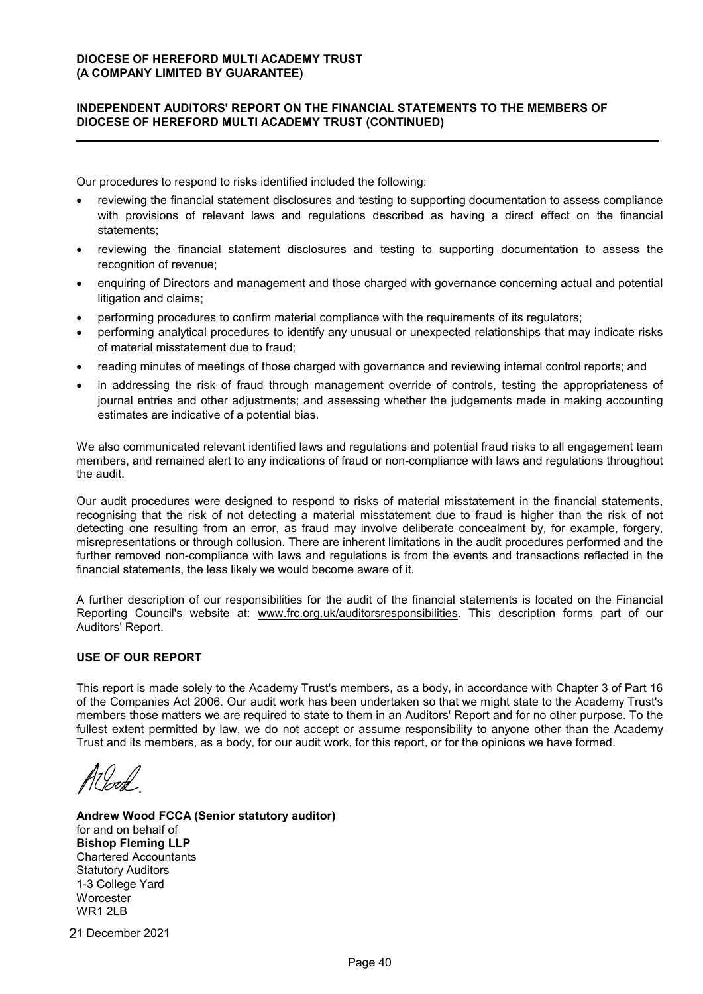# **INDEPENDENT AUDITORS' REPORT ON THE FINANCIAL STATEMENTS TO THE MEMBERS OF DIOCESE OF HEREFORD MULTI ACADEMY TRUST (CONTINUED)**

Our procedures to respond to risks identified included the following:

- reviewing the financial statement disclosures and testing to supporting documentation to assess compliance with provisions of relevant laws and regulations described as having a direct effect on the financial statements;
- reviewing the financial statement disclosures and testing to supporting documentation to assess the recognition of revenue;
- enquiring of Directors and management and those charged with governance concerning actual and potential litigation and claims;
- performing procedures to confirm material compliance with the requirements of its regulators;
- performing analytical procedures to identify any unusual or unexpected relationships that may indicate risks of material misstatement due to fraud;
- reading minutes of meetings of those charged with governance and reviewing internal control reports; and
- in addressing the risk of fraud through management override of controls, testing the appropriateness of journal entries and other adjustments; and assessing whether the judgements made in making accounting estimates are indicative of a potential bias.

We also communicated relevant identified laws and regulations and potential fraud risks to all engagement team members, and remained alert to any indications of fraud or non-compliance with laws and regulations throughout the audit.

Our audit procedures were designed to respond to risks of material misstatement in the financial statements, recognising that the risk of not detecting a material misstatement due to fraud is higher than the risk of not detecting one resulting from an error, as fraud may involve deliberate concealment by, for example, forgery, misrepresentations or through collusion. There are inherent limitations in the audit procedures performed and the further removed non-compliance with laws and regulations is from the events and transactions reflected in the financial statements, the less likely we would become aware of it.

A further description of our responsibilities for the audit of the financial statements is located on the Financial Reporting Council's website at: www.frc.org.uk/auditorsresponsibilities. This description forms part of our Auditors' Report.

# **USE OF OUR REPORT**

This report is made solely to the Academy Trust's members, as a body, in accordance with Chapter 3 of Part 16 of the Companies Act 2006. Our audit work has been undertaken so that we might state to the Academy Trust's members those matters we are required to state to them in an Auditors' Report and for no other purpose. To the fullest extent permitted by law, we do not accept or assume responsibility to anyone other than the Academy Trust and its members, as a body, for our audit work, for this report, or for the opinions we have formed.

**Andrew Wood FCCA (Senior statutory auditor)** for and on behalf of **Bishop Fleming LLP** Chartered Accountants Statutory Auditors 1-3 College Yard **Worcester** WR1 2LB

1 December 2021 2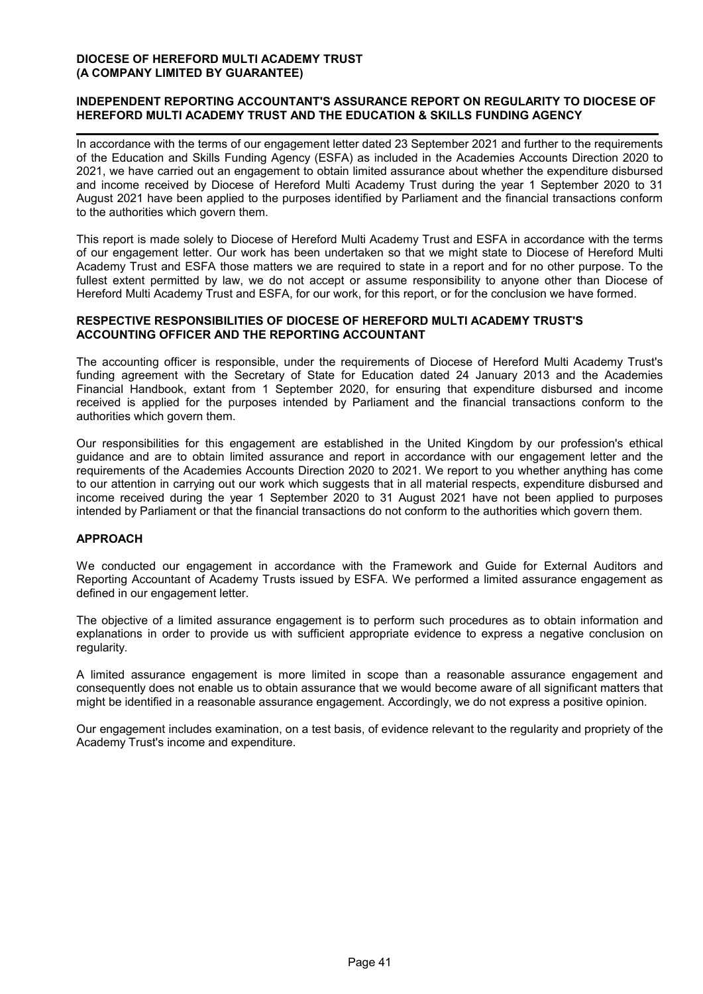# **INDEPENDENT REPORTING ACCOUNTANT'S ASSURANCE REPORT ON REGULARITY TO DIOCESE OF HEREFORD MULTI ACADEMY TRUST AND THE EDUCATION & SKILLS FUNDING AGENCY**

In accordance with the terms of our engagement letter dated 23 September 2021 and further to the requirements of the Education and Skills Funding Agency (ESFA) as included in the Academies Accounts Direction 2020 to 2021, we have carried out an engagement to obtain limited assurance about whether the expenditure disbursed and income received by Diocese of Hereford Multi Academy Trust during the year 1 September 2020 to 31 August 2021 have been applied to the purposes identified by Parliament and the financial transactions conform to the authorities which govern them.

This report is made solely to Diocese of Hereford Multi Academy Trust and ESFA in accordance with the terms of our engagement letter. Our work has been undertaken so that we might state to Diocese of Hereford Multi Academy Trust and ESFA those matters we are required to state in a report and for no other purpose. To the fullest extent permitted by law, we do not accept or assume responsibility to anyone other than Diocese of Hereford Multi Academy Trust and ESFA, for our work, for this report, or for the conclusion we have formed.

# **RESPECTIVE RESPONSIBILITIES OF DIOCESE OF HEREFORD MULTI ACADEMY TRUST'S ACCOUNTING OFFICER AND THE REPORTING ACCOUNTANT**

The accounting officer is responsible, under the requirements of Diocese of Hereford Multi Academy Trust's funding agreement with the Secretary of State for Education dated 24 January 2013 and the Academies Financial Handbook, extant from 1 September 2020, for ensuring that expenditure disbursed and income received is applied for the purposes intended by Parliament and the financial transactions conform to the authorities which govern them.

Our responsibilities for this engagement are established in the United Kingdom by our profession's ethical guidance and are to obtain limited assurance and report in accordance with our engagement letter and the requirements of the Academies Accounts Direction 2020 to 2021. We report to you whether anything has come to our attention in carrying out our work which suggests that in all material respects, expenditure disbursed and income received during the year 1 September 2020 to 31 August 2021 have not been applied to purposes intended by Parliament or that the financial transactions do not conform to the authorities which govern them.

# **APPROACH**

We conducted our engagement in accordance with the Framework and Guide for External Auditors and Reporting Accountant of Academy Trusts issued by ESFA. We performed a limited assurance engagement as defined in our engagement letter.

The objective of a limited assurance engagement is to perform such procedures as to obtain information and explanations in order to provide us with sufficient appropriate evidence to express a negative conclusion on regularity.

A limited assurance engagement is more limited in scope than a reasonable assurance engagement and consequently does not enable us to obtain assurance that we would become aware of all significant matters that might be identified in a reasonable assurance engagement. Accordingly, we do not express a positive opinion.

Our engagement includes examination, on a test basis, of evidence relevant to the regularity and propriety of the Academy Trust's income and expenditure.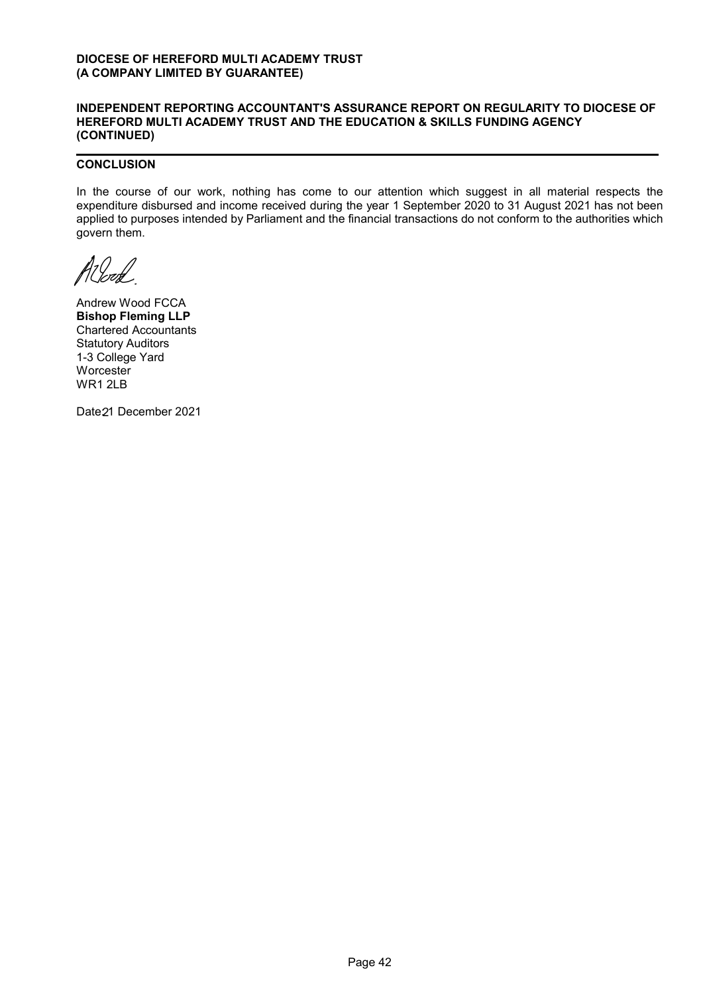#### **INDEPENDENT REPORTING ACCOUNTANT'S ASSURANCE REPORT ON REGULARITY TO DIOCESE OF HEREFORD MULTI ACADEMY TRUST AND THE EDUCATION & SKILLS FUNDING AGENCY (CONTINUED)**

# **CONCLUSION**

In the course of our work, nothing has come to our attention which suggest in all material respects the expenditure disbursed and income received during the year 1 September 2020 to 31 August 2021 has not been applied to purposes intended by Parliament and the financial transactions do not conform to the authorities which govern them.

1<br>! lend

Andrew Wood FCCA **Bishop Fleming LLP** Chartered Accountants Statutory Auditors 1-3 College Yard **Worcester** WR1 2LB

Date21 December 2021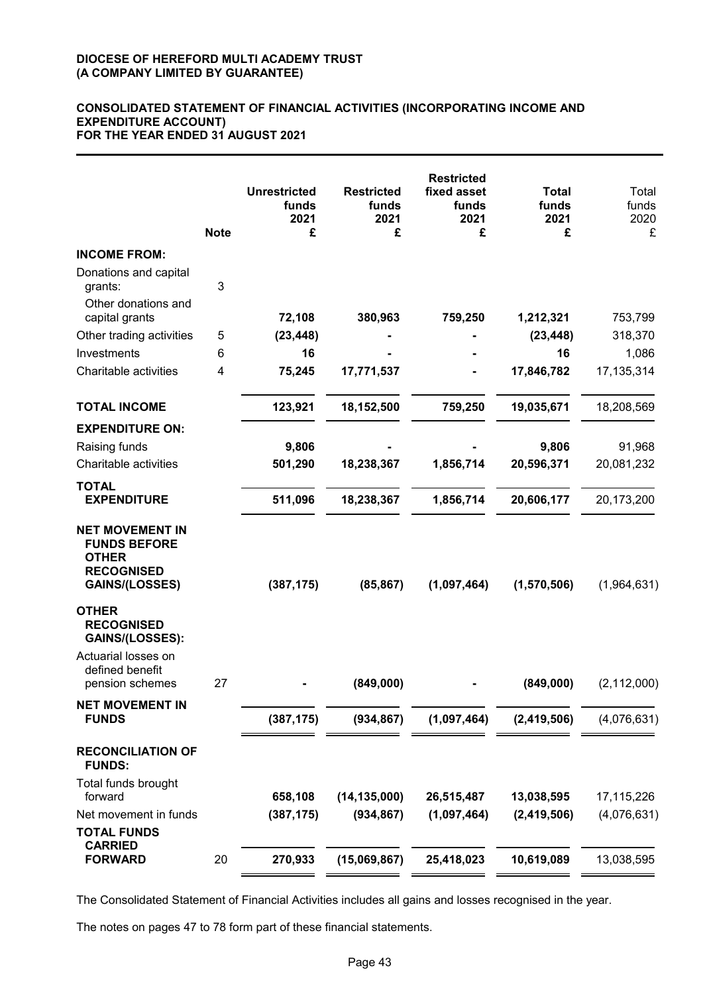### **CONSOLIDATED STATEMENT OF FINANCIAL ACTIVITIES (INCORPORATING INCOME AND EXPENDITURE ACCOUNT) FOR THE YEAR ENDED 31 AUGUST 2021**

|                                                                                                             | <b>Note</b> | <b>Unrestricted</b><br>funds<br>2021<br>£ | <b>Restricted</b><br>funds<br>2021<br>£ | <b>Restricted</b><br>fixed asset<br>funds<br>2021<br>£ | <b>Total</b><br>funds<br>2021<br>£ | Total<br>funds<br>2020<br>£ |
|-------------------------------------------------------------------------------------------------------------|-------------|-------------------------------------------|-----------------------------------------|--------------------------------------------------------|------------------------------------|-----------------------------|
| <b>INCOME FROM:</b>                                                                                         |             |                                           |                                         |                                                        |                                    |                             |
| Donations and capital<br>grants:<br>Other donations and                                                     | 3           |                                           |                                         |                                                        |                                    |                             |
| capital grants                                                                                              |             | 72,108                                    | 380,963                                 | 759,250                                                | 1,212,321                          | 753,799                     |
| Other trading activities                                                                                    | 5           | (23, 448)                                 |                                         |                                                        | (23, 448)                          | 318,370                     |
| Investments                                                                                                 | 6           | 16                                        |                                         |                                                        | 16                                 | 1,086                       |
| Charitable activities                                                                                       | 4           | 75,245                                    | 17,771,537                              |                                                        | 17,846,782                         | 17, 135, 314                |
| <b>TOTAL INCOME</b>                                                                                         |             | 123,921                                   | 18,152,500                              | 759,250                                                | 19,035,671                         | 18,208,569                  |
| <b>EXPENDITURE ON:</b>                                                                                      |             |                                           |                                         |                                                        |                                    |                             |
| Raising funds                                                                                               |             | 9,806                                     |                                         |                                                        | 9,806                              | 91,968                      |
| Charitable activities                                                                                       |             | 501,290                                   | 18,238,367                              | 1,856,714                                              | 20,596,371                         | 20,081,232                  |
| <b>TOTAL</b><br><b>EXPENDITURE</b>                                                                          |             | 511,096                                   | 18,238,367                              | 1,856,714                                              | 20,606,177                         | 20,173,200                  |
| <b>NET MOVEMENT IN</b><br><b>FUNDS BEFORE</b><br><b>OTHER</b><br><b>RECOGNISED</b><br><b>GAINS/(LOSSES)</b> |             | (387, 175)                                | (85, 867)                               | (1,097,464)                                            | (1,570,506)                        | (1,964,631)                 |
| <b>OTHER</b><br><b>RECOGNISED</b><br>GAINS/(LOSSES):<br>Actuarial losses on<br>defined benefit              |             |                                           |                                         |                                                        |                                    |                             |
| pension schemes                                                                                             | 27          |                                           | (849,000)                               |                                                        | (849,000)                          | (2, 112, 000)               |
| <b>NET MOVEMENT IN</b><br><b>FUNDS</b>                                                                      |             | (387, 175)                                | (934, 867)                              | (1,097,464)                                            | (2,419,506)                        | (4,076,631)                 |
| <b>RECONCILIATION OF</b><br><b>FUNDS:</b>                                                                   |             |                                           |                                         |                                                        |                                    |                             |
| Total funds brought                                                                                         |             |                                           |                                         |                                                        |                                    |                             |
| forward                                                                                                     |             | 658,108                                   | (14, 135, 000)                          | 26,515,487                                             | 13,038,595                         | 17,115,226                  |
| Net movement in funds                                                                                       |             | (387, 175)                                | (934, 867)                              | (1,097,464)                                            | (2,419,506)                        | (4,076,631)                 |
| <b>TOTAL FUNDS</b><br><b>CARRIED</b>                                                                        |             |                                           |                                         |                                                        |                                    |                             |
| <b>FORWARD</b>                                                                                              | 20          | 270,933                                   | (15,069,867)                            | 25,418,023                                             | 10,619,089                         | 13,038,595                  |

The Consolidated Statement of Financial Activities includes all gains and losses recognised in the year.

The notes on pages 47 to 78 form part of these financial statements.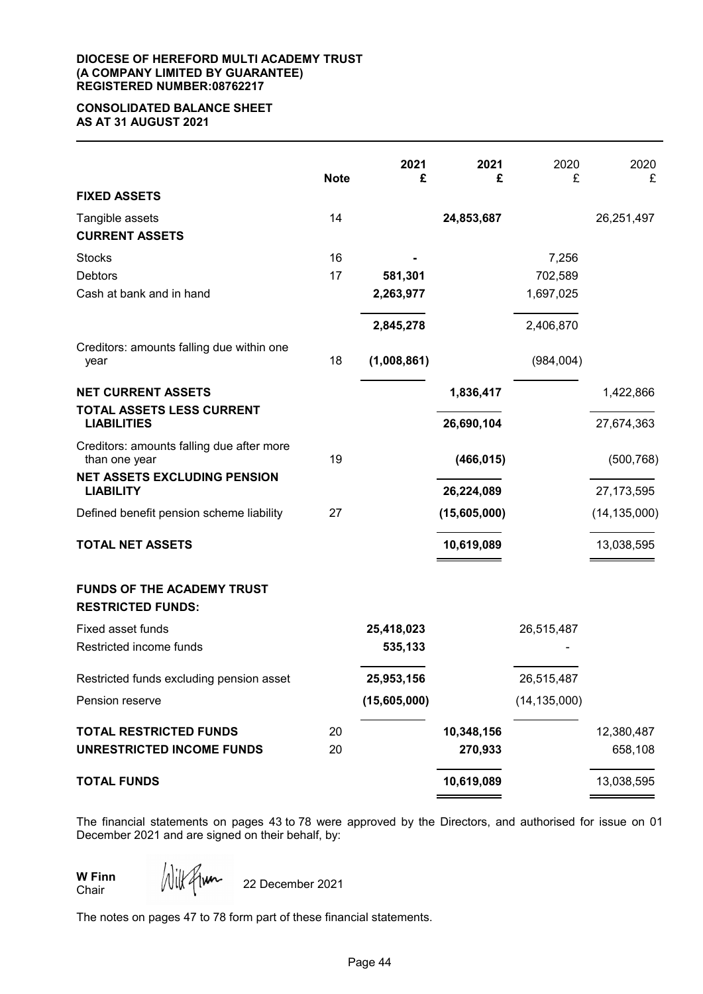#### **DIOCESE OF HEREFORD MULTI ACADEMY TRUST (A COMPANY LIMITED BY GUARANTEE) REGISTERED NUMBER:08762217**

## **CONSOLIDATED BALANCE SHEET AS AT 31 AUGUST 2021**

|                                                               | <b>Note</b> | 2021<br>£    | 2021<br>£    | 2020<br>£      | 2020<br>£      |
|---------------------------------------------------------------|-------------|--------------|--------------|----------------|----------------|
| <b>FIXED ASSETS</b>                                           |             |              |              |                |                |
| Tangible assets<br><b>CURRENT ASSETS</b>                      | 14          |              | 24,853,687   |                | 26,251,497     |
| <b>Stocks</b>                                                 | 16          |              |              | 7,256          |                |
| <b>Debtors</b>                                                | 17          | 581,301      |              | 702,589        |                |
| Cash at bank and in hand                                      |             | 2,263,977    |              | 1,697,025      |                |
|                                                               |             | 2,845,278    |              | 2,406,870      |                |
| Creditors: amounts falling due within one<br>year             | 18          | (1,008,861)  |              | (984,004)      |                |
| <b>NET CURRENT ASSETS</b><br>TOTAL ASSETS LESS CURRENT        |             |              | 1,836,417    |                | 1,422,866      |
| <b>LIABILITIES</b>                                            |             |              | 26,690,104   |                | 27,674,363     |
| Creditors: amounts falling due after more<br>than one year    | 19          |              | (466, 015)   |                | (500, 768)     |
| <b>NET ASSETS EXCLUDING PENSION</b><br><b>LIABILITY</b>       |             |              | 26,224,089   |                | 27, 173, 595   |
| Defined benefit pension scheme liability                      | 27          |              | (15,605,000) |                | (14, 135, 000) |
| <b>TOTAL NET ASSETS</b>                                       |             |              | 10,619,089   |                | 13,038,595     |
| <b>FUNDS OF THE ACADEMY TRUST</b><br><b>RESTRICTED FUNDS:</b> |             |              |              |                |                |
| Fixed asset funds                                             |             | 25,418,023   |              | 26,515,487     |                |
| Restricted income funds                                       |             | 535,133      |              |                |                |
| Restricted funds excluding pension asset                      |             | 25,953,156   |              | 26,515,487     |                |
| Pension reserve                                               |             | (15,605,000) |              | (14, 135, 000) |                |
| <b>TOTAL RESTRICTED FUNDS</b>                                 | 20          |              | 10,348,156   |                | 12,380,487     |
| <b>UNRESTRICTED INCOME FUNDS</b>                              | 20          |              | 270,933      |                | 658,108        |
| <b>TOTAL FUNDS</b>                                            |             |              | 10,619,089   |                | 13,038,595     |

The financial statements on pages 43 to 78 were approved by the Directors, and authorised for issue on 01 December 2021 and are signed on their behalf, by:

**W Finn** Chair

Wilkflum

22 December 2021

The notes on pages 47 to 78 form part of these financial statements.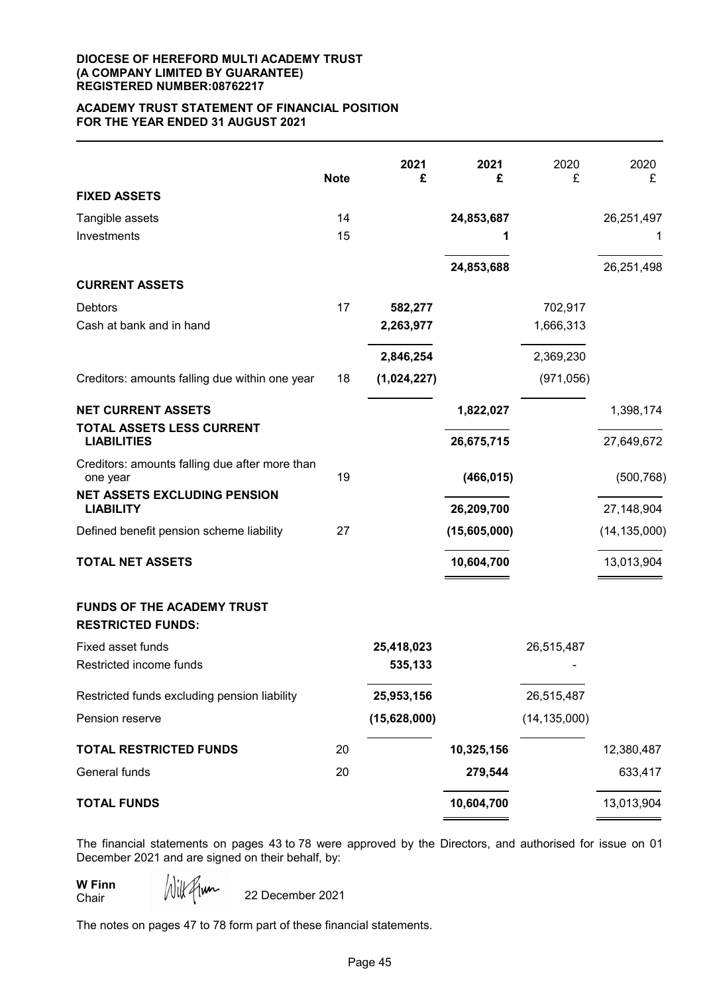#### **DIOCESE OF HEREFORD MULTI ACADEMY TRUST (A COMPANY LIMITED BY GUARANTEE) REGISTERED NUMBER:08762217**

### **ACADEMY TRUST STATEMENT OF FINANCIAL POSITION FOR THE YEAR ENDED 31 AUGUST 2021**

|                                                               | <b>Note</b> | 2021<br>£    | 2021<br>£    | 2020<br>£      | 2020<br>£      |
|---------------------------------------------------------------|-------------|--------------|--------------|----------------|----------------|
| <b>FIXED ASSETS</b>                                           |             |              |              |                |                |
| Tangible assets                                               | 14          |              | 24,853,687   |                | 26,251,497     |
| Investments                                                   | 15          |              | 1            |                | 1              |
|                                                               |             |              | 24,853,688   |                | 26,251,498     |
| <b>CURRENT ASSETS</b>                                         |             |              |              |                |                |
| <b>Debtors</b>                                                | 17          | 582,277      |              | 702,917        |                |
| Cash at bank and in hand                                      |             | 2,263,977    |              | 1,666,313      |                |
|                                                               |             | 2,846,254    |              | 2,369,230      |                |
| Creditors: amounts falling due within one year                | 18          | (1,024,227)  |              | (971, 056)     |                |
| <b>NET CURRENT ASSETS</b>                                     |             |              | 1,822,027    |                | 1,398,174      |
| TOTAL ASSETS LESS CURRENT<br><b>LIABILITIES</b>               |             |              | 26,675,715   |                | 27,649,672     |
| Creditors: amounts falling due after more than<br>one year    | 19          |              | (466, 015)   |                | (500, 768)     |
| <b>NET ASSETS EXCLUDING PENSION</b><br><b>LIABILITY</b>       |             |              | 26,209,700   |                | 27,148,904     |
| Defined benefit pension scheme liability                      | 27          |              | (15,605,000) |                | (14, 135, 000) |
| <b>TOTAL NET ASSETS</b>                                       |             |              | 10,604,700   |                | 13,013,904     |
| <b>FUNDS OF THE ACADEMY TRUST</b><br><b>RESTRICTED FUNDS:</b> |             |              |              |                |                |
| Fixed asset funds                                             |             | 25,418,023   |              | 26,515,487     |                |
| Restricted income funds                                       |             | 535,133      |              |                |                |
| Restricted funds excluding pension liability                  |             | 25,953,156   |              | 26,515,487     |                |
| Pension reserve                                               |             | (15,628,000) |              | (14, 135, 000) |                |
| <b>TOTAL RESTRICTED FUNDS</b>                                 | 20          |              | 10,325,156   |                | 12,380,487     |
| General funds                                                 | 20          |              | 279,544      |                | 633,417        |
| <b>TOTAL FUNDS</b>                                            |             |              | 10,604,700   |                | 13,013,904     |

The financial statements on pages 43 to 78 were approved by the Directors, and authorised for issue on 01 December 2021 and are signed on their behalf, by:

**W Finn** Chair

Wilkflum 22 December 2021

The notes on pages 47 to 78 form part of these financial statements.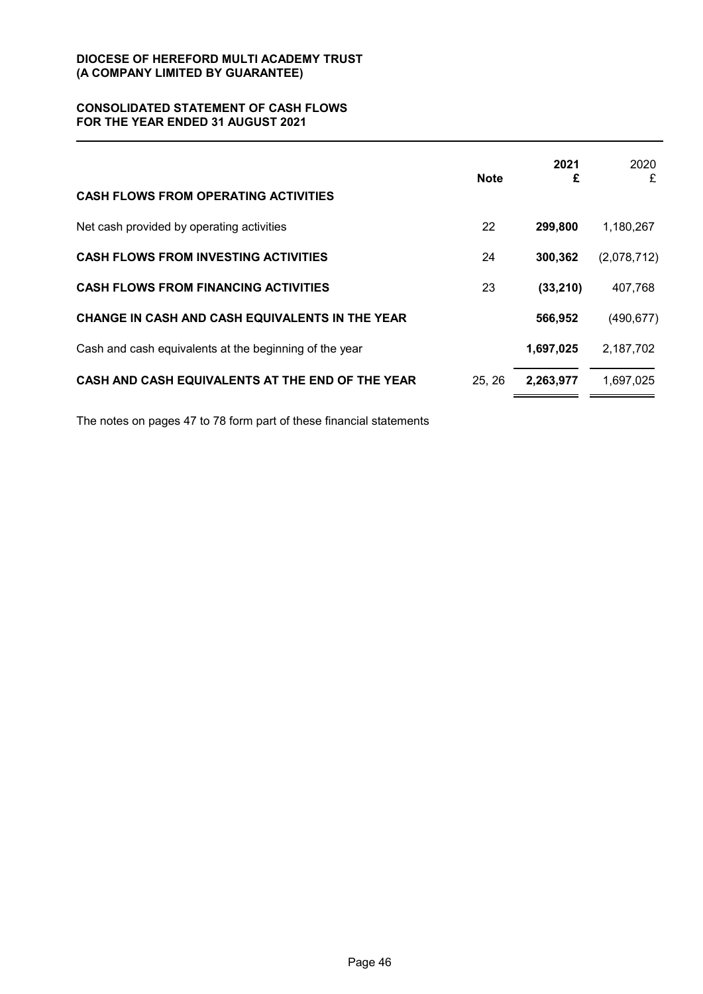# **CONSOLIDATED STATEMENT OF CASH FLOWS FOR THE YEAR ENDED 31 AUGUST 2021**

|                                                        | <b>Note</b> | 2021<br>£ | 2020<br>£   |
|--------------------------------------------------------|-------------|-----------|-------------|
| <b>CASH FLOWS FROM OPERATING ACTIVITIES</b>            |             |           |             |
| Net cash provided by operating activities              | 22          | 299,800   | 1,180,267   |
| <b>CASH FLOWS FROM INVESTING ACTIVITIES</b>            | 24          | 300,362   | (2,078,712) |
| <b>CASH FLOWS FROM FINANCING ACTIVITIES</b>            | 23          | (33, 210) | 407,768     |
| CHANGE IN CASH AND CASH EQUIVALENTS IN THE YEAR        |             | 566,952   | (490, 677)  |
| Cash and cash equivalents at the beginning of the year |             | 1,697,025 | 2,187,702   |
| CASH AND CASH EQUIVALENTS AT THE END OF THE YEAR       | 25, 26      | 2,263,977 | 1,697,025   |

The notes on pages 47 to 78 form part of these financial statements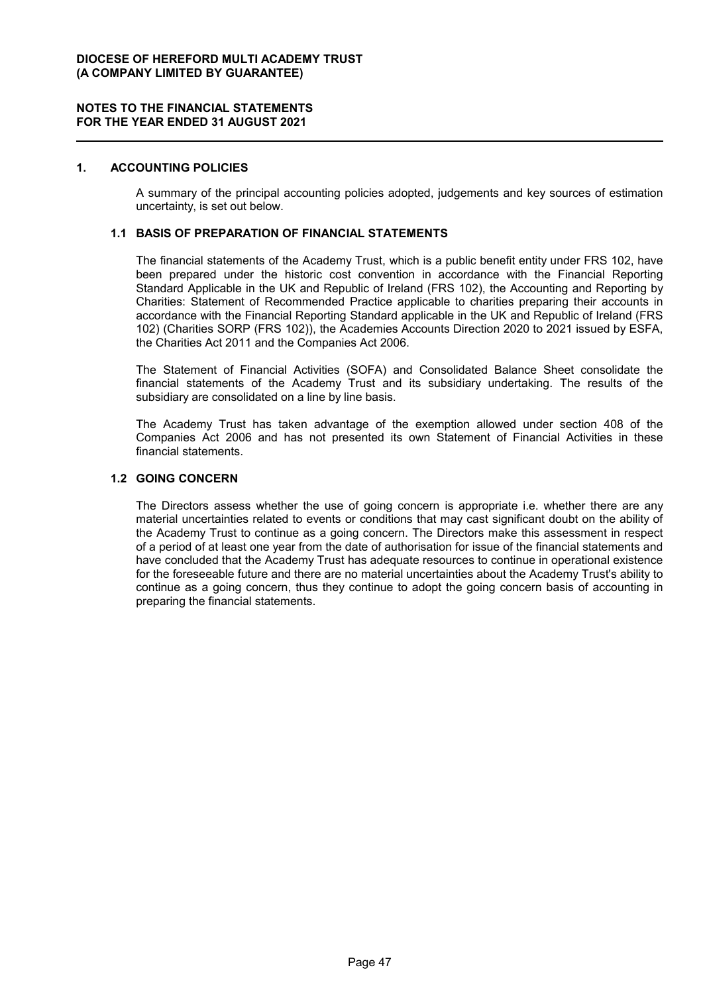### **1. ACCOUNTING POLICIES**

A summary of the principal accounting policies adopted, judgements and key sources of estimation uncertainty, is set out below.

### **1.1 BASIS OF PREPARATION OF FINANCIAL STATEMENTS**

The financial statements of the Academy Trust, which is a public benefit entity under FRS 102, have been prepared under the historic cost convention in accordance with the Financial Reporting Standard Applicable in the UK and Republic of Ireland (FRS 102), the Accounting and Reporting by Charities: Statement of Recommended Practice applicable to charities preparing their accounts in accordance with the Financial Reporting Standard applicable in the UK and Republic of Ireland (FRS 102) (Charities SORP (FRS 102)), the Academies Accounts Direction 2020 to 2021 issued by ESFA, the Charities Act 2011 and the Companies Act 2006.

The Statement of Financial Activities (SOFA) and Consolidated Balance Sheet consolidate the financial statements of the Academy Trust and its subsidiary undertaking. The results of the subsidiary are consolidated on a line by line basis.

The Academy Trust has taken advantage of the exemption allowed under section 408 of the Companies Act 2006 and has not presented its own Statement of Financial Activities in these financial statements.

### **1.2 GOING CONCERN**

The Directors assess whether the use of going concern is appropriate i.e. whether there are any material uncertainties related to events or conditions that may cast significant doubt on the ability of the Academy Trust to continue as a going concern. The Directors make this assessment in respect of a period of at least one year from the date of authorisation for issue of the financial statements and have concluded that the Academy Trust has adequate resources to continue in operational existence for the foreseeable future and there are no material uncertainties about the Academy Trust's ability to continue as a going concern, thus they continue to adopt the going concern basis of accounting in preparing the financial statements.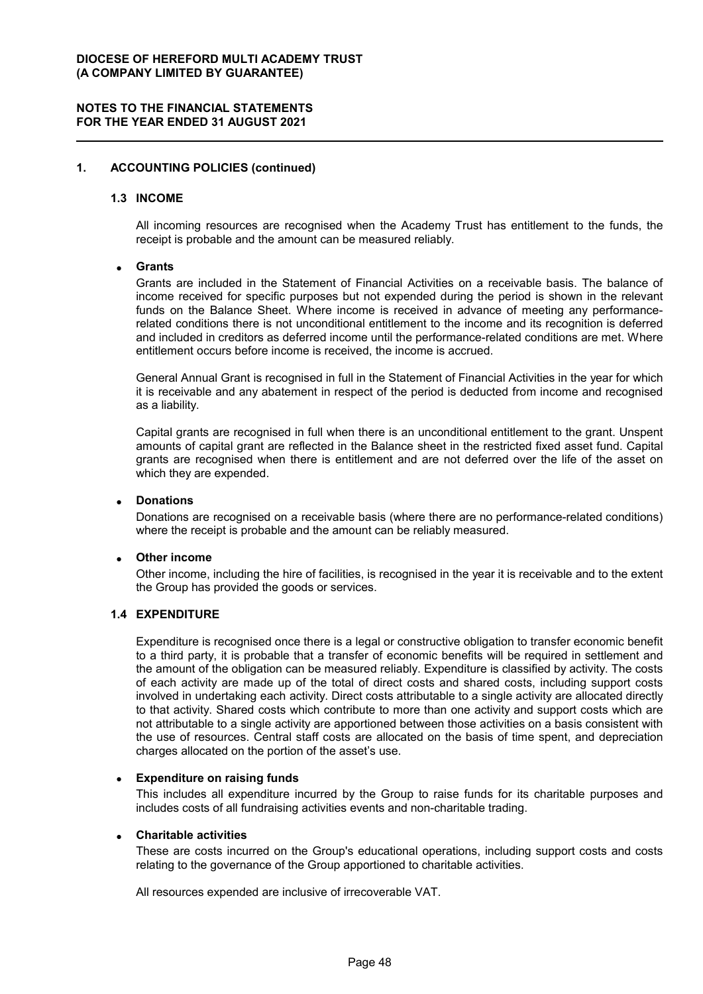# **1. ACCOUNTING POLICIES (continued)**

#### **1.3 INCOME**

All incoming resources are recognised when the Academy Trust has entitlement to the funds, the receipt is probable and the amount can be measured reliably.

#### **Grants**

Grants are included in the Statement of Financial Activities on a receivable basis. The balance of income received for specific purposes but not expended during the period is shown in the relevant funds on the Balance Sheet. Where income is received in advance of meeting any performancerelated conditions there is not unconditional entitlement to the income and its recognition is deferred and included in creditors as deferred income until the performance-related conditions are met. Where entitlement occurs before income is received, the income is accrued.

General Annual Grant is recognised in full in the Statement of Financial Activities in the year for which it is receivable and any abatement in respect of the period is deducted from income and recognised as a liability.

Capital grants are recognised in full when there is an unconditional entitlement to the grant. Unspent amounts of capital grant are reflected in the Balance sheet in the restricted fixed asset fund. Capital grants are recognised when there is entitlement and are not deferred over the life of the asset on which they are expended.

#### **Donations**

Donations are recognised on a receivable basis (where there are no performance-related conditions) where the receipt is probable and the amount can be reliably measured.

#### **Other income**

Other income, including the hire of facilities, is recognised in the year it is receivable and to the extent the Group has provided the goods or services.

## **1.4 EXPENDITURE**

Expenditure is recognised once there is a legal or constructive obligation to transfer economic benefit to a third party, it is probable that a transfer of economic benefits will be required in settlement and the amount of the obligation can be measured reliably. Expenditure is classified by activity. The costs of each activity are made up of the total of direct costs and shared costs, including support costs involved in undertaking each activity. Direct costs attributable to a single activity are allocated directly to that activity. Shared costs which contribute to more than one activity and support costs which are not attributable to a single activity are apportioned between those activities on a basis consistent with the use of resources. Central staff costs are allocated on the basis of time spent, and depreciation charges allocated on the portion of the asset's use.

#### **Expenditure on raising funds**

This includes all expenditure incurred by the Group to raise funds for its charitable purposes and includes costs of all fundraising activities events and non-charitable trading.

#### **Charitable activities**

These are costs incurred on the Group's educational operations, including support costs and costs relating to the governance of the Group apportioned to charitable activities.

All resources expended are inclusive of irrecoverable VAT.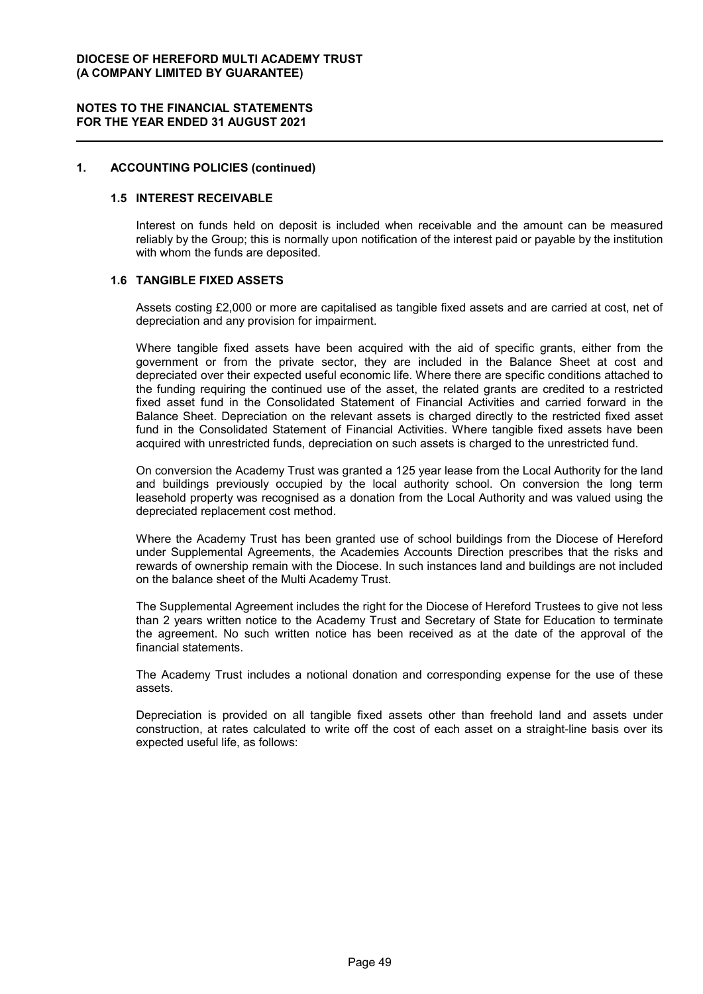# **1. ACCOUNTING POLICIES (continued)**

#### **1.5 INTEREST RECEIVABLE**

Interest on funds held on deposit is included when receivable and the amount can be measured reliably by the Group; this is normally upon notification of the interest paid or payable by the institution with whom the funds are deposited.

# **1.6 TANGIBLE FIXED ASSETS**

Assets costing £2,000 or more are capitalised as tangible fixed assets and are carried at cost, net of depreciation and any provision for impairment.

Where tangible fixed assets have been acquired with the aid of specific grants, either from the government or from the private sector, they are included in the Balance Sheet at cost and depreciated over their expected useful economic life. Where there are specific conditions attached to the funding requiring the continued use of the asset, the related grants are credited to a restricted fixed asset fund in the Consolidated Statement of Financial Activities and carried forward in the Balance Sheet. Depreciation on the relevant assets is charged directly to the restricted fixed asset fund in the Consolidated Statement of Financial Activities. Where tangible fixed assets have been acquired with unrestricted funds, depreciation on such assets is charged to the unrestricted fund.

On conversion the Academy Trust was granted a 125 year lease from the Local Authority for the land and buildings previously occupied by the local authority school. On conversion the long term leasehold property was recognised as a donation from the Local Authority and was valued using the depreciated replacement cost method.

Where the Academy Trust has been granted use of school buildings from the Diocese of Hereford under Supplemental Agreements, the Academies Accounts Direction prescribes that the risks and rewards of ownership remain with the Diocese. In such instances land and buildings are not included on the balance sheet of the Multi Academy Trust.

The Supplemental Agreement includes the right for the Diocese of Hereford Trustees to give not less than 2 years written notice to the Academy Trust and Secretary of State for Education to terminate the agreement. No such written notice has been received as at the date of the approval of the financial statements.

The Academy Trust includes a notional donation and corresponding expense for the use of these assets.

Depreciation is provided on all tangible fixed assets other than freehold land and assets under construction, at rates calculated to write off the cost of each asset on a straight-line basis over its expected useful life, as follows: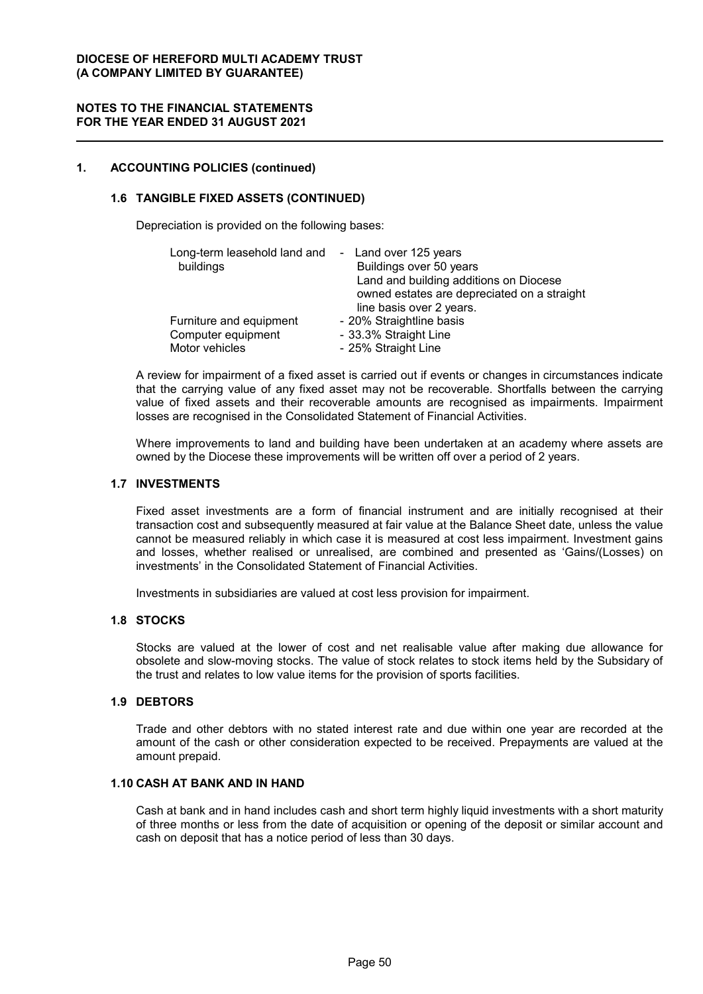# **1. ACCOUNTING POLICIES (continued)**

# **1.6 TANGIBLE FIXED ASSETS (CONTINUED)**

Depreciation is provided on the following bases:

| Long-term leasehold land and - Land over 125 years<br>buildings | Buildings over 50 years<br>Land and building additions on Diocese<br>owned estates are depreciated on a straight<br>line basis over 2 years. |
|-----------------------------------------------------------------|----------------------------------------------------------------------------------------------------------------------------------------------|
| Furniture and equipment                                         | - 20% Straightline basis                                                                                                                     |
| Computer equipment                                              | - 33.3% Straight Line                                                                                                                        |
| Motor vehicles                                                  | - 25% Straight Line                                                                                                                          |

A review for impairment of a fixed asset is carried out if events or changes in circumstances indicate that the carrying value of any fixed asset may not be recoverable. Shortfalls between the carrying value of fixed assets and their recoverable amounts are recognised as impairments. Impairment losses are recognised in the Consolidated Statement of Financial Activities.

Where improvements to land and building have been undertaken at an academy where assets are owned by the Diocese these improvements will be written off over a period of 2 years.

# **1.7 INVESTMENTS**

Fixed asset investments are a form of financial instrument and are initially recognised at their transaction cost and subsequently measured at fair value at the Balance Sheet date, unless the value cannot be measured reliably in which case it is measured at cost less impairment. Investment gains and losses, whether realised or unrealised, are combined and presented as 'Gains/(Losses) on investments' in the Consolidated Statement of Financial Activities.

Investments in subsidiaries are valued at cost less provision for impairment.

#### **1.8 STOCKS**

Stocks are valued at the lower of cost and net realisable value after making due allowance for obsolete and slow-moving stocks. The value of stock relates to stock items held by the Subsidary of the trust and relates to low value items for the provision of sports facilities.

#### **1.9 DEBTORS**

Trade and other debtors with no stated interest rate and due within one year are recorded at the amount of the cash or other consideration expected to be received. Prepayments are valued at the amount prepaid.

# **1.10 CASH AT BANK AND IN HAND**

Cash at bank and in hand includes cash and short term highly liquid investments with a short maturity of three months or less from the date of acquisition or opening of the deposit or similar account and cash on deposit that has a notice period of less than 30 days.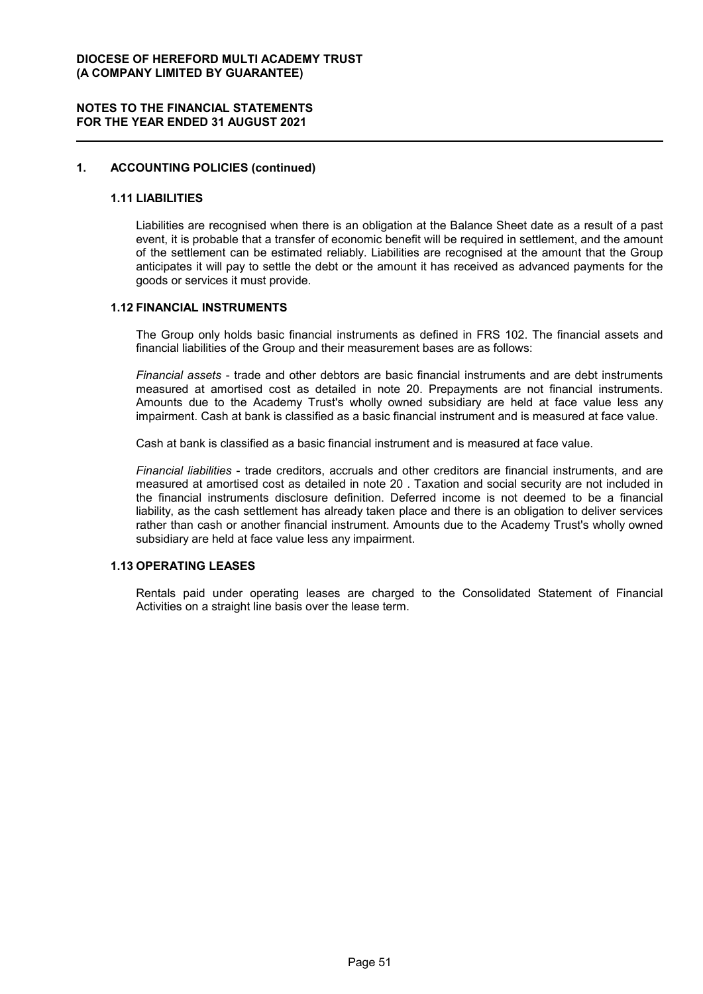# **1. ACCOUNTING POLICIES (continued)**

#### **1.11 LIABILITIES**

Liabilities are recognised when there is an obligation at the Balance Sheet date as a result of a past event, it is probable that a transfer of economic benefit will be required in settlement, and the amount of the settlement can be estimated reliably. Liabilities are recognised at the amount that the Group anticipates it will pay to settle the debt or the amount it has received as advanced payments for the goods or services it must provide.

#### **1.12 FINANCIAL INSTRUMENTS**

The Group only holds basic financial instruments as defined in FRS 102. The financial assets and financial liabilities of the Group and their measurement bases are as follows:

*Financial assets* - trade and other debtors are basic financial instruments and are debt instruments measured at amortised cost as detailed in note 20. Prepayments are not financial instruments. Amounts due to the Academy Trust's wholly owned subsidiary are held at face value less any impairment. Cash at bank is classified as a basic financial instrument and is measured at face value.

Cash at bank is classified as a basic financial instrument and is measured at face value.

*Financial liabilities* - trade creditors, accruals and other creditors are financial instruments, and are measured at amortised cost as detailed in note 20 . Taxation and social security are not included in the financial instruments disclosure definition. Deferred income is not deemed to be a financial liability, as the cash settlement has already taken place and there is an obligation to deliver services rather than cash or another financial instrument. Amounts due to the Academy Trust's wholly owned subsidiary are held at face value less any impairment.

# **1.13 OPERATING LEASES**

Rentals paid under operating leases are charged to the Consolidated Statement of Financial Activities on a straight line basis over the lease term.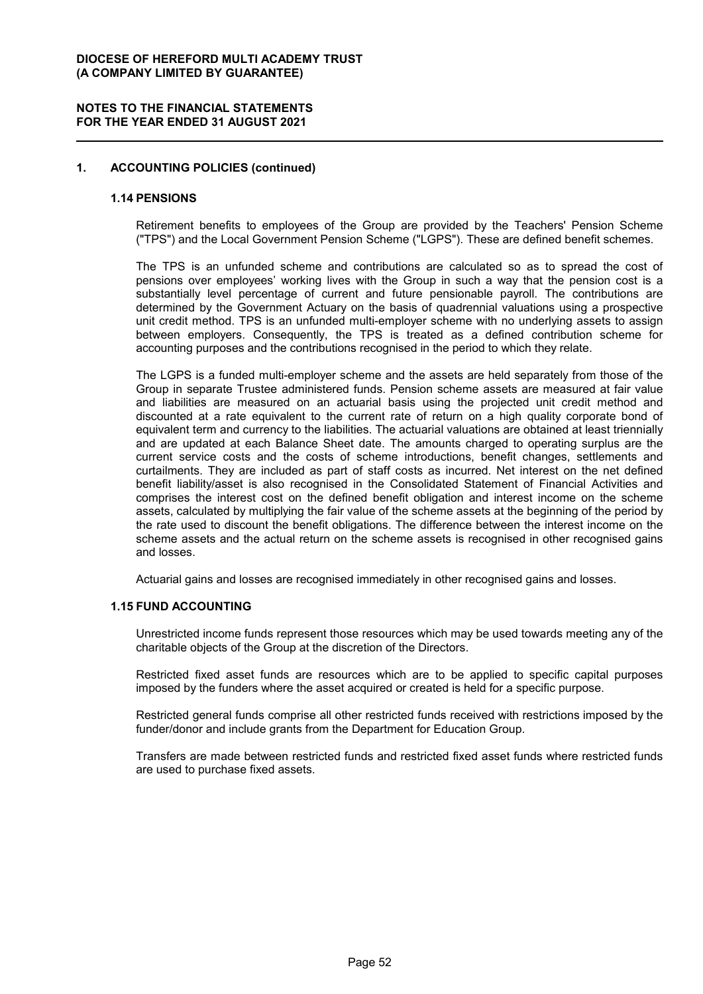### **NOTES TO THE FINANCIAL STATEMENTS FOR THE YEAR ENDED 31 AUGUST 2021**

# **1. ACCOUNTING POLICIES (continued)**

#### **1.14 PENSIONS**

Retirement benefits to employees of the Group are provided by the Teachers' Pension Scheme ("TPS") and the Local Government Pension Scheme ("LGPS"). These are defined benefit schemes.

The TPS is an unfunded scheme and contributions are calculated so as to spread the cost of pensions over employees' working lives with the Group in such a way that the pension cost is a substantially level percentage of current and future pensionable payroll. The contributions are determined by the Government Actuary on the basis of quadrennial valuations using a prospective unit credit method. TPS is an unfunded multi-employer scheme with no underlying assets to assign between employers. Consequently, the TPS is treated as a defined contribution scheme for accounting purposes and the contributions recognised in the period to which they relate.

The LGPS is a funded multi-employer scheme and the assets are held separately from those of the Group in separate Trustee administered funds. Pension scheme assets are measured at fair value and liabilities are measured on an actuarial basis using the projected unit credit method and discounted at a rate equivalent to the current rate of return on a high quality corporate bond of equivalent term and currency to the liabilities. The actuarial valuations are obtained at least triennially and are updated at each Balance Sheet date. The amounts charged to operating surplus are the current service costs and the costs of scheme introductions, benefit changes, settlements and curtailments. They are included as part of staff costs as incurred. Net interest on the net defined benefit liability/asset is also recognised in the Consolidated Statement of Financial Activities and comprises the interest cost on the defined benefit obligation and interest income on the scheme assets, calculated by multiplying the fair value of the scheme assets at the beginning of the period by the rate used to discount the benefit obligations. The difference between the interest income on the scheme assets and the actual return on the scheme assets is recognised in other recognised gains and losses.

Actuarial gains and losses are recognised immediately in other recognised gains and losses.

#### **1.15 FUND ACCOUNTING**

Unrestricted income funds represent those resources which may be used towards meeting any of the charitable objects of the Group at the discretion of the Directors.

Restricted fixed asset funds are resources which are to be applied to specific capital purposes imposed by the funders where the asset acquired or created is held for a specific purpose.

Restricted general funds comprise all other restricted funds received with restrictions imposed by the funder/donor and include grants from the Department for Education Group.

Transfers are made between restricted funds and restricted fixed asset funds where restricted funds are used to purchase fixed assets.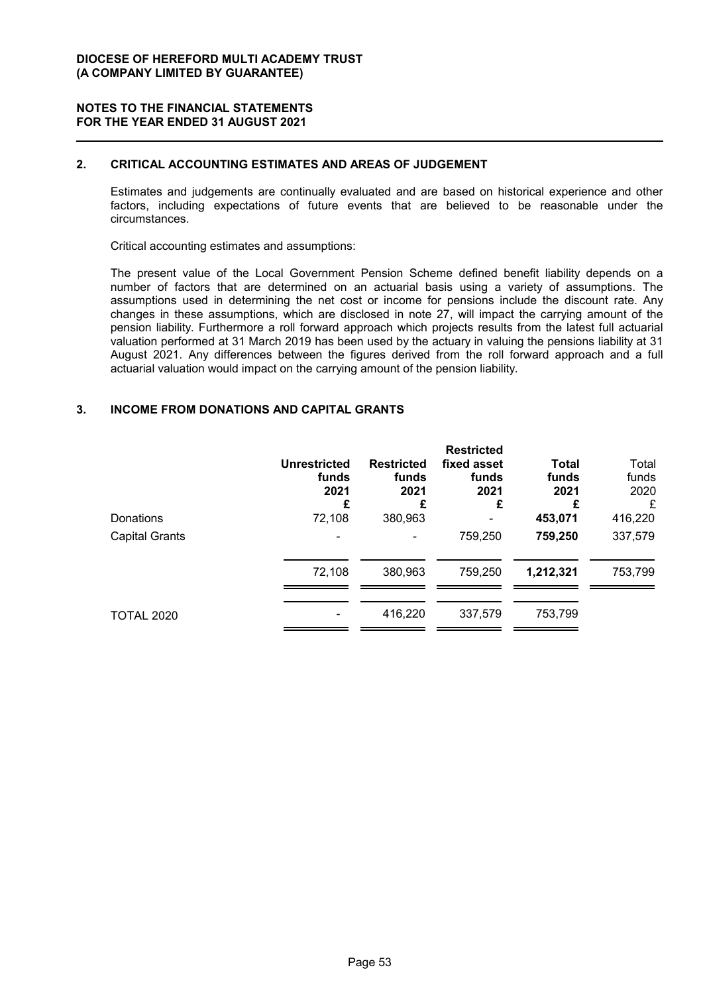# **2. CRITICAL ACCOUNTING ESTIMATES AND AREAS OF JUDGEMENT**

Estimates and judgements are continually evaluated and are based on historical experience and other factors, including expectations of future events that are believed to be reasonable under the circumstances.

Critical accounting estimates and assumptions:

The present value of the Local Government Pension Scheme defined benefit liability depends on a number of factors that are determined on an actuarial basis using a variety of assumptions. The assumptions used in determining the net cost or income for pensions include the discount rate. Any changes in these assumptions, which are disclosed in note 27, will impact the carrying amount of the pension liability. Furthermore a roll forward approach which projects results from the latest full actuarial valuation performed at 31 March 2019 has been used by the actuary in valuing the pensions liability at 31 August 2021. Any differences between the figures derived from the roll forward approach and a full actuarial valuation would impact on the carrying amount of the pension liability.

# **3. INCOME FROM DONATIONS AND CAPITAL GRANTS**

|                   | <b>Unrestricted</b><br>funds<br>2021<br>£ | <b>Restricted</b><br>funds<br>2021<br>£ | <b>Restricted</b><br>fixed asset<br>funds<br>2021<br>£ | Total<br>funds<br>2021<br>£ | Total<br>funds<br>2020<br>£ |
|-------------------|-------------------------------------------|-----------------------------------------|--------------------------------------------------------|-----------------------------|-----------------------------|
| Donations         | 72,108                                    | 380,963                                 |                                                        | 453,071                     | 416,220                     |
| Capital Grants    |                                           |                                         | 759,250                                                | 759,250                     | 337,579                     |
|                   | 72,108                                    | 380,963                                 | 759,250                                                | 1,212,321                   | 753,799                     |
| <b>TOTAL 2020</b> |                                           | 416,220                                 | 337,579                                                | 753,799                     |                             |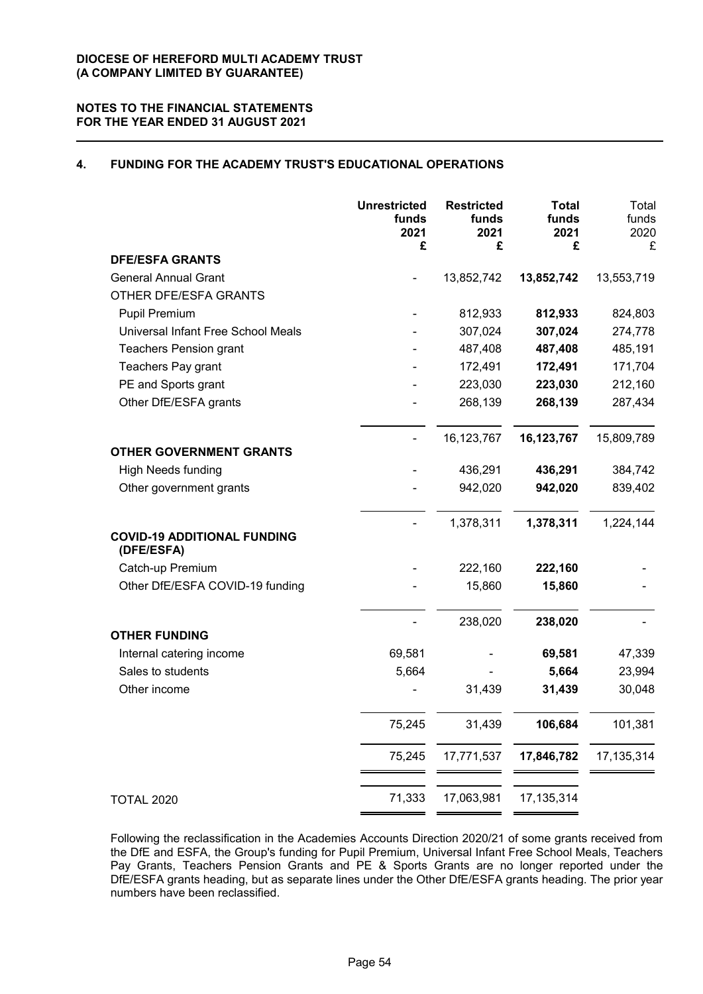# **4. FUNDING FOR THE ACADEMY TRUST'S EDUCATIONAL OPERATIONS**

|                                                  | <b>Unrestricted</b><br>funds<br>2021<br>£ | <b>Restricted</b><br>funds<br>2021<br>£ | <b>Total</b><br>funds<br>2021<br>£ | Total<br>funds<br>2020<br>£ |
|--------------------------------------------------|-------------------------------------------|-----------------------------------------|------------------------------------|-----------------------------|
| <b>DFE/ESFA GRANTS</b>                           |                                           |                                         |                                    |                             |
| <b>General Annual Grant</b>                      |                                           | 13,852,742                              | 13,852,742                         | 13,553,719                  |
| OTHER DFE/ESFA GRANTS                            |                                           |                                         |                                    |                             |
| Pupil Premium                                    |                                           | 812,933                                 | 812,933                            | 824,803                     |
| Universal Infant Free School Meals               |                                           | 307,024                                 | 307,024                            | 274,778                     |
| <b>Teachers Pension grant</b>                    |                                           | 487,408                                 | 487,408                            | 485,191                     |
| Teachers Pay grant                               |                                           | 172,491                                 | 172,491                            | 171,704                     |
| PE and Sports grant                              |                                           | 223,030                                 | 223,030                            | 212,160                     |
| Other DfE/ESFA grants                            |                                           | 268,139                                 | 268,139                            | 287,434                     |
|                                                  |                                           | 16,123,767                              | 16,123,767                         | 15,809,789                  |
| <b>OTHER GOVERNMENT GRANTS</b>                   |                                           |                                         |                                    |                             |
| <b>High Needs funding</b>                        |                                           | 436,291                                 | 436,291                            | 384,742                     |
| Other government grants                          |                                           | 942,020                                 | 942,020                            | 839,402                     |
|                                                  |                                           | 1,378,311                               | 1,378,311                          | 1,224,144                   |
| <b>COVID-19 ADDITIONAL FUNDING</b><br>(DFE/ESFA) |                                           |                                         |                                    |                             |
| Catch-up Premium                                 |                                           | 222,160                                 | 222,160                            |                             |
| Other DfE/ESFA COVID-19 funding                  |                                           | 15,860                                  | 15,860                             |                             |
| <b>OTHER FUNDING</b>                             |                                           | 238,020                                 | 238,020                            |                             |
| Internal catering income                         | 69,581                                    |                                         | 69,581                             | 47,339                      |
| Sales to students                                | 5,664                                     |                                         | 5,664                              | 23,994                      |
| Other income                                     |                                           | 31,439                                  | 31,439                             | 30,048                      |
|                                                  | 75,245                                    | 31,439                                  | 106,684                            | 101,381                     |
|                                                  | 75,245                                    | 17,771,537                              | 17,846,782                         | 17, 135, 314                |
|                                                  |                                           |                                         |                                    |                             |
| <b>TOTAL 2020</b>                                | 71,333                                    | 17,063,981                              | 17, 135, 314                       |                             |

Following the reclassification in the Academies Accounts Direction 2020/21 of some grants received from the DfE and ESFA, the Group's funding for Pupil Premium, Universal Infant Free School Meals, Teachers Pay Grants, Teachers Pension Grants and PE & Sports Grants are no longer reported under the DfE/ESFA grants heading, but as separate lines under the Other DfE/ESFA grants heading. The prior year numbers have been reclassified.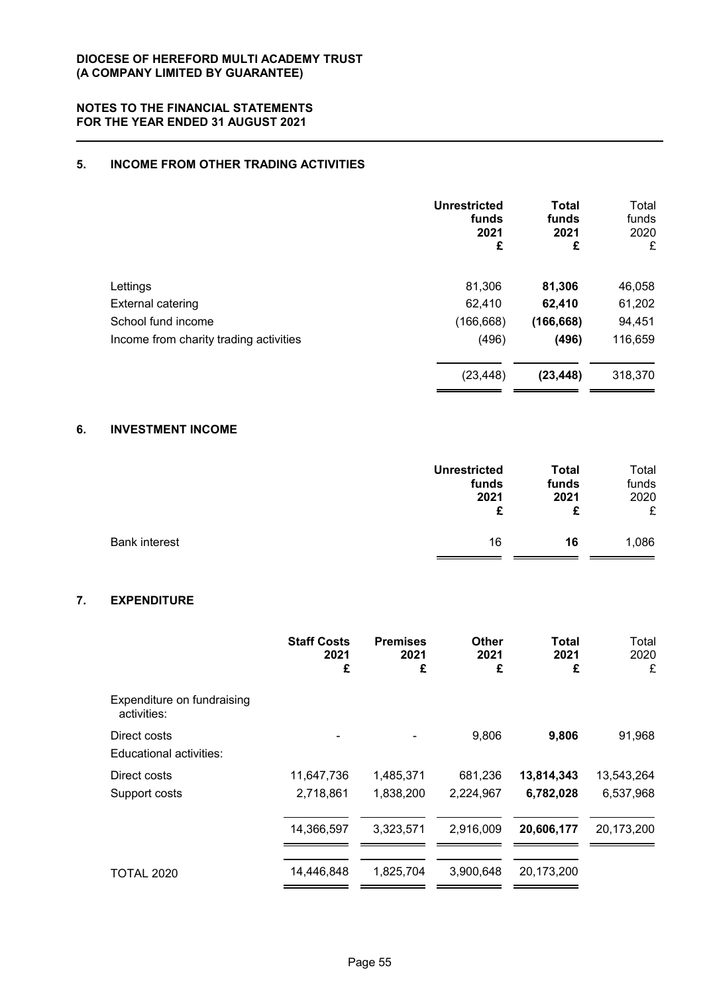# **5. INCOME FROM OTHER TRADING ACTIVITIES**

|                                        | <b>Unrestricted</b><br>funds<br>2021<br>£ | <b>Total</b><br>funds<br>2021<br>£ | Total<br>funds<br>2020<br>£ |
|----------------------------------------|-------------------------------------------|------------------------------------|-----------------------------|
| Lettings                               | 81,306                                    | 81,306                             | 46,058                      |
| <b>External catering</b>               | 62,410                                    | 62,410                             | 61,202                      |
| School fund income                     | (166, 668)                                | (166, 668)                         | 94,451                      |
| Income from charity trading activities | (496)                                     | (496)                              | 116,659                     |
|                                        | (23, 448)                                 | (23, 448)                          | 318,370                     |

# **6. INVESTMENT INCOME**

|                      | <b>Unrestricted</b> | Total | Total |
|----------------------|---------------------|-------|-------|
|                      | funds               | funds | funds |
|                      | 2021                | 2021  | 2020  |
|                      | £                   | £     | £     |
| <b>Bank interest</b> | 16                  | 16    | 1,086 |

# **7. EXPENDITURE**

|                                           | <b>Staff Costs</b><br>2021<br>£ | <b>Premises</b><br>2021<br>£ | Other<br>2021<br>£ | Total<br>2021<br>£ | Total<br>2020<br>£ |
|-------------------------------------------|---------------------------------|------------------------------|--------------------|--------------------|--------------------|
| Expenditure on fundraising<br>activities: |                                 |                              |                    |                    |                    |
| Direct costs<br>Educational activities:   |                                 |                              | 9,806              | 9,806              | 91,968             |
| Direct costs                              | 11,647,736                      | 1,485,371                    | 681,236            | 13,814,343         | 13,543,264         |
| Support costs                             | 2,718,861                       | 1,838,200                    | 2,224,967          | 6,782,028          | 6,537,968          |
|                                           | 14,366,597                      | 3,323,571                    | 2,916,009          | 20,606,177         | 20,173,200         |
| <b>TOTAL 2020</b>                         | 14,446,848                      | 1,825,704                    | 3,900,648          | 20,173,200         |                    |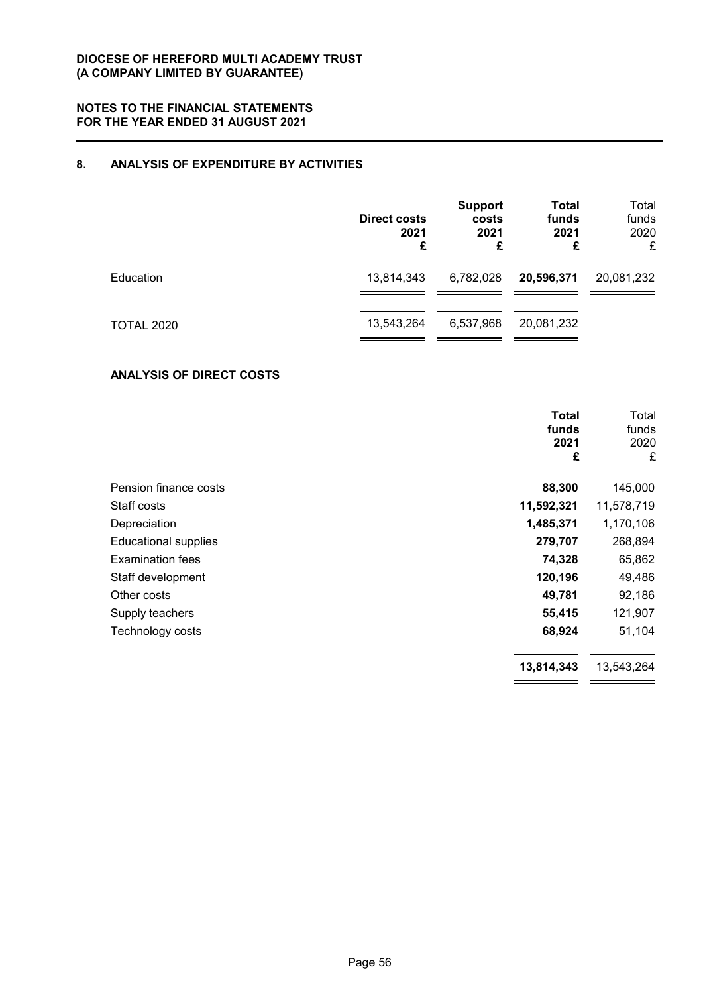# **8. ANALYSIS OF EXPENDITURE BY ACTIVITIES**

|                   | <b>Direct costs</b><br>2021<br>£ | <b>Support</b><br>costs<br>2021<br>£ | <b>Total</b><br>funds<br>2021<br>£ | Total<br>funds<br>2020<br>£ |
|-------------------|----------------------------------|--------------------------------------|------------------------------------|-----------------------------|
| Education         | 13,814,343                       | 6,782,028                            | 20,596,371                         | 20,081,232                  |
| <b>TOTAL 2020</b> | 13,543,264                       | 6,537,968                            | 20,081,232                         |                             |

# **ANALYSIS OF DIRECT COSTS**

|                             | <b>Total</b><br>funds<br>2021<br>£ | Total<br>funds<br>2020<br>£ |
|-----------------------------|------------------------------------|-----------------------------|
| Pension finance costs       | 88,300                             | 145,000                     |
| Staff costs                 | 11,592,321                         | 11,578,719                  |
| Depreciation                | 1,485,371                          | 1,170,106                   |
| <b>Educational supplies</b> | 279,707                            | 268,894                     |
| <b>Examination fees</b>     | 74,328                             | 65,862                      |
| Staff development           | 120,196                            | 49,486                      |
| Other costs                 | 49,781                             | 92,186                      |
| Supply teachers             | 55,415                             | 121,907                     |
| Technology costs            | 68,924                             | 51,104                      |
|                             | 13,814,343                         | 13,543,264                  |
|                             |                                    |                             |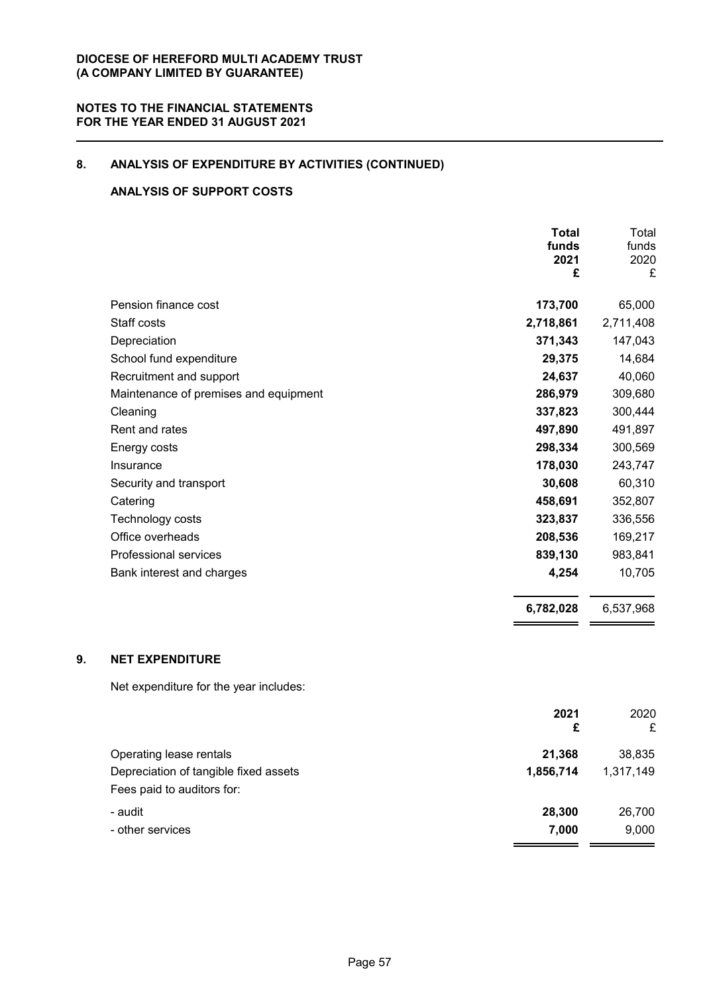# **8. ANALYSIS OF EXPENDITURE BY ACTIVITIES (CONTINUED)**

# **ANALYSIS OF SUPPORT COSTS**

|    |                                        | <b>Total</b><br>funds<br>2021<br>£ | Total<br>funds<br>2020<br>£ |
|----|----------------------------------------|------------------------------------|-----------------------------|
|    | Pension finance cost                   | 173,700                            | 65,000                      |
|    | Staff costs                            | 2,718,861                          | 2,711,408                   |
|    | Depreciation                           | 371,343                            | 147,043                     |
|    | School fund expenditure                | 29,375                             | 14,684                      |
|    | Recruitment and support                | 24,637                             | 40,060                      |
|    | Maintenance of premises and equipment  | 286,979                            | 309,680                     |
|    | Cleaning                               | 337,823                            | 300,444                     |
|    | Rent and rates                         | 497,890                            | 491,897                     |
|    | Energy costs                           | 298,334                            | 300,569                     |
|    | Insurance                              | 178,030                            | 243,747                     |
|    | Security and transport                 | 30,608                             | 60,310                      |
|    | Catering                               | 458,691                            | 352,807                     |
|    | Technology costs                       | 323,837                            | 336,556                     |
|    | Office overheads                       | 208,536                            | 169,217                     |
|    | Professional services                  | 839,130                            | 983,841                     |
|    | Bank interest and charges              | 4,254                              | 10,705                      |
|    |                                        | 6,782,028                          | 6,537,968                   |
| 9. | <b>NET EXPENDITURE</b>                 |                                    |                             |
|    | Net expenditure for the year includes: |                                    |                             |
|    |                                        | 2021<br>£                          | 2020<br>£                   |
|    | Operating lease rentals                | 21,368                             | 38,835                      |
|    | Depreciation of tangible fixed assets  | 1,856,714                          | 1,317,149                   |
|    | Fees paid to auditors for:             |                                    |                             |
|    | - audit                                | 28,300                             | 26,700                      |
|    | - other services                       | 7,000                              | 9,000                       |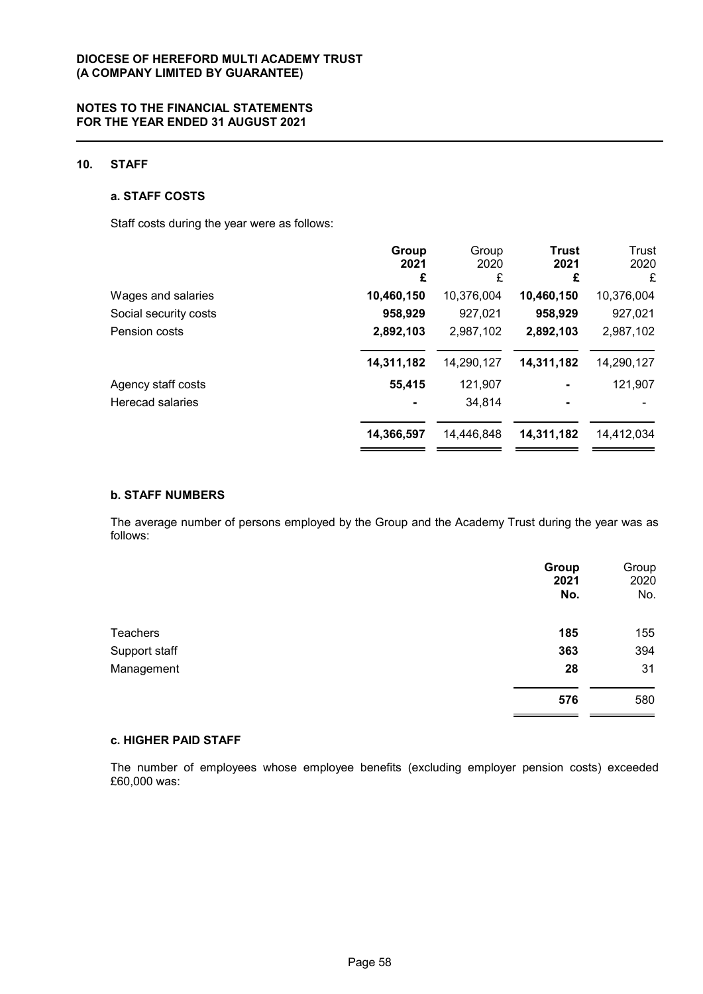# **10. STAFF**

### **a. STAFF COSTS**

Staff costs during the year were as follows:

|                       | Group      | Group      | Trust      | Trust      |
|-----------------------|------------|------------|------------|------------|
|                       | 2021<br>£  | 2020<br>£  | 2021<br>£  | 2020<br>£  |
| Wages and salaries    | 10,460,150 | 10,376,004 | 10,460,150 | 10,376,004 |
| Social security costs | 958,929    | 927,021    | 958,929    | 927,021    |
| Pension costs         | 2,892,103  | 2,987,102  | 2,892,103  | 2,987,102  |
|                       | 14,311,182 | 14,290,127 | 14,311,182 | 14,290,127 |
| Agency staff costs    | 55,415     | 121,907    |            | 121,907    |
| Herecad salaries      |            | 34,814     |            |            |
|                       | 14,366,597 | 14,446,848 | 14,311,182 | 14,412,034 |
|                       |            |            |            |            |

### **b. STAFF NUMBERS**

The average number of persons employed by the Group and the Academy Trust during the year was as follows:

|                 | Group<br>2021<br>No. | Group<br>2020<br>No. |
|-----------------|----------------------|----------------------|
| <b>Teachers</b> | 185                  | 155                  |
| Support staff   | 363                  | 394                  |
| Management      | 28                   | 31                   |
|                 | 576                  | 580                  |

#### **c. HIGHER PAID STAFF**

The number of employees whose employee benefits (excluding employer pension costs) exceeded £60,000 was: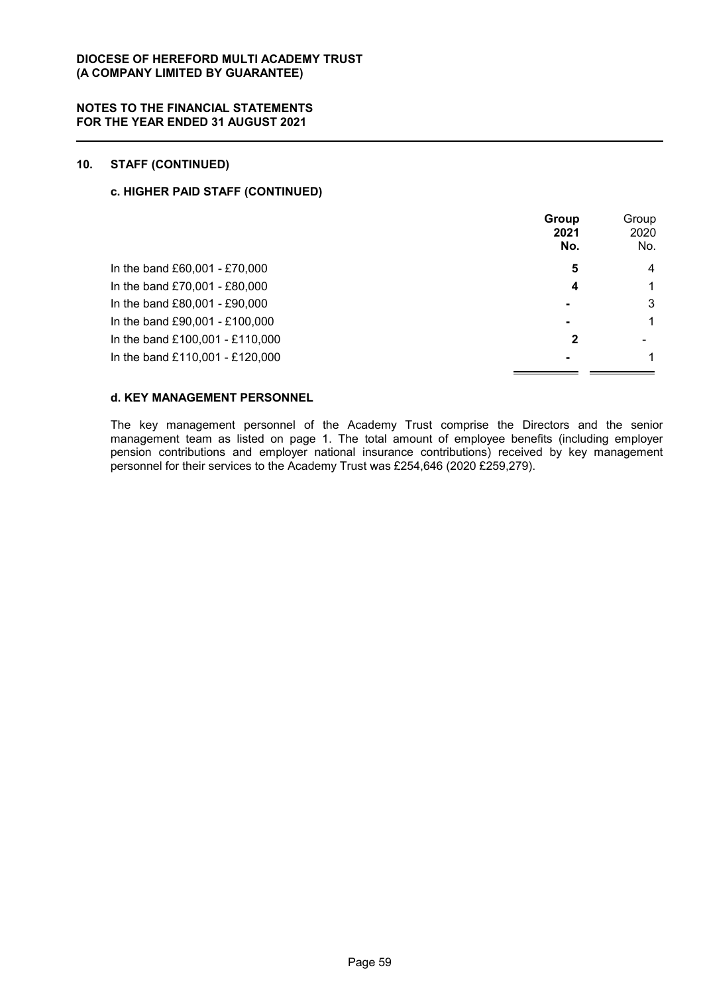# **10. STAFF (CONTINUED)**

# **c. HIGHER PAID STAFF (CONTINUED)**

|                                 | Group<br>2021<br>No. | Group<br>2020<br>No. |
|---------------------------------|----------------------|----------------------|
| In the band £60,001 - £70,000   | 5                    | 4                    |
| In the band £70,001 - £80,000   | 4                    | 1                    |
| In the band £80,001 - £90,000   |                      | 3                    |
| In the band £90,001 - £100,000  | $\blacksquare$       | 1                    |
| In the band £100,001 - £110,000 | $\mathbf{2}$         |                      |
| In the band £110,001 - £120,000 |                      | 1                    |

# **d. KEY MANAGEMENT PERSONNEL**

The key management personnel of the Academy Trust comprise the Directors and the senior management team as listed on page 1. The total amount of employee benefits (including employer pension contributions and employer national insurance contributions) received by key management personnel for their services to the Academy Trust was £254,646 (2020 £259,279).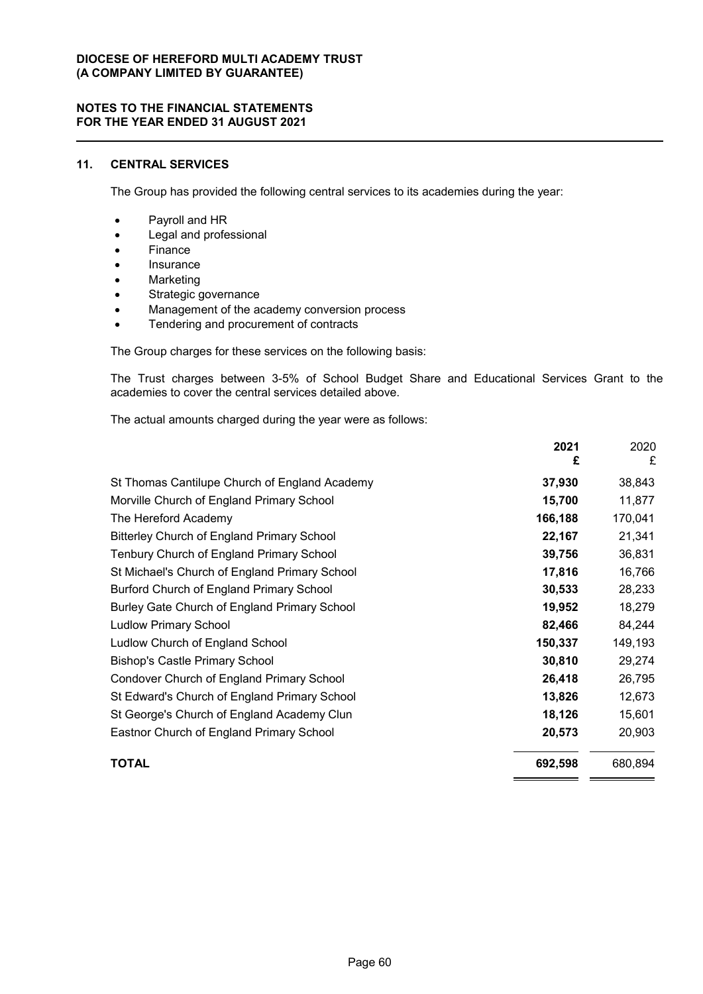# **11. CENTRAL SERVICES**

The Group has provided the following central services to its academies during the year:

- Payroll and HR
- Legal and professional
- Finance
- Insurance
- Marketing
- Strategic governance
- Management of the academy conversion process
- Tendering and procurement of contracts

The Group charges for these services on the following basis:

The Trust charges between 3-5% of School Budget Share and Educational Services Grant to the academies to cover the central services detailed above.

The actual amounts charged during the year were as follows:

|                                                   | 2021<br>£ | 2020<br>£ |
|---------------------------------------------------|-----------|-----------|
| St Thomas Cantilupe Church of England Academy     | 37,930    | 38,843    |
| Morville Church of England Primary School         | 15,700    | 11,877    |
| The Hereford Academy                              | 166,188   | 170,041   |
| <b>Bitterley Church of England Primary School</b> | 22,167    | 21,341    |
| Tenbury Church of England Primary School          | 39,756    | 36,831    |
| St Michael's Church of England Primary School     | 17,816    | 16,766    |
| Burford Church of England Primary School          | 30,533    | 28,233    |
| Burley Gate Church of England Primary School      | 19,952    | 18,279    |
| <b>Ludlow Primary School</b>                      | 82,466    | 84,244    |
| Ludlow Church of England School                   | 150,337   | 149,193   |
| <b>Bishop's Castle Primary School</b>             | 30,810    | 29,274    |
| Condover Church of England Primary School         | 26,418    | 26,795    |
| St Edward's Church of England Primary School      | 13,826    | 12,673    |
| St George's Church of England Academy Clun        | 18,126    | 15,601    |
| Eastnor Church of England Primary School          | 20,573    | 20,903    |
| <b>TOTAL</b>                                      | 692,598   | 680,894   |

 $=$   $=$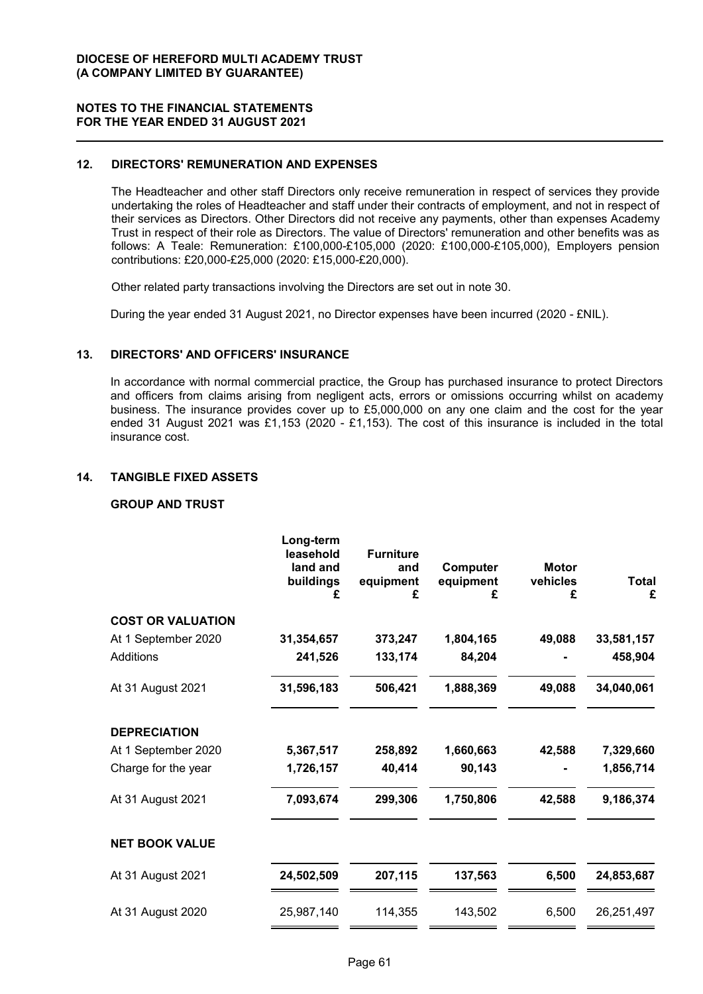### **12. DIRECTORS' REMUNERATION AND EXPENSES**

The Headteacher and other staff Directors only receive remuneration in respect of services they provide undertaking the roles of Headteacher and staff under their contracts of employment, and not in respect of their services as Directors. Other Directors did not receive any payments, other than expenses Academy Trust in respect of their role as Directors. The value of Directors' remuneration and other benefits was as follows: A Teale: Remuneration: £100,000-£105,000 (2020: £100,000-£105,000), Employers pension contributions: £20,000-£25,000 (2020: £15,000-£20,000).

Other related party transactions involving the Directors are set out in note 30.

During the year ended 31 August 2021, no Director expenses have been incurred (2020 - £NIL).

### **13. DIRECTORS' AND OFFICERS' INSURANCE**

In accordance with normal commercial practice, the Group has purchased insurance to protect Directors and officers from claims arising from negligent acts, errors or omissions occurring whilst on academy business. The insurance provides cover up to £5,000,000 on any one claim and the cost for the year ended 31 August 2021 was £1,153 (2020 - £1,153). The cost of this insurance is included in the total insurance cost.

# **14. TANGIBLE FIXED ASSETS**

# **GROUP AND TRUST**

| <b>COST OR VALUATION</b><br>1,804,165<br>49,088<br>At 1 September 2020<br>31,354,657<br>373,247<br>84,204<br>Additions<br>241,526<br>133,174<br>At 31 August 2021<br>31,596,183<br>506,421<br>1,888,369<br>49,088<br><b>DEPRECIATION</b><br>At 1 September 2020<br>1,660,663<br>5,367,517<br>258,892<br>42,588<br>40,414<br>90,143<br>Charge for the year<br>1,726,157<br>At 31 August 2021<br>7,093,674<br>299,306<br>1,750,806<br>42,588<br><b>NET BOOK VALUE</b><br>6,500<br>At 31 August 2021<br>24,502,509<br>207,115<br>137,563 | Long-term<br>leasehold<br>land and<br>buildings<br>£ | <b>Furniture</b><br>and<br>equipment<br>£ | Computer<br>equipment<br>£ | <b>Motor</b><br>vehicles<br>£ | <b>Total</b><br>£ |
|---------------------------------------------------------------------------------------------------------------------------------------------------------------------------------------------------------------------------------------------------------------------------------------------------------------------------------------------------------------------------------------------------------------------------------------------------------------------------------------------------------------------------------------|------------------------------------------------------|-------------------------------------------|----------------------------|-------------------------------|-------------------|
|                                                                                                                                                                                                                                                                                                                                                                                                                                                                                                                                       |                                                      |                                           |                            |                               |                   |
|                                                                                                                                                                                                                                                                                                                                                                                                                                                                                                                                       |                                                      |                                           |                            |                               | 33,581,157        |
|                                                                                                                                                                                                                                                                                                                                                                                                                                                                                                                                       |                                                      |                                           |                            |                               | 458,904           |
|                                                                                                                                                                                                                                                                                                                                                                                                                                                                                                                                       |                                                      |                                           |                            |                               | 34,040,061        |
|                                                                                                                                                                                                                                                                                                                                                                                                                                                                                                                                       |                                                      |                                           |                            |                               |                   |
|                                                                                                                                                                                                                                                                                                                                                                                                                                                                                                                                       |                                                      |                                           |                            |                               | 7,329,660         |
|                                                                                                                                                                                                                                                                                                                                                                                                                                                                                                                                       |                                                      |                                           |                            |                               | 1,856,714         |
|                                                                                                                                                                                                                                                                                                                                                                                                                                                                                                                                       |                                                      |                                           |                            |                               | 9,186,374         |
|                                                                                                                                                                                                                                                                                                                                                                                                                                                                                                                                       |                                                      |                                           |                            |                               |                   |
|                                                                                                                                                                                                                                                                                                                                                                                                                                                                                                                                       |                                                      |                                           |                            |                               | 24,853,687        |
| 143,502<br>At 31 August 2020<br>25,987,140<br>114,355<br>6,500                                                                                                                                                                                                                                                                                                                                                                                                                                                                        |                                                      |                                           |                            |                               | 26,251,497        |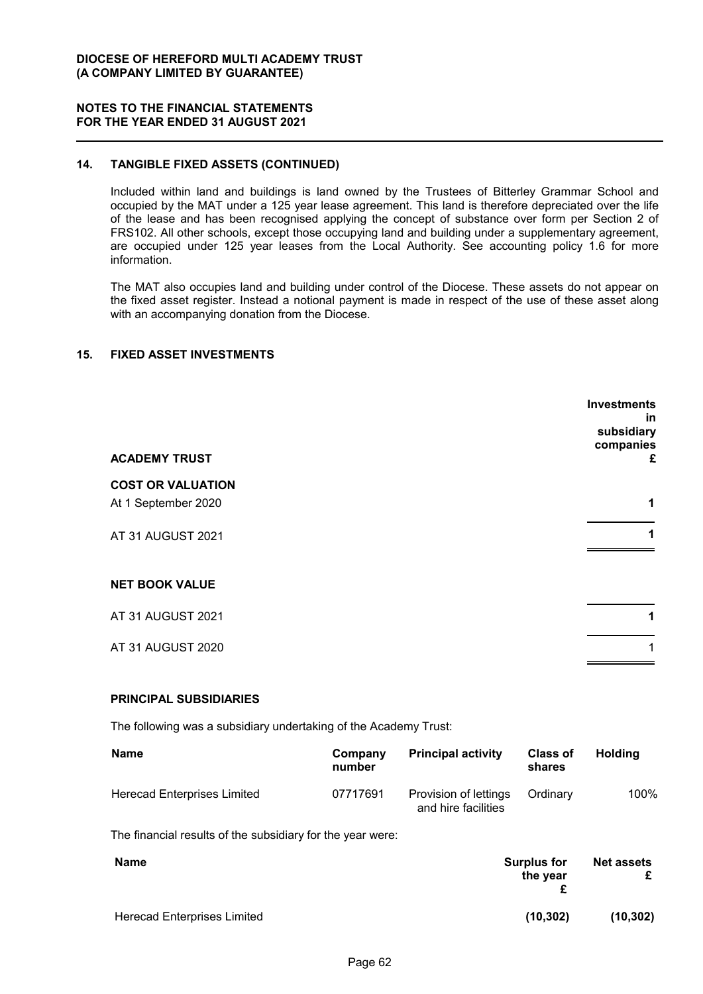# **14. TANGIBLE FIXED ASSETS (CONTINUED)**

Included within land and buildings is land owned by the Trustees of Bitterley Grammar School and occupied by the MAT under a 125 year lease agreement. This land is therefore depreciated over the life of the lease and has been recognised applying the concept of substance over form per Section 2 of FRS102. All other schools, except those occupying land and building under a supplementary agreement, are occupied under 125 year leases from the Local Authority. See accounting policy 1.6 for more information.

The MAT also occupies land and building under control of the Diocese. These assets do not appear on the fixed asset register. Instead a notional payment is made in respect of the use of these asset along with an accompanying donation from the Diocese.

### **15. FIXED ASSET INVESTMENTS**

| <b>ACADEMY TRUST</b>     | <b>Investments</b><br>in.<br>subsidiary<br>companies<br>£ |
|--------------------------|-----------------------------------------------------------|
| <b>COST OR VALUATION</b> |                                                           |
| At 1 September 2020      | 1                                                         |
| AT 31 AUGUST 2021        | 1                                                         |
| <b>NET BOOK VALUE</b>    |                                                           |
| AT 31 AUGUST 2021        | 1                                                         |
| AT 31 AUGUST 2020        | 1                                                         |
|                          |                                                           |

#### **PRINCIPAL SUBSIDIARIES**

The following was a subsidiary undertaking of the Academy Trust:

| <b>Name</b>                        | Company<br>number | <b>Principal activity</b>                    | <b>Class of</b><br>shares | Holdina |
|------------------------------------|-------------------|----------------------------------------------|---------------------------|---------|
| <b>Herecad Enterprises Limited</b> | 07717691          | Provision of lettings<br>and hire facilities | Ordinary                  | 100%    |

The financial results of the subsidiary for the year were:

| <b>Name</b>                        | <b>Surplus for</b><br>the year | <b>Net assets</b><br>£ |
|------------------------------------|--------------------------------|------------------------|
| <b>Herecad Enterprises Limited</b> | (10.302)                       | (10, 302)              |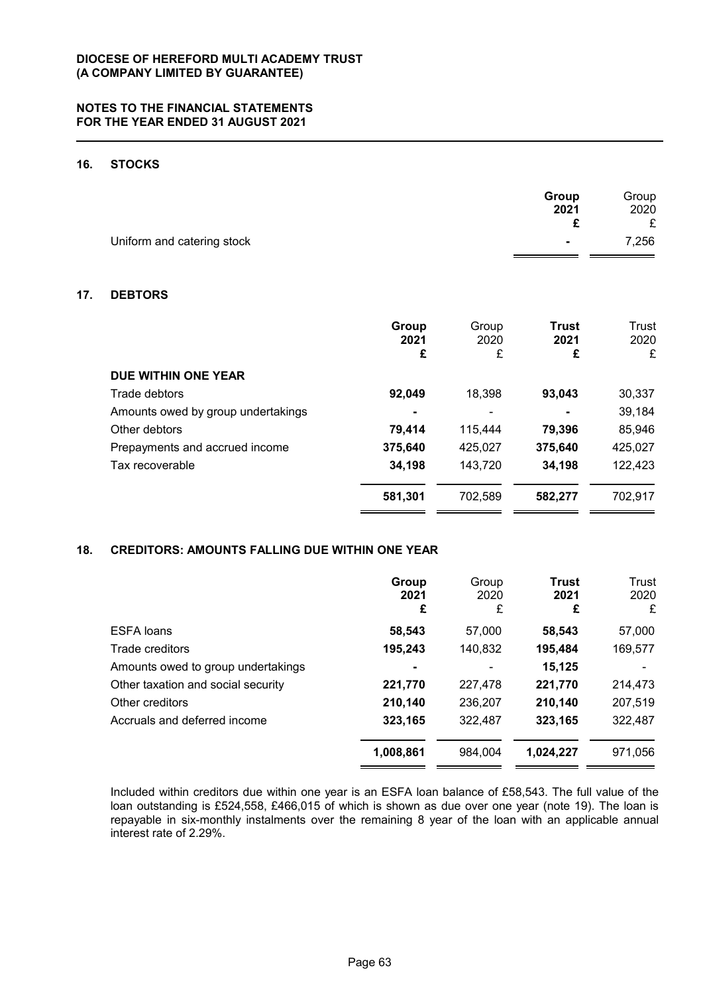# **16. STOCKS**

|                            | Group          | Group |
|----------------------------|----------------|-------|
|                            | 2021           | 2020  |
|                            |                |       |
| Uniform and catering stock | $\blacksquare$ | 7,256 |

# **17. DEBTORS**

|                                    | Group<br>2021<br>£ | Group<br>2020<br>£ | <b>Trust</b><br>2021<br>£ | Trust<br>2020<br>£ |
|------------------------------------|--------------------|--------------------|---------------------------|--------------------|
| DUE WITHIN ONE YEAR                |                    |                    |                           |                    |
| Trade debtors                      | 92,049             | 18,398             | 93,043                    | 30,337             |
| Amounts owed by group undertakings |                    | ۰                  |                           | 39,184             |
| Other debtors                      | 79.414             | 115.444            | 79,396                    | 85,946             |
| Prepayments and accrued income     | 375,640            | 425,027            | 375,640                   | 425,027            |
| Tax recoverable                    | 34,198             | 143,720            | 34,198                    | 122,423            |
|                                    | 581,301            | 702,589            | 582,277                   | 702,917            |

# **18. CREDITORS: AMOUNTS FALLING DUE WITHIN ONE YEAR**

|                                    | Group<br>2021<br>£ | Group<br>2020<br>£ | <b>Trust</b><br>2021<br>£ | Trust<br>2020<br>£ |
|------------------------------------|--------------------|--------------------|---------------------------|--------------------|
| <b>ESFA loans</b>                  | 58,543             | 57,000             | 58,543                    | 57,000             |
| Trade creditors                    | 195,243            | 140,832            | 195,484                   | 169,577            |
| Amounts owed to group undertakings | ۰                  | ٠                  | 15,125                    |                    |
| Other taxation and social security | 221,770            | 227,478            | 221,770                   | 214,473            |
| Other creditors                    | 210,140            | 236,207            | 210,140                   | 207,519            |
| Accruals and deferred income       | 323,165            | 322,487            | 323,165                   | 322,487            |
|                                    | 1,008,861          | 984.004            | 1,024,227                 | 971,056            |

Included within creditors due within one year is an ESFA loan balance of £58,543. The full value of the loan outstanding is £524,558, £466,015 of which is shown as due over one year (note 19). The loan is repayable in six-monthly instalments over the remaining 8 year of the loan with an applicable annual interest rate of 2.29%.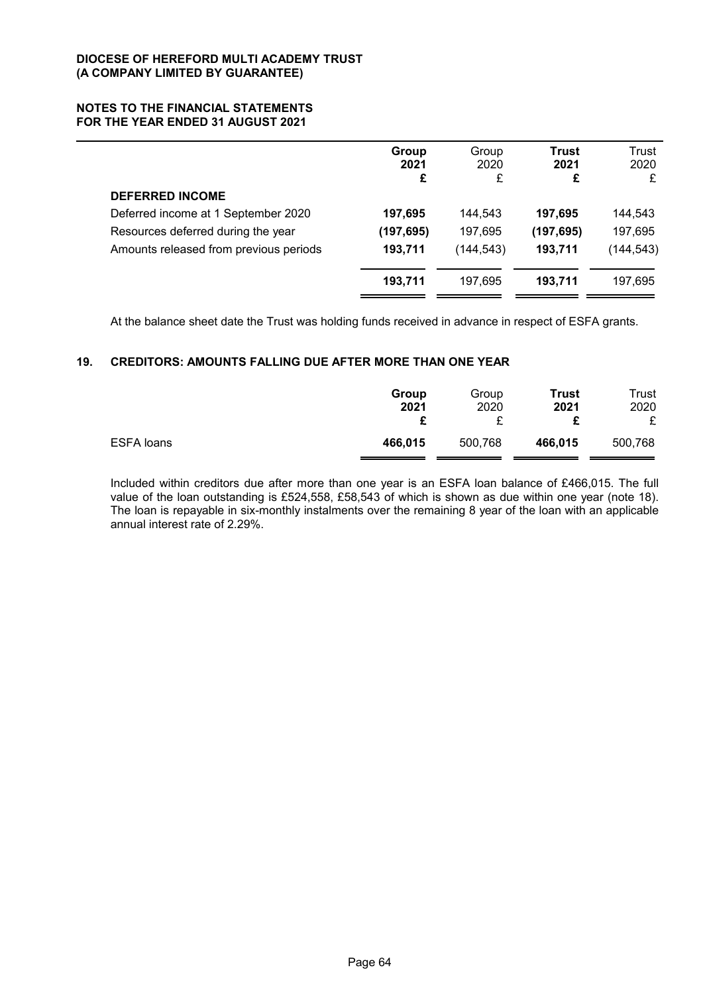|                                        | Group<br>2021<br>£ | Group<br>2020<br>£ | Trust<br>2021<br>£ | Trust<br>2020<br>£ |
|----------------------------------------|--------------------|--------------------|--------------------|--------------------|
| <b>DEFERRED INCOME</b>                 |                    |                    |                    |                    |
| Deferred income at 1 September 2020    | 197,695            | 144.543            | 197,695            | 144,543            |
| Resources deferred during the year     | (197, 695)         | 197,695            | (197, 695)         | 197,695            |
| Amounts released from previous periods | 193,711            | (144, 543)         | 193,711            | (144, 543)         |
|                                        | 193,711            | 197.695            | 193,711            | 197,695            |

At the balance sheet date the Trust was holding funds received in advance in respect of ESFA grants.

# **19. CREDITORS: AMOUNTS FALLING DUE AFTER MORE THAN ONE YEAR**

|            | Group<br>2021 | Group<br>2020 | Trust<br>2021<br>c | Trust<br>2020 |
|------------|---------------|---------------|--------------------|---------------|
| ESFA loans | 466,015       | 500,768       | 466,015            | 500,768       |

Included within creditors due after more than one year is an ESFA loan balance of £466,015. The full value of the loan outstanding is £524,558, £58,543 of which is shown as due within one year (note 18). The loan is repayable in six-monthly instalments over the remaining 8 year of the loan with an applicable annual interest rate of 2.29%.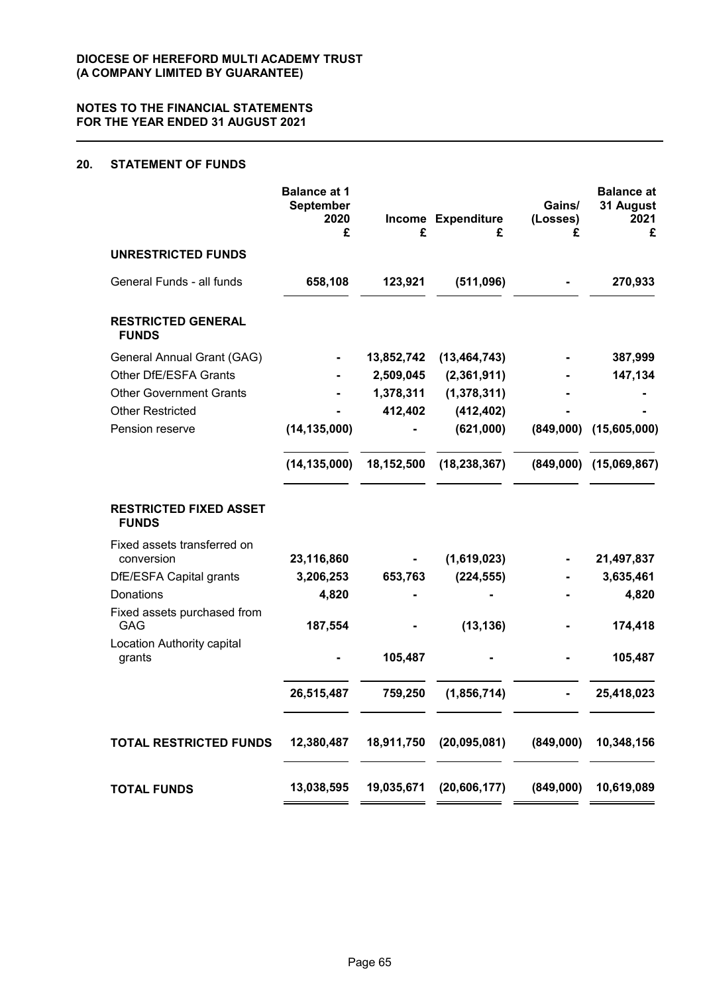# **20. STATEMENT OF FUNDS**

|                                               | <b>Balance at 1</b><br><b>September</b><br>2020<br>£ | £          | Income Expenditure<br>£ | Gains/<br>(Losses)<br>£ | <b>Balance at</b><br>31 August<br>2021<br>£ |
|-----------------------------------------------|------------------------------------------------------|------------|-------------------------|-------------------------|---------------------------------------------|
| <b>UNRESTRICTED FUNDS</b>                     |                                                      |            |                         |                         |                                             |
| General Funds - all funds                     | 658,108                                              | 123,921    | (511,096)               |                         | 270,933                                     |
| <b>RESTRICTED GENERAL</b><br><b>FUNDS</b>     |                                                      |            |                         |                         |                                             |
| General Annual Grant (GAG)                    |                                                      | 13,852,742 | (13, 464, 743)          |                         | 387,999                                     |
| Other DfE/ESFA Grants                         |                                                      | 2,509,045  | (2,361,911)             |                         | 147,134                                     |
| <b>Other Government Grants</b>                |                                                      | 1,378,311  | (1,378,311)             |                         |                                             |
| <b>Other Restricted</b>                       |                                                      | 412,402    | (412, 402)              |                         |                                             |
| Pension reserve                               | (14, 135, 000)                                       |            | (621,000)               | (849,000)               | (15,605,000)                                |
|                                               | (14, 135, 000)                                       | 18,152,500 | (18, 238, 367)          |                         | $(849,000)$ $(15,069,867)$                  |
| <b>RESTRICTED FIXED ASSET</b><br><b>FUNDS</b> |                                                      |            |                         |                         |                                             |
| Fixed assets transferred on<br>conversion     | 23,116,860                                           |            | (1,619,023)             |                         | 21,497,837                                  |
| DfE/ESFA Capital grants                       | 3,206,253                                            | 653,763    | (224, 555)              |                         | 3,635,461                                   |
| Donations                                     | 4,820                                                |            |                         |                         | 4,820                                       |
| Fixed assets purchased from<br><b>GAG</b>     | 187,554                                              |            | (13, 136)               |                         | 174,418                                     |
| Location Authority capital<br>grants          |                                                      | 105,487    |                         |                         | 105,487                                     |
|                                               | 26,515,487                                           | 759,250    | (1,856,714)             |                         | 25,418,023                                  |
| <b>TOTAL RESTRICTED FUNDS</b>                 | 12,380,487                                           | 18,911,750 | (20, 095, 081)          | (849,000)               | 10,348,156                                  |
| <b>TOTAL FUNDS</b>                            | 13,038,595                                           | 19,035,671 | (20, 606, 177)          | (849,000)               | 10,619,089                                  |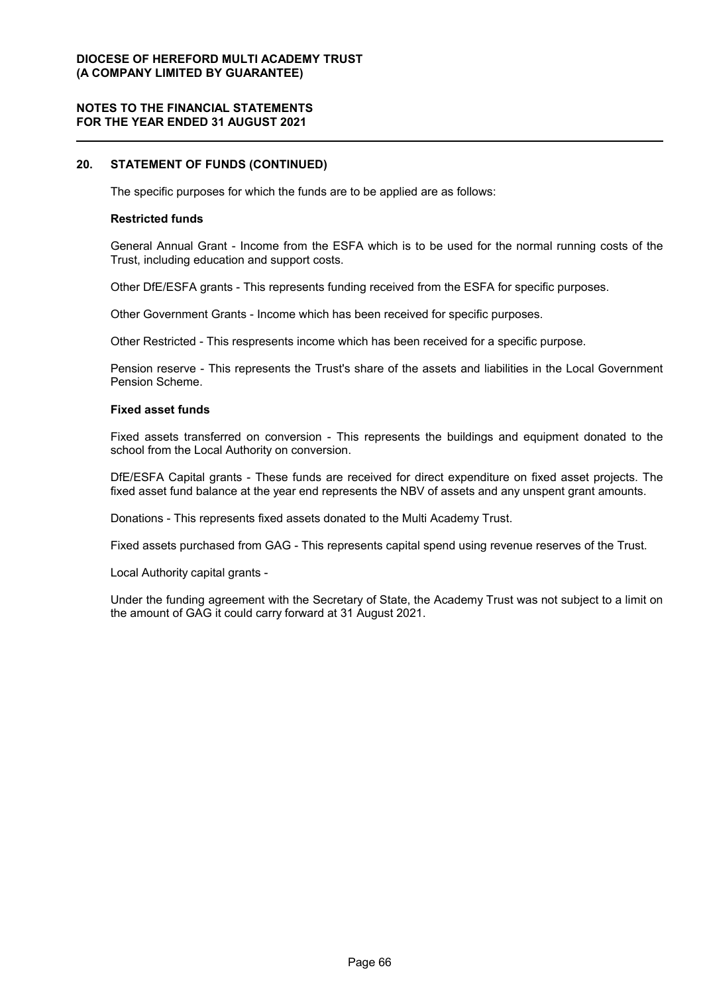# **NOTES TO THE FINANCIAL STATEMENTS FOR THE YEAR ENDED 31 AUGUST 2021**

### **20. STATEMENT OF FUNDS (CONTINUED)**

The specific purposes for which the funds are to be applied are as follows:

#### **Restricted funds**

General Annual Grant - Income from the ESFA which is to be used for the normal running costs of the Trust, including education and support costs.

Other DfE/ESFA grants - This represents funding received from the ESFA for specific purposes.

Other Government Grants - Income which has been received for specific purposes.

Other Restricted - This respresents income which has been received for a specific purpose.

Pension reserve - This represents the Trust's share of the assets and liabilities in the Local Government Pension Scheme.

#### **Fixed asset funds**

Fixed assets transferred on conversion - This represents the buildings and equipment donated to the school from the Local Authority on conversion.

DfE/ESFA Capital grants - These funds are received for direct expenditure on fixed asset projects. The fixed asset fund balance at the year end represents the NBV of assets and any unspent grant amounts.

Donations - This represents fixed assets donated to the Multi Academy Trust.

Fixed assets purchased from GAG - This represents capital spend using revenue reserves of the Trust.

Local Authority capital grants -

Under the funding agreement with the Secretary of State, the Academy Trust was not subject to a limit on the amount of GAG it could carry forward at 31 August 2021.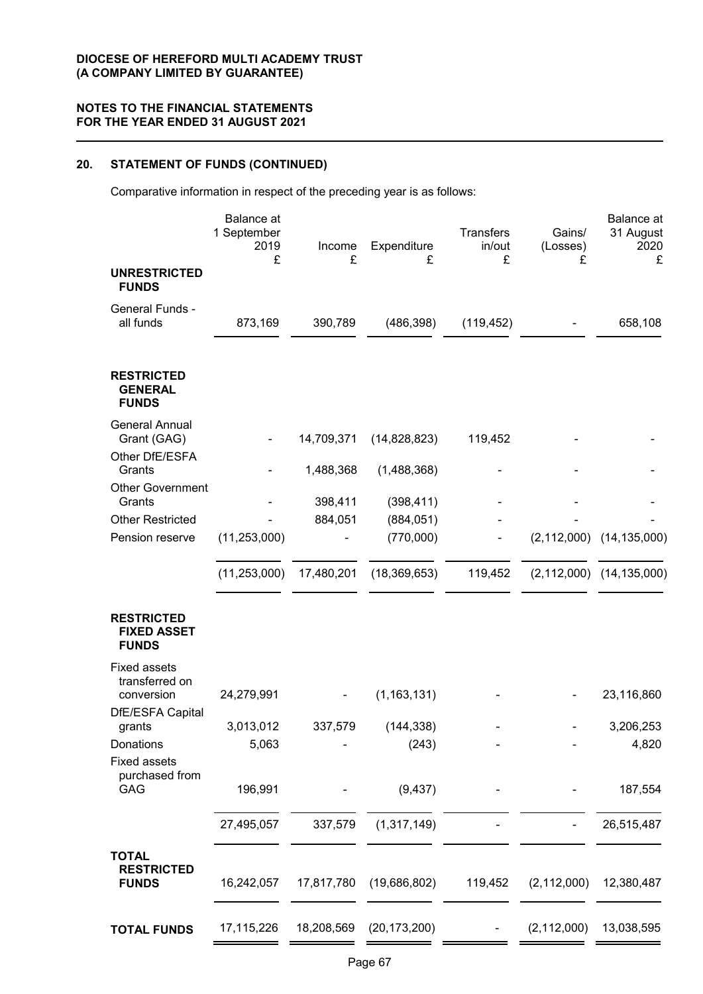# **20. STATEMENT OF FUNDS (CONTINUED)**

Comparative information in respect of the preceding year is as follows:

| <b>UNRESTRICTED</b>                                     | <b>Balance</b> at<br>1 September<br>2019<br>£ | Income<br>£ | Expenditure<br>£        | <b>Transfers</b><br>in/out<br>£ | Gains/<br>(Losses)<br>£ | Balance at<br>31 August<br>2020<br>£ |
|---------------------------------------------------------|-----------------------------------------------|-------------|-------------------------|---------------------------------|-------------------------|--------------------------------------|
| <b>FUNDS</b>                                            |                                               |             |                         |                                 |                         |                                      |
| General Funds -<br>all funds                            | 873,169                                       | 390,789     | (486, 398)              | (119, 452)                      |                         | 658,108                              |
| <b>RESTRICTED</b><br><b>GENERAL</b><br><b>FUNDS</b>     |                                               |             |                         |                                 |                         |                                      |
| <b>General Annual</b><br>Grant (GAG)                    |                                               | 14,709,371  | (14,828,823)            | 119,452                         |                         |                                      |
| Other DfE/ESFA<br>Grants                                |                                               | 1,488,368   | (1,488,368)             |                                 |                         |                                      |
| <b>Other Government</b>                                 |                                               |             |                         |                                 |                         |                                      |
| Grants<br><b>Other Restricted</b>                       |                                               | 398,411     | (398, 411)              |                                 |                         |                                      |
| Pension reserve                                         | (11, 253, 000)                                | 884,051     | (884, 051)<br>(770,000) |                                 |                         | $(2, 112, 000)$ $(14, 135, 000)$     |
|                                                         |                                               |             |                         |                                 |                         |                                      |
|                                                         | (11, 253, 000)                                | 17,480,201  | (18, 369, 653)          | 119,452                         |                         | $(2, 112, 000)$ $(14, 135, 000)$     |
| <b>RESTRICTED</b><br><b>FIXED ASSET</b><br><b>FUNDS</b> |                                               |             |                         |                                 |                         |                                      |
| <b>Fixed assets</b>                                     |                                               |             |                         |                                 |                         |                                      |
| transferred on<br>conversion<br>DfE/ESFA Capital        | 24,279,991                                    |             | (1, 163, 131)           |                                 |                         | 23,116,860                           |
| grants                                                  | 3,013,012                                     | 337,579     | (144, 338)              |                                 |                         | 3,206,253                            |
| Donations                                               | 5,063                                         |             | (243)                   |                                 |                         | 4,820                                |
| <b>Fixed assets</b><br>purchased from<br>GAG            | 196,991                                       |             | (9, 437)                |                                 |                         | 187,554                              |
|                                                         | 27,495,057                                    | 337,579     | (1,317,149)             |                                 |                         | 26,515,487                           |
| <b>TOTAL</b><br><b>RESTRICTED</b><br><b>FUNDS</b>       | 16,242,057                                    | 17,817,780  | (19,686,802)            | 119,452                         | (2, 112, 000)           | 12,380,487                           |
| <b>TOTAL FUNDS</b>                                      | 17,115,226                                    | 18,208,569  | (20, 173, 200)          |                                 | (2, 112, 000)           | 13,038,595                           |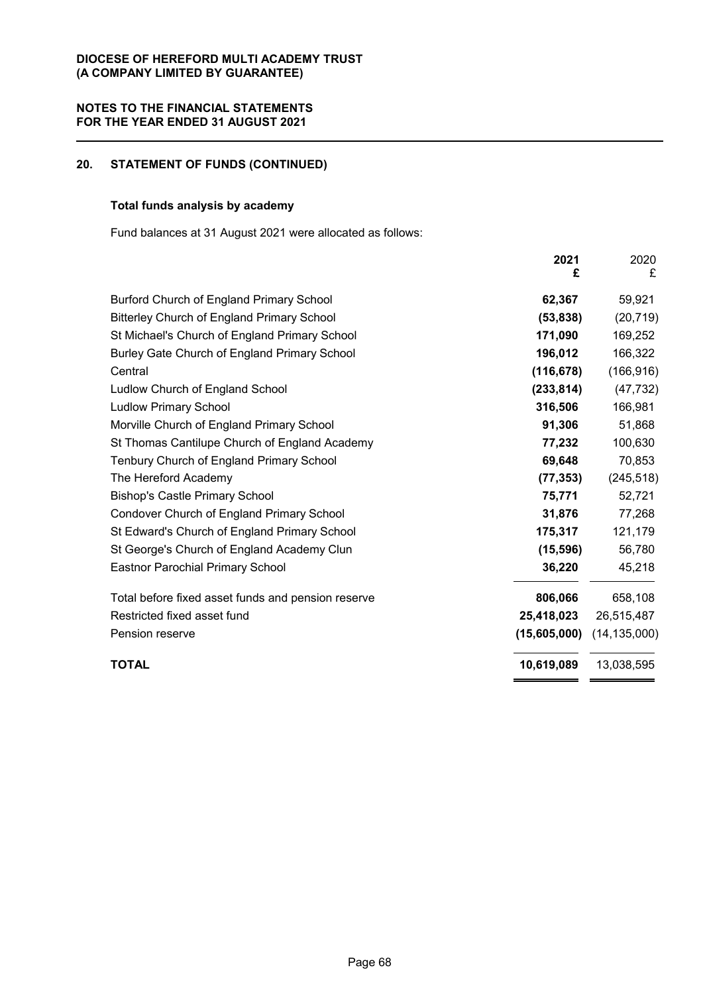# **20. STATEMENT OF FUNDS (CONTINUED)**

# **Total funds analysis by academy**

Fund balances at 31 August 2021 were allocated as follows:

|                                                    | 2021<br>£    | 2020<br>£      |
|----------------------------------------------------|--------------|----------------|
| Burford Church of England Primary School           | 62,367       | 59,921         |
| <b>Bitterley Church of England Primary School</b>  | (53, 838)    | (20, 719)      |
| St Michael's Church of England Primary School      | 171,090      | 169,252        |
| Burley Gate Church of England Primary School       | 196,012      | 166,322        |
| Central                                            | (116, 678)   | (166, 916)     |
| Ludlow Church of England School                    | (233, 814)   | (47, 732)      |
| <b>Ludlow Primary School</b>                       | 316,506      | 166,981        |
| Morville Church of England Primary School          | 91,306       | 51,868         |
| St Thomas Cantilupe Church of England Academy      | 77,232       | 100,630        |
| Tenbury Church of England Primary School           | 69,648       | 70,853         |
| The Hereford Academy                               | (77, 353)    | (245, 518)     |
| <b>Bishop's Castle Primary School</b>              | 75,771       | 52,721         |
| Condover Church of England Primary School          | 31,876       | 77,268         |
| St Edward's Church of England Primary School       | 175,317      | 121,179        |
| St George's Church of England Academy Clun         | (15, 596)    | 56,780         |
| <b>Eastnor Parochial Primary School</b>            | 36,220       | 45,218         |
| Total before fixed asset funds and pension reserve | 806,066      | 658,108        |
| Restricted fixed asset fund                        | 25,418,023   | 26,515,487     |
| Pension reserve                                    | (15,605,000) | (14, 135, 000) |
| <b>TOTAL</b>                                       | 10,619,089   | 13,038,595     |
|                                                    |              |                |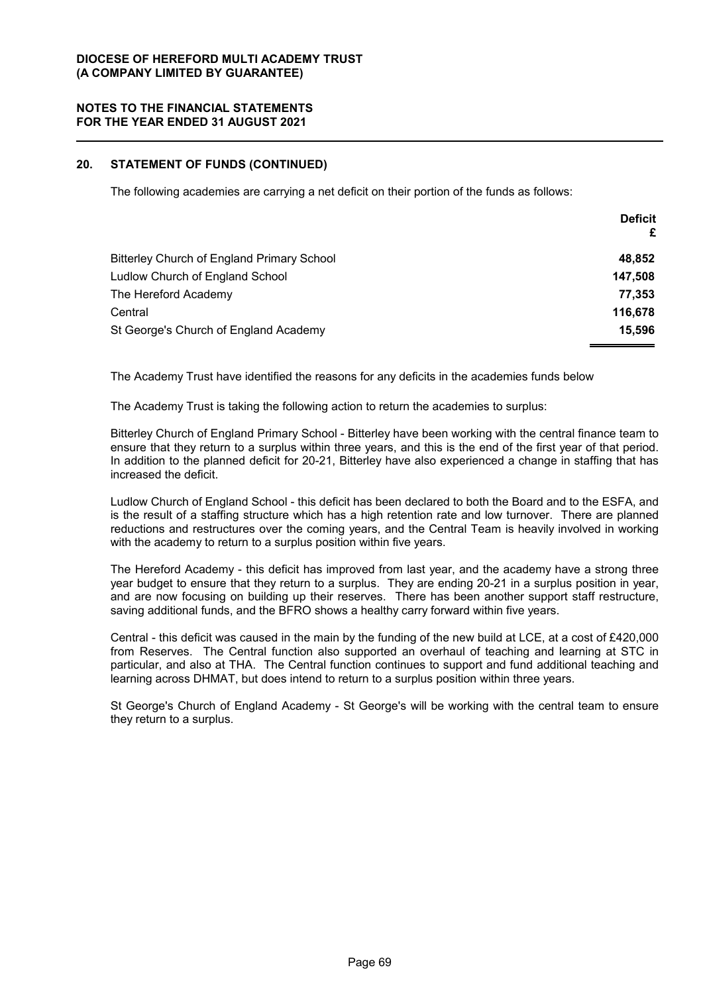# **20. STATEMENT OF FUNDS (CONTINUED)**

The following academies are carrying a net deficit on their portion of the funds as follows:

|                                            | <b>Deficit</b><br>£ |
|--------------------------------------------|---------------------|
| Bitterley Church of England Primary School | 48,852              |
| Ludlow Church of England School            | 147,508             |
| The Hereford Academy                       | 77,353              |
| Central                                    | 116,678             |
| St George's Church of England Academy      | 15,596              |

The Academy Trust have identified the reasons for any deficits in the academies funds below

The Academy Trust is taking the following action to return the academies to surplus:

Bitterley Church of England Primary School - Bitterley have been working with the central finance team to ensure that they return to a surplus within three years, and this is the end of the first year of that period. In addition to the planned deficit for 20-21, Bitterley have also experienced a change in staffing that has increased the deficit.

Ludlow Church of England School - this deficit has been declared to both the Board and to the ESFA, and is the result of a staffing structure which has a high retention rate and low turnover. There are planned reductions and restructures over the coming years, and the Central Team is heavily involved in working with the academy to return to a surplus position within five years.

The Hereford Academy - this deficit has improved from last year, and the academy have a strong three year budget to ensure that they return to a surplus. They are ending 20-21 in a surplus position in year, and are now focusing on building up their reserves. There has been another support staff restructure, saving additional funds, and the BFRO shows a healthy carry forward within five years.

Central - this deficit was caused in the main by the funding of the new build at LCE, at a cost of £420,000 from Reserves. The Central function also supported an overhaul of teaching and learning at STC in particular, and also at THA. The Central function continues to support and fund additional teaching and learning across DHMAT, but does intend to return to a surplus position within three years.

St George's Church of England Academy - St George's will be working with the central team to ensure they return to a surplus.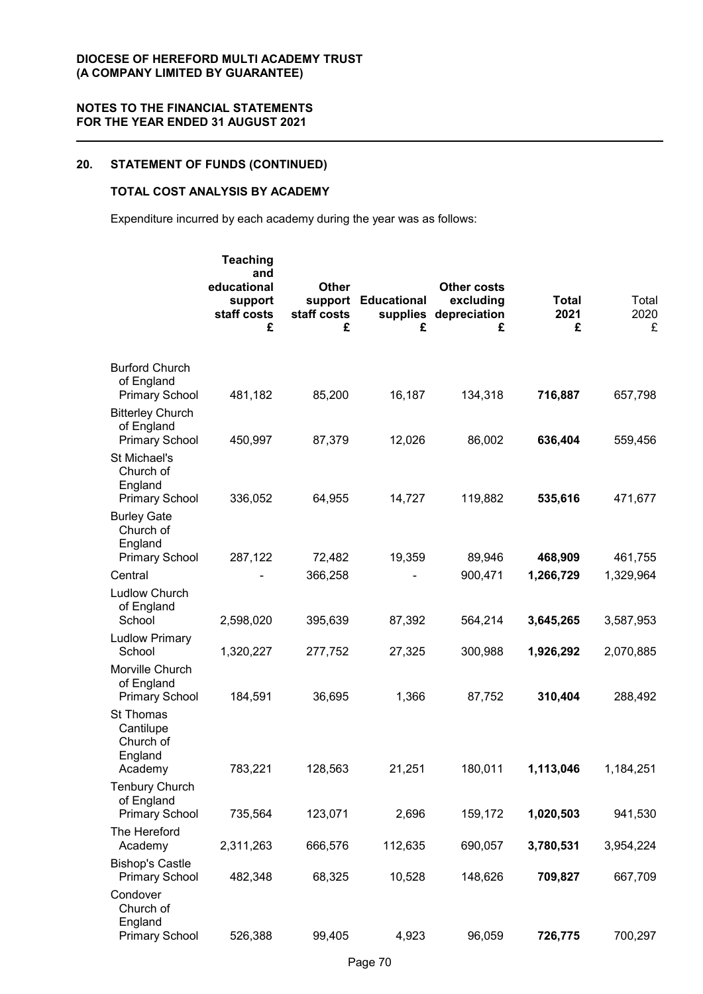# **20. STATEMENT OF FUNDS (CONTINUED)**

# **TOTAL COST ANALYSIS BY ACADEMY**

Expenditure incurred by each academy during the year was as follows:

|                                                               | <b>Teaching</b><br>and<br>educational<br>support<br>staff costs<br>£ | <b>Other</b><br>staff costs<br>£ | support Educational<br>supplies<br>£ | <b>Other costs</b><br>excluding<br>depreciation<br>£ | <b>Total</b><br>2021<br>£ | Total<br>2020<br>£ |
|---------------------------------------------------------------|----------------------------------------------------------------------|----------------------------------|--------------------------------------|------------------------------------------------------|---------------------------|--------------------|
| <b>Burford Church</b><br>of England<br><b>Primary School</b>  | 481,182                                                              | 85,200                           | 16,187                               | 134,318                                              | 716,887                   | 657,798            |
| <b>Bitterley Church</b><br>of England                         |                                                                      |                                  | 12,026                               | 86,002                                               |                           | 559,456            |
| <b>Primary School</b><br>St Michael's<br>Church of<br>England | 450,997                                                              | 87,379                           |                                      |                                                      | 636,404                   |                    |
| <b>Primary School</b><br><b>Burley Gate</b><br>Church of      | 336,052                                                              | 64,955                           | 14,727                               | 119,882                                              | 535,616                   | 471,677            |
| England<br><b>Primary School</b>                              | 287,122                                                              | 72,482                           | 19,359                               | 89,946                                               | 468,909                   | 461,755            |
| Central<br><b>Ludlow Church</b>                               |                                                                      | 366,258                          |                                      | 900,471                                              | 1,266,729                 | 1,329,964          |
| of England<br>School<br><b>Ludlow Primary</b>                 | 2,598,020                                                            | 395,639                          | 87,392                               | 564,214                                              | 3,645,265                 | 3,587,953          |
| School<br>Morville Church                                     | 1,320,227                                                            | 277,752                          | 27,325                               | 300,988                                              | 1,926,292                 | 2,070,885          |
| of England<br><b>Primary School</b>                           | 184,591                                                              | 36,695                           | 1,366                                | 87,752                                               | 310,404                   | 288,492            |
| <b>St Thomas</b><br>Cantilupe<br>Church of<br>England         |                                                                      |                                  |                                      |                                                      |                           |                    |
| Academy<br><b>Tenbury Church</b>                              | 783,221                                                              | 128,563                          | 21,251                               | 180,011                                              | 1,113,046                 | 1,184,251          |
| of England<br><b>Primary School</b>                           | 735,564                                                              | 123,071                          | 2,696                                | 159,172                                              | 1,020,503                 | 941,530            |
| The Hereford<br>Academy                                       | 2,311,263                                                            | 666,576                          | 112,635                              | 690,057                                              | 3,780,531                 | 3,954,224          |
| <b>Bishop's Castle</b><br><b>Primary School</b>               | 482,348                                                              | 68,325                           | 10,528                               | 148,626                                              | 709,827                   | 667,709            |
| Condover<br>Church of<br>England<br><b>Primary School</b>     | 526,388                                                              | 99,405                           | 4,923                                | 96,059                                               | 726,775                   | 700,297            |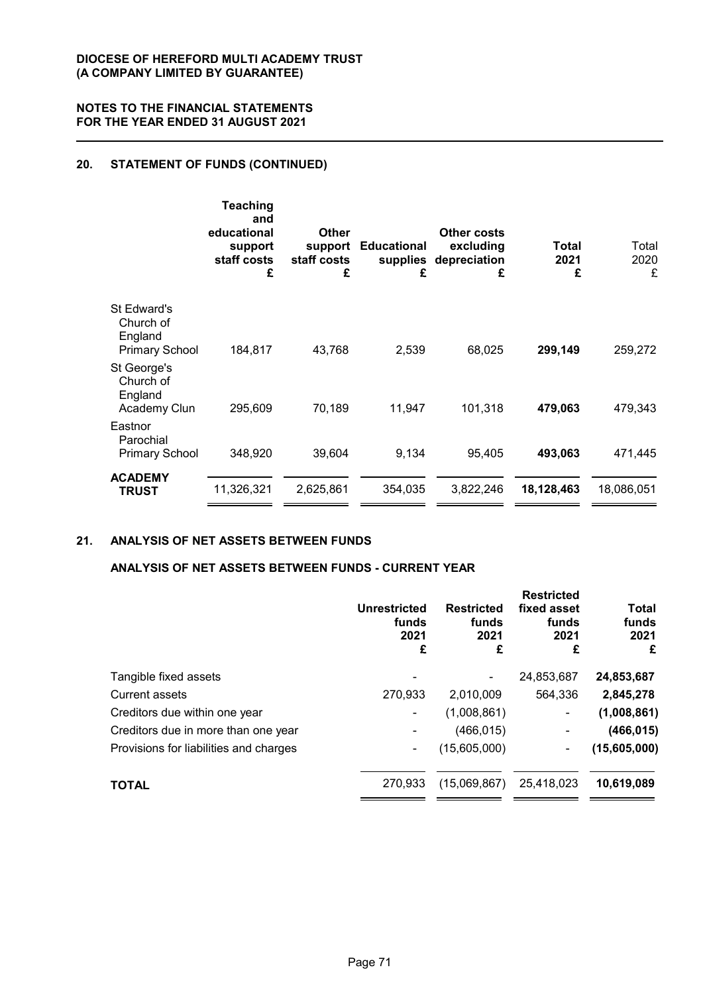# **20. STATEMENT OF FUNDS (CONTINUED)**

|                                                              | <b>Teaching</b><br>and<br>educational<br>support<br>staff costs<br>£ | <b>Other</b><br>support<br>staff costs<br>£ | <b>Educational</b><br>supplies<br>£ | <b>Other costs</b><br>excluding<br>depreciation<br>£ | Total<br>2021<br>£ | Total<br>2020<br>£ |
|--------------------------------------------------------------|----------------------------------------------------------------------|---------------------------------------------|-------------------------------------|------------------------------------------------------|--------------------|--------------------|
| St Edward's<br>Church of<br>England<br><b>Primary School</b> | 184,817                                                              | 43,768                                      | 2,539                               | 68,025                                               | 299,149            | 259,272            |
| St George's<br>Church of<br>England<br>Academy Clun          | 295,609                                                              | 70,189                                      | 11,947                              | 101,318                                              | 479,063            | 479,343            |
| Eastnor<br>Parochial<br><b>Primary School</b>                | 348,920                                                              | 39,604                                      | 9,134                               | 95,405                                               | 493,063            | 471,445            |
| <b>ACADEMY</b><br><b>TRUST</b>                               | 11,326,321                                                           | 2,625,861                                   | 354,035                             | 3,822,246                                            | 18,128,463         | 18,086,051         |

## **21. ANALYSIS OF NET ASSETS BETWEEN FUNDS**

## **ANALYSIS OF NET ASSETS BETWEEN FUNDS - CURRENT YEAR**

| <b>Unrestricted</b><br>funds<br>2021<br>£ | <b>Restricted</b><br>funds<br>2021<br>£ | <b>Restricted</b><br>fixed asset<br>funds<br>2021<br>£ | Total<br>funds<br>2021<br>£ |
|-------------------------------------------|-----------------------------------------|--------------------------------------------------------|-----------------------------|
|                                           |                                         | 24,853,687                                             | 24,853,687                  |
| 270,933                                   | 2,010,009                               | 564,336                                                | 2,845,278                   |
|                                           | (1,008,861)                             |                                                        | (1,008,861)                 |
|                                           | (466, 015)                              | ٠                                                      | (466, 015)                  |
| ۰                                         | (15,605,000)                            | ٠                                                      | (15,605,000)                |
| 270.933                                   | (15,069,867)                            | 25,418,023                                             | 10,619,089                  |
|                                           |                                         |                                                        |                             |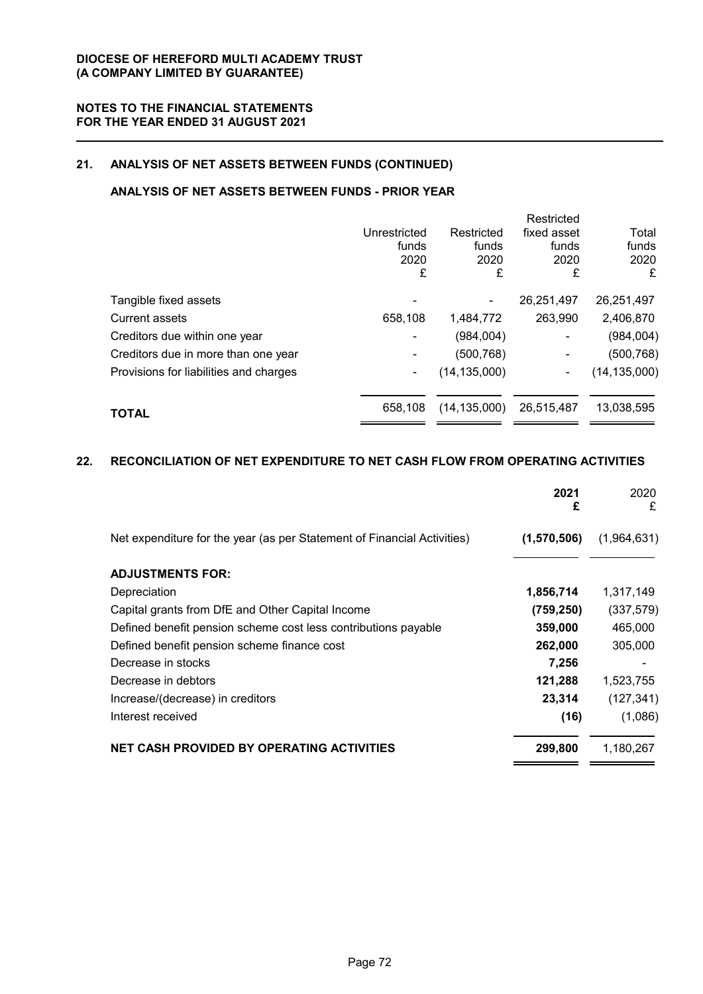## **21. ANALYSIS OF NET ASSETS BETWEEN FUNDS (CONTINUED)**

## **ANALYSIS OF NET ASSETS BETWEEN FUNDS - PRIOR YEAR**

|                                        |              |                | Restricted               |                |
|----------------------------------------|--------------|----------------|--------------------------|----------------|
|                                        | Unrestricted | Restricted     | fixed asset              | Total          |
|                                        | funds        | funds          | funds                    | funds          |
|                                        | 2020         | 2020           | 2020                     | 2020           |
|                                        | £            | £              | £                        | £              |
| Tangible fixed assets                  |              |                | 26,251,497               | 26,251,497     |
| <b>Current assets</b>                  | 658,108      | 1,484,772      | 263,990                  | 2,406,870      |
| Creditors due within one year          |              | (984,004)      | $\overline{\phantom{0}}$ | (984, 004)     |
| Creditors due in more than one year    |              | (500, 768)     |                          | (500, 768)     |
| Provisions for liabilities and charges | ۰            | (14, 135, 000) | ۰                        | (14, 135, 000) |
| <b>TOTAL</b>                           | 658.108      | (14, 135, 000) | 26,515,487               | 13,038,595     |
|                                        |              |                |                          |                |

## **22. RECONCILIATION OF NET EXPENDITURE TO NET CASH FLOW FROM OPERATING ACTIVITIES**

|                                                                         | 2021<br>£   | 2020<br>£   |
|-------------------------------------------------------------------------|-------------|-------------|
| Net expenditure for the year (as per Statement of Financial Activities) | (1,570,506) | (1,964,631) |
| <b>ADJUSTMENTS FOR:</b>                                                 |             |             |
| Depreciation                                                            | 1,856,714   | 1,317,149   |
| Capital grants from DfE and Other Capital Income                        | (759, 250)  | (337, 579)  |
| Defined benefit pension scheme cost less contributions payable          | 359,000     | 465,000     |
| Defined benefit pension scheme finance cost                             | 262,000     | 305,000     |
| Decrease in stocks                                                      | 7,256       |             |
| Decrease in debtors                                                     | 121,288     | 1,523,755   |
| Increase/(decrease) in creditors                                        | 23,314      | (127, 341)  |
| Interest received                                                       | (16)        | (1,086)     |
| <b>NET CASH PROVIDED BY OPERATING ACTIVITIES</b>                        | 299,800     | 1,180,267   |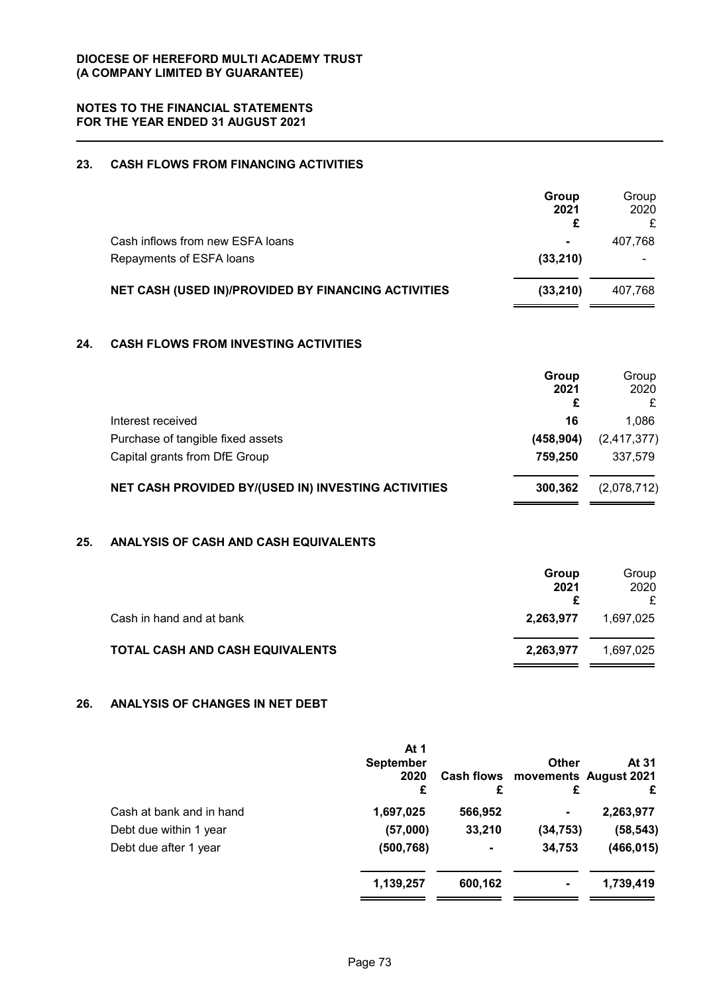# **23. CASH FLOWS FROM FINANCING ACTIVITIES**

|     |                                                     | Group<br>2021<br>£ | Group<br>2020<br>£ |
|-----|-----------------------------------------------------|--------------------|--------------------|
|     | Cash inflows from new ESFA loans                    |                    | 407,768            |
|     | Repayments of ESFA loans                            | (33, 210)          |                    |
|     | NET CASH (USED IN)/PROVIDED BY FINANCING ACTIVITIES | (33, 210)          | 407,768            |
| 24. | <b>CASH FLOWS FROM INVESTING ACTIVITIES</b>         |                    |                    |
|     |                                                     | Group<br>2021<br>£ | Group<br>2020<br>£ |
|     | Interest received                                   | 16                 | 1,086              |
|     | Purchase of tangible fixed assets                   | (458, 904)         | (2, 417, 377)      |
|     | Capital grants from DfE Group                       | 759,250            | 337,579            |
|     | NET CASH PROVIDED BY/(USED IN) INVESTING ACTIVITIES | 300,362            | (2,078,712)        |
|     |                                                     |                    |                    |

# **25. ANALYSIS OF CASH AND CASH EQUIVALENTS**

|                                 | Group<br>2021 | Group<br>2020<br>£ |
|---------------------------------|---------------|--------------------|
| Cash in hand and at bank        | 2,263,977     | 1,697,025          |
| TOTAL CASH AND CASH EQUIVALENTS | 2,263,977     | 1.697.025          |

# **26. ANALYSIS OF CHANGES IN NET DEBT**

|                          | At 1<br><b>September</b><br>2020<br>£ | £       | <b>Other</b><br>£ | At 31<br>Cash flows movements August 2021<br>£ |
|--------------------------|---------------------------------------|---------|-------------------|------------------------------------------------|
| Cash at bank and in hand | 1,697,025                             | 566,952 | $\blacksquare$    | 2,263,977                                      |
| Debt due within 1 year   | (57,000)                              | 33,210  | (34, 753)         | (58, 543)                                      |
| Debt due after 1 year    | (500, 768)                            |         | 34,753            | (466, 015)                                     |
|                          | 1,139,257                             | 600,162 | $\blacksquare$    | 1,739,419                                      |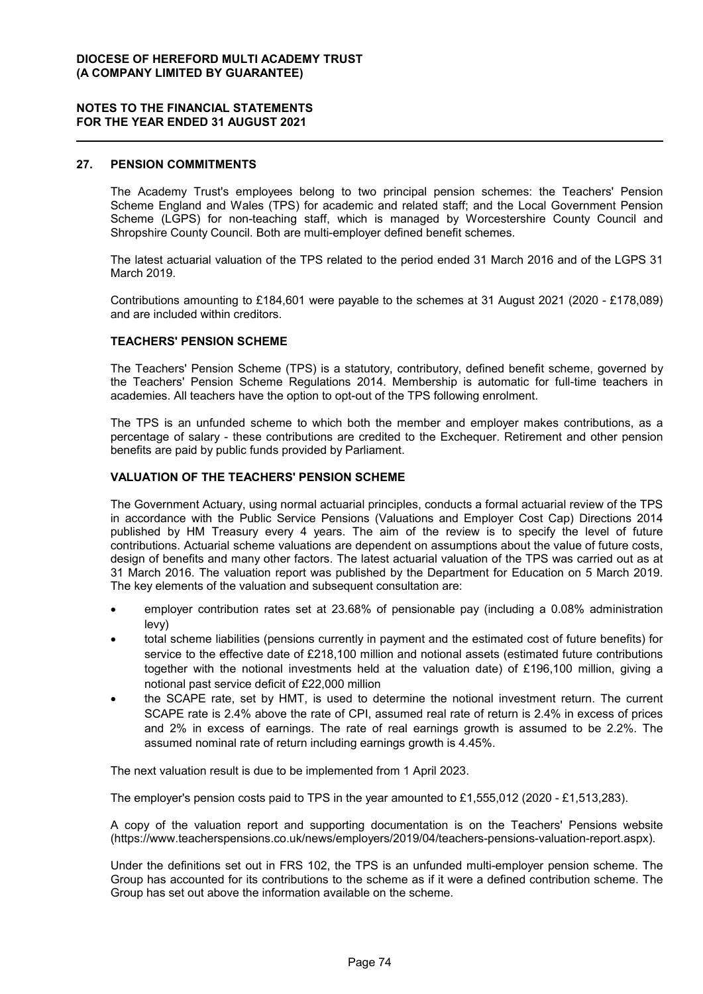#### **27. PENSION COMMITMENTS**

The Academy Trust's employees belong to two principal pension schemes: the Teachers' Pension Scheme England and Wales (TPS) for academic and related staff; and the Local Government Pension Scheme (LGPS) for non-teaching staff, which is managed by Worcestershire County Council and Shropshire County Council. Both are multi-employer defined benefit schemes.

The latest actuarial valuation of the TPS related to the period ended 31 March 2016 and of the LGPS 31 March 2019.

Contributions amounting to £184,601 were payable to the schemes at 31 August 2021 (2020 - £178,089) and are included within creditors.

#### **TEACHERS' PENSION SCHEME**

The Teachers' Pension Scheme (TPS) is a statutory, contributory, defined benefit scheme, governed by the Teachers' Pension Scheme Regulations 2014. Membership is automatic for full-time teachers in academies. All teachers have the option to opt-out of the TPS following enrolment.

The TPS is an unfunded scheme to which both the member and employer makes contributions, as a percentage of salary - these contributions are credited to the Exchequer. Retirement and other pension benefits are paid by public funds provided by Parliament.

#### **VALUATION OF THE TEACHERS' PENSION SCHEME**

The Government Actuary, using normal actuarial principles, conducts a formal actuarial review of the TPS in accordance with the Public Service Pensions (Valuations and Employer Cost Cap) Directions 2014 published by HM Treasury every 4 years. The aim of the review is to specify the level of future contributions. Actuarial scheme valuations are dependent on assumptions about the value of future costs, design of benefits and many other factors. The latest actuarial valuation of the TPS was carried out as at 31 March 2016. The valuation report was published by the Department for Education on 5 March 2019. The key elements of the valuation and subsequent consultation are:

- employer contribution rates set at 23.68% of pensionable pay (including a 0.08% administration levy)
- total scheme liabilities (pensions currently in payment and the estimated cost of future benefits) for service to the effective date of £218,100 million and notional assets (estimated future contributions together with the notional investments held at the valuation date) of £196,100 million, giving a notional past service deficit of £22,000 million
- the SCAPE rate, set by HMT, is used to determine the notional investment return. The current SCAPE rate is 2.4% above the rate of CPI, assumed real rate of return is 2.4% in excess of prices and 2% in excess of earnings. The rate of real earnings growth is assumed to be 2.2%. The assumed nominal rate of return including earnings growth is 4.45%.

The next valuation result is due to be implemented from 1 April 2023.

The employer's pension costs paid to TPS in the year amounted to £1,555,012 (2020 - £1,513,283).

A copy of the valuation report and supporting documentation is on the Teachers' Pensions website (https://www.teacherspensions.co.uk/news/employers/2019/04/teachers-pensions-valuation-report.aspx).

Under the definitions set out in FRS 102, the TPS is an unfunded multi-employer pension scheme. The Group has accounted for its contributions to the scheme as if it were a defined contribution scheme. The Group has set out above the information available on the scheme.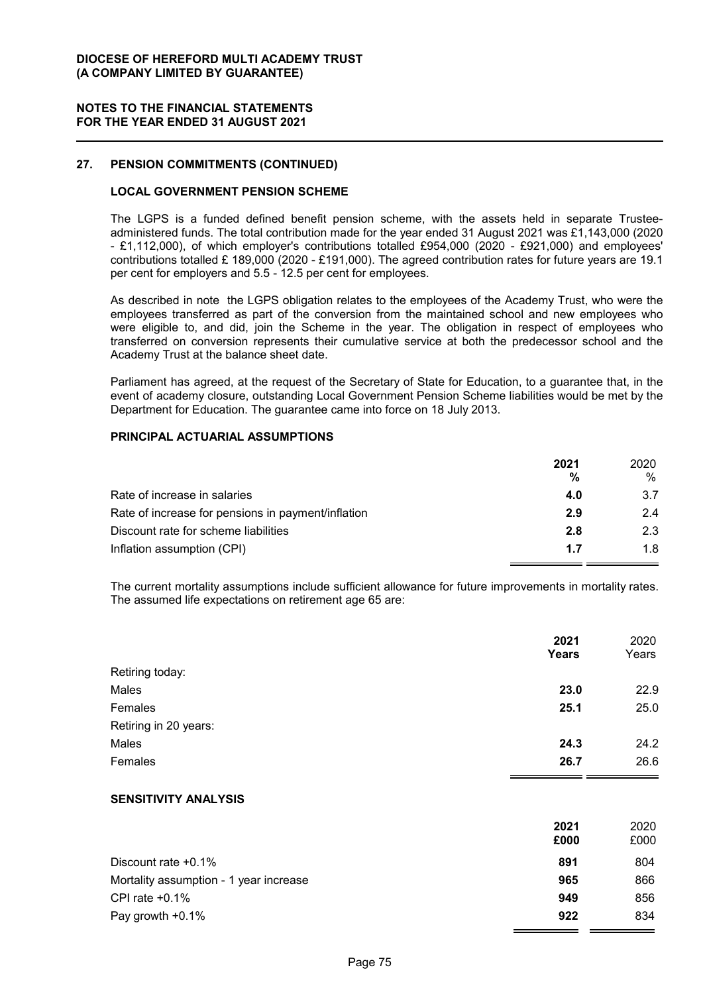### **DIOCESE OF HEREFORD MULTI ACADEMY TRUST (A COMPANY LIMITED BY GUARANTEE)**

### **NOTES TO THE FINANCIAL STATEMENTS FOR THE YEAR ENDED 31 AUGUST 2021**

### **27. PENSION COMMITMENTS (CONTINUED)**

### **LOCAL GOVERNMENT PENSION SCHEME**

The LGPS is a funded defined benefit pension scheme, with the assets held in separate Trusteeadministered funds. The total contribution made for the year ended 31 August 2021 was £1,143,000 (2020 - £1,112,000), of which employer's contributions totalled £954,000 (2020 - £921,000) and employees' contributions totalled £ 189,000 (2020 - £191,000). The agreed contribution rates for future years are 19.1 per cent for employers and 5.5 - 12.5 per cent for employees.

As described in note the LGPS obligation relates to the employees of the Academy Trust, who were the employees transferred as part of the conversion from the maintained school and new employees who were eligible to, and did, join the Scheme in the year. The obligation in respect of employees who transferred on conversion represents their cumulative service at both the predecessor school and the Academy Trust at the balance sheet date.

Parliament has agreed, at the request of the Secretary of State for Education, to a guarantee that, in the event of academy closure, outstanding Local Government Pension Scheme liabilities would be met by the Department for Education. The guarantee came into force on 18 July 2013.

### **PRINCIPAL ACTUARIAL ASSUMPTIONS**

|                                                    | 2021 | 2020 |
|----------------------------------------------------|------|------|
|                                                    | %    | %    |
| Rate of increase in salaries                       | 4.0  | 3.7  |
| Rate of increase for pensions in payment/inflation | 2.9  | 24   |
| Discount rate for scheme liabilities               | 2.8  | 2.3  |
| Inflation assumption (CPI)                         | 1.7  | 1.8  |

The current mortality assumptions include sufficient allowance for future improvements in mortality rates. The assumed life expectations on retirement age 65 are:

|                       | 2021<br><b>Years</b> | 2020<br>Years |
|-----------------------|----------------------|---------------|
| Retiring today:       |                      |               |
| Males                 | 23.0                 | 22.9          |
| Females               | 25.1                 | 25.0          |
| Retiring in 20 years: |                      |               |
| Males                 | 24.3                 | 24.2          |
| Females               | 26.7                 | 26.6          |

### **SENSITIVITY ANALYSIS**

|                                        | 2021 | 2020 |
|----------------------------------------|------|------|
|                                        | £000 | £000 |
| Discount rate $+0.1\%$                 | 891  | 804  |
| Mortality assumption - 1 year increase | 965  | 866  |
| CPI rate $+0.1\%$                      | 949  | 856  |
| Pay growth +0.1%                       | 922  | 834  |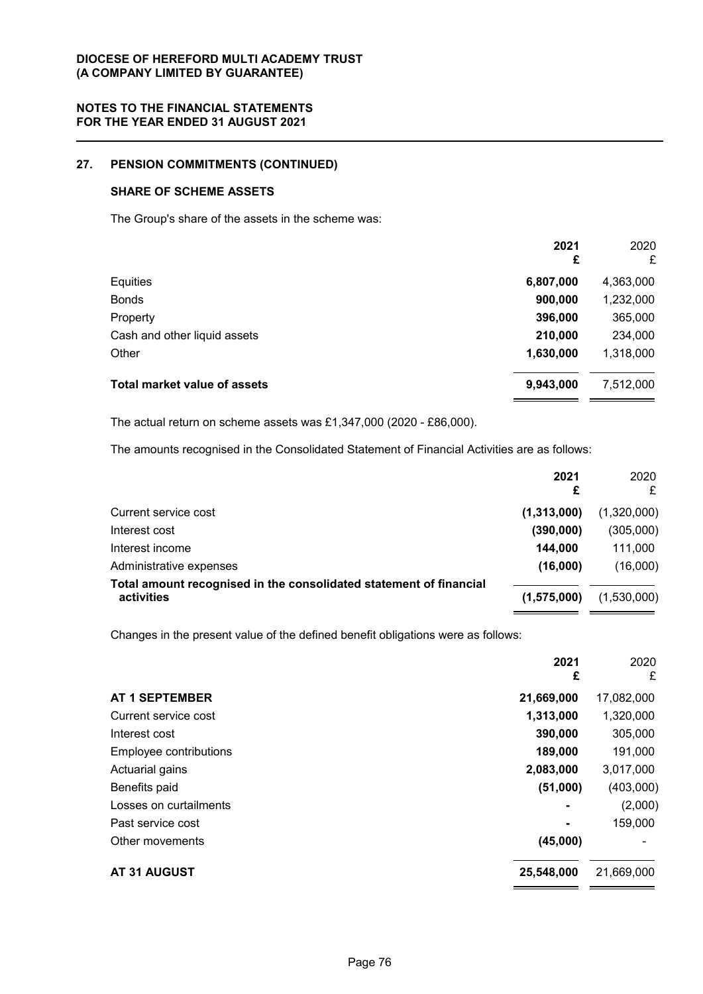# **27. PENSION COMMITMENTS (CONTINUED)**

## **SHARE OF SCHEME ASSETS**

The Group's share of the assets in the scheme was:

|                                     | 2021<br>£ | 2020<br>£ |
|-------------------------------------|-----------|-----------|
| Equities                            | 6,807,000 | 4,363,000 |
| <b>Bonds</b>                        | 900,000   | 1,232,000 |
| Property                            | 396,000   | 365,000   |
| Cash and other liquid assets        | 210,000   | 234,000   |
| Other                               | 1,630,000 | 1,318,000 |
| <b>Total market value of assets</b> | 9,943,000 | 7,512,000 |

The actual return on scheme assets was £1,347,000 (2020 - £86,000).

The amounts recognised in the Consolidated Statement of Financial Activities are as follows:

|                                                                                  | 2021<br>£   | 2020<br>£   |
|----------------------------------------------------------------------------------|-------------|-------------|
| Current service cost                                                             | (1,313,000) | (1,320,000) |
| Interest cost                                                                    | (390,000)   | (305,000)   |
| Interest income                                                                  | 144,000     | 111,000     |
| Administrative expenses                                                          | (16,000)    | (16,000)    |
| Total amount recognised in the consolidated statement of financial<br>activities | (1,575,000) | (1,530,000) |

Changes in the present value of the defined benefit obligations were as follows:

|                        | 2021<br>£  | 2020<br>£  |
|------------------------|------------|------------|
| <b>AT 1 SEPTEMBER</b>  | 21,669,000 | 17,082,000 |
| Current service cost   | 1,313,000  | 1,320,000  |
| Interest cost          | 390,000    | 305,000    |
| Employee contributions | 189,000    | 191,000    |
| Actuarial gains        | 2,083,000  | 3,017,000  |
| Benefits paid          | (51,000)   | (403,000)  |
| Losses on curtailments |            | (2,000)    |
| Past service cost      |            | 159,000    |
| Other movements        | (45,000)   |            |
| AT 31 AUGUST           | 25,548,000 | 21,669,000 |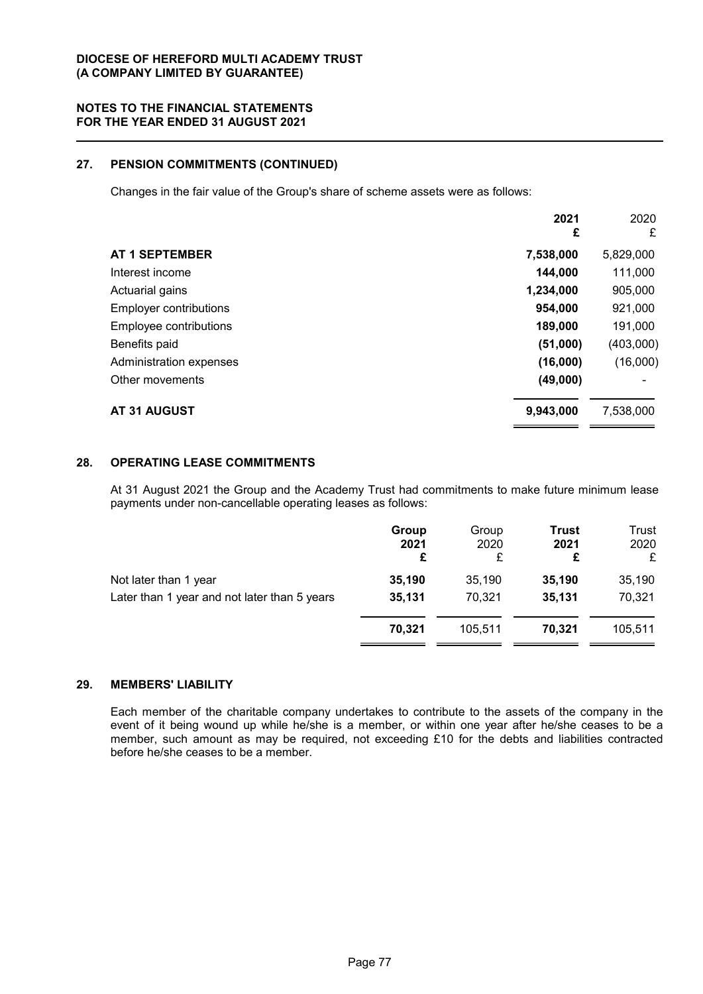## **27. PENSION COMMITMENTS (CONTINUED)**

Changes in the fair value of the Group's share of scheme assets were as follows:

|                               | 2021<br>£ | 2020<br>£ |
|-------------------------------|-----------|-----------|
| <b>AT 1 SEPTEMBER</b>         | 7,538,000 | 5,829,000 |
| Interest income               | 144,000   | 111,000   |
| Actuarial gains               | 1,234,000 | 905,000   |
| <b>Employer contributions</b> | 954,000   | 921,000   |
| Employee contributions        | 189,000   | 191,000   |
| Benefits paid                 | (51,000)  | (403,000) |
| Administration expenses       | (16,000)  | (16,000)  |
| Other movements               | (49,000)  |           |
| <b>AT 31 AUGUST</b>           | 9,943,000 | 7,538,000 |

# **28. OPERATING LEASE COMMITMENTS**

At 31 August 2021 the Group and the Academy Trust had commitments to make future minimum lease payments under non-cancellable operating leases as follows:

| Group<br>2021<br>£ | Group<br>2020<br>£ | <b>Trust</b><br>2021<br>£ | Trust<br>2020<br>£ |
|--------------------|--------------------|---------------------------|--------------------|
| 35,190             | 35,190             | 35,190                    | 35,190             |
| 35,131             | 70,321             | 35,131                    | 70,321             |
| 70.321             | 105.511            | 70.321                    | 105.511            |
|                    |                    |                           |                    |

## **29. MEMBERS' LIABILITY**

Each member of the charitable company undertakes to contribute to the assets of the company in the event of it being wound up while he/she is a member, or within one year after he/she ceases to be a member, such amount as may be required, not exceeding £10 for the debts and liabilities contracted before he/she ceases to be a member.